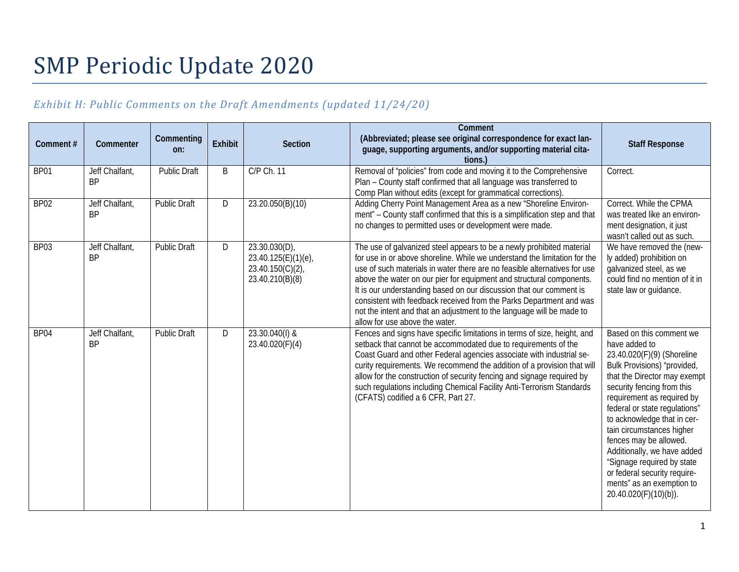# SMP Periodic Update 2020

# *Exhibit H: Public Comments on the Draft Amendments (updated 11/24/20)*

| Comment#         | Commenter                   | Commenting<br>on:   | <b>Exhibit</b> | <b>Section</b>                                                            | Comment<br>(Abbreviated; please see original correspondence for exact lan-<br>guage, supporting arguments, and/or supporting material cita-<br>tions.                                                                                                                                                                                                                                                                                                                                                                                                            | <b>Staff Response</b>                                                                                                                                                                                                                                                                                                                                                                                                                                                        |
|------------------|-----------------------------|---------------------|----------------|---------------------------------------------------------------------------|------------------------------------------------------------------------------------------------------------------------------------------------------------------------------------------------------------------------------------------------------------------------------------------------------------------------------------------------------------------------------------------------------------------------------------------------------------------------------------------------------------------------------------------------------------------|------------------------------------------------------------------------------------------------------------------------------------------------------------------------------------------------------------------------------------------------------------------------------------------------------------------------------------------------------------------------------------------------------------------------------------------------------------------------------|
| BP01             | Jeff Chalfant,<br><b>BP</b> | <b>Public Draft</b> | B              | C/P Ch. 11                                                                | Removal of "policies" from code and moving it to the Comprehensive<br>Plan - County staff confirmed that all language was transferred to<br>Comp Plan without edits (except for grammatical corrections).                                                                                                                                                                                                                                                                                                                                                        | Correct.                                                                                                                                                                                                                                                                                                                                                                                                                                                                     |
| BP <sub>02</sub> | Jeff Chalfant,<br><b>BP</b> | <b>Public Draft</b> | D              | 23.20.050(B)(10)                                                          | Adding Cherry Point Management Area as a new "Shoreline Environ-<br>ment" - County staff confirmed that this is a simplification step and that<br>no changes to permitted uses or development were made.                                                                                                                                                                                                                                                                                                                                                         | Correct. While the CPMA<br>was treated like an environ-<br>ment designation, it just<br>wasn't called out as such.                                                                                                                                                                                                                                                                                                                                                           |
| BP03             | Jeff Chalfant,<br><b>BP</b> | <b>Public Draft</b> | D              | 23.30.030(D)<br>23.40.125(E)(1)(e),<br>23.40.150(C)(2)<br>23.40.210(B)(8) | The use of galvanized steel appears to be a newly prohibited material<br>for use in or above shoreline. While we understand the limitation for the<br>use of such materials in water there are no feasible alternatives for use<br>above the water on our pier for equipment and structural components.<br>It is our understanding based on our discussion that our comment is<br>consistent with feedback received from the Parks Department and was<br>not the intent and that an adjustment to the language will be made to<br>allow for use above the water. | We have removed the (new-<br>ly added) prohibition on<br>galvanized steel, as we<br>could find no mention of it in<br>state law or guidance.                                                                                                                                                                                                                                                                                                                                 |
| BP04             | Jeff Chalfant,<br><b>BP</b> | <b>Public Draft</b> | D              | 23.30.040(I) &<br>23.40.020(F)(4)                                         | Fences and signs have specific limitations in terms of size, height, and<br>setback that cannot be accommodated due to requirements of the<br>Coast Guard and other Federal agencies associate with industrial se-<br>curity requirements. We recommend the addition of a provision that will<br>allow for the construction of security fencing and signage required by<br>such regulations including Chemical Facility Anti-Terrorism Standards<br>(CFATS) codified a 6 CFR, Part 27.                                                                           | Based on this comment we<br>have added to<br>23.40.020(F)(9) (Shoreline<br>Bulk Provisions) "provided,<br>that the Director may exempt<br>security fencing from this<br>requirement as required by<br>federal or state regulations"<br>to acknowledge that in cer-<br>tain circumstances higher<br>fences may be allowed.<br>Additionally, we have added<br>"Signage required by state<br>or federal security require-<br>ments" as an exemption to<br>20.40.020(F)(10)(b)). |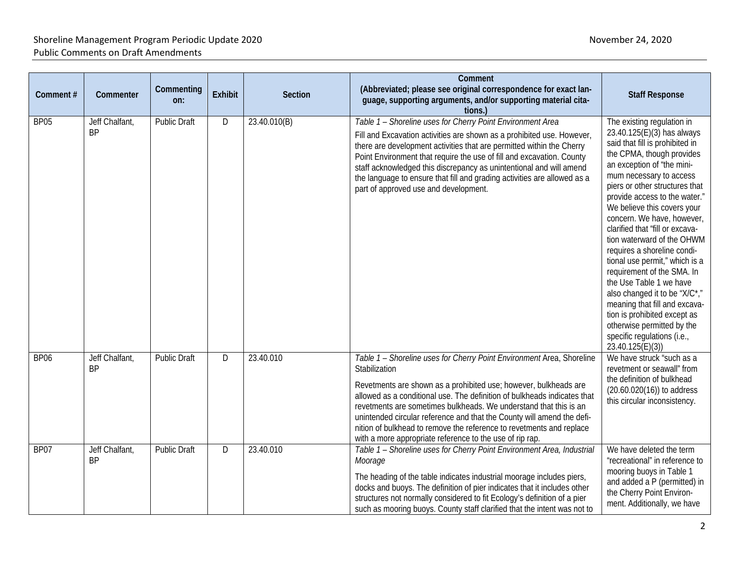| Comment#    | Commenter                   | Commenting<br>on:   | <b>Exhibit</b> | Section      | Comment<br>(Abbreviated; please see original correspondence for exact lan-<br>guage, supporting arguments, and/or supporting material cita-<br>tions.                                                                                                                                                                                                                                                                                                                                                                     | <b>Staff Response</b>                                                                                                                                                                                                                                                                                                                                                                                                                                                                                                                                                                                                                                                                          |
|-------------|-----------------------------|---------------------|----------------|--------------|---------------------------------------------------------------------------------------------------------------------------------------------------------------------------------------------------------------------------------------------------------------------------------------------------------------------------------------------------------------------------------------------------------------------------------------------------------------------------------------------------------------------------|------------------------------------------------------------------------------------------------------------------------------------------------------------------------------------------------------------------------------------------------------------------------------------------------------------------------------------------------------------------------------------------------------------------------------------------------------------------------------------------------------------------------------------------------------------------------------------------------------------------------------------------------------------------------------------------------|
| <b>BP05</b> | Jeff Chalfant,<br><b>BP</b> | <b>Public Draft</b> | D              | 23.40.010(B) | Table 1 - Shoreline uses for Cherry Point Environment Area<br>Fill and Excavation activities are shown as a prohibited use. However,<br>there are development activities that are permitted within the Cherry<br>Point Environment that require the use of fill and excavation. County<br>staff acknowledged this discrepancy as unintentional and will amend<br>the language to ensure that fill and grading activities are allowed as a<br>part of approved use and development.                                        | The existing regulation in<br>23.40.125(E)(3) has always<br>said that fill is prohibited in<br>the CPMA, though provides<br>an exception of "the mini-<br>mum necessary to access<br>piers or other structures that<br>provide access to the water."<br>We believe this covers your<br>concern. We have, however,<br>clarified that "fill or excava-<br>tion waterward of the OHWM<br>requires a shoreline condi-<br>tional use permit," which is a<br>requirement of the SMA. In<br>the Use Table 1 we have<br>also changed it to be "X/C*,"<br>meaning that fill and excava-<br>tion is prohibited except as<br>otherwise permitted by the<br>specific regulations (i.e.,<br>23.40.125(E)(3) |
| <b>BP06</b> | Jeff Chalfant,<br>BP        | <b>Public Draft</b> | D              | 23.40.010    | Table 1 - Shoreline uses for Cherry Point Environment Area, Shoreline<br>Stabilization<br>Revetments are shown as a prohibited use; however, bulkheads are<br>allowed as a conditional use. The definition of bulkheads indicates that<br>revetments are sometimes bulkheads. We understand that this is an<br>unintended circular reference and that the County will amend the defi-<br>nition of bulkhead to remove the reference to revetments and replace<br>with a more appropriate reference to the use of rip rap. | We have struck "such as a<br>revetment or seawall" from<br>the definition of bulkhead<br>$(20.60.020(16))$ to address<br>this circular inconsistency.                                                                                                                                                                                                                                                                                                                                                                                                                                                                                                                                          |
| BP07        | Jeff Chalfant,<br><b>BP</b> | <b>Public Draft</b> | D              | 23.40.010    | Table 1 - Shoreline uses for Cherry Point Environment Area, Industrial<br>Moorage<br>The heading of the table indicates industrial moorage includes piers,<br>docks and buoys. The definition of pier indicates that it includes other<br>structures not normally considered to fit Ecology's definition of a pier<br>such as mooring buoys. County staff clarified that the intent was not to                                                                                                                            | We have deleted the term<br>"recreational" in reference to<br>mooring buoys in Table 1<br>and added a P (permitted) in<br>the Cherry Point Environ-<br>ment. Additionally, we have                                                                                                                                                                                                                                                                                                                                                                                                                                                                                                             |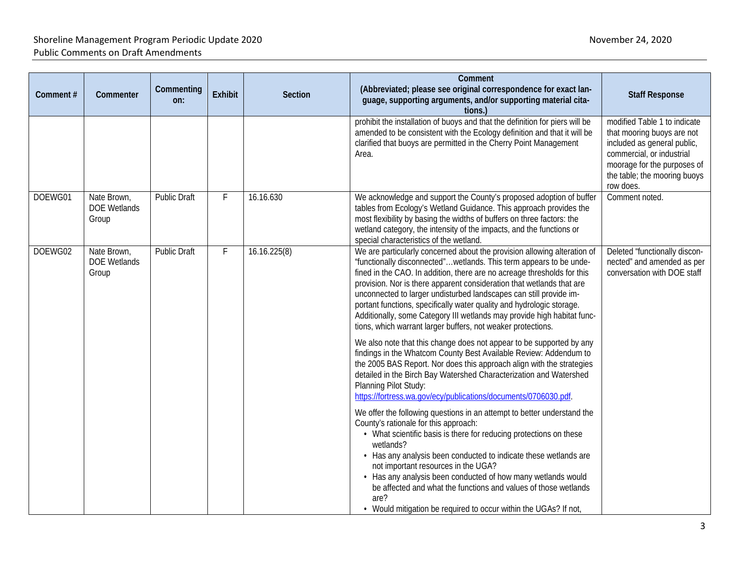| Comment# | Commenter                                   | Commenting<br>on:   | Exhibit | <b>Section</b> | Comment<br>(Abbreviated; please see original correspondence for exact lan-<br>guage, supporting arguments, and/or supporting material cita-<br>tions.                                                                                                                                                                                                                                                                                                                                                                                                                                                                                                                | <b>Staff Response</b>                                                                                                                                                                              |
|----------|---------------------------------------------|---------------------|---------|----------------|----------------------------------------------------------------------------------------------------------------------------------------------------------------------------------------------------------------------------------------------------------------------------------------------------------------------------------------------------------------------------------------------------------------------------------------------------------------------------------------------------------------------------------------------------------------------------------------------------------------------------------------------------------------------|----------------------------------------------------------------------------------------------------------------------------------------------------------------------------------------------------|
|          |                                             |                     |         |                | prohibit the installation of buoys and that the definition for piers will be<br>amended to be consistent with the Ecology definition and that it will be<br>clarified that buoys are permitted in the Cherry Point Management<br>Area.                                                                                                                                                                                                                                                                                                                                                                                                                               | modified Table 1 to indicate<br>that mooring buoys are not<br>included as general public,<br>commercial, or industrial<br>moorage for the purposes of<br>the table; the mooring buoys<br>row does. |
| DOEWG01  | Nate Brown,<br><b>DOE Wetlands</b><br>Group | <b>Public Draft</b> | F       | 16.16.630      | We acknowledge and support the County's proposed adoption of buffer<br>tables from Ecology's Wetland Guidance. This approach provides the<br>most flexibility by basing the widths of buffers on three factors: the<br>wetland category, the intensity of the impacts, and the functions or<br>special characteristics of the wetland.                                                                                                                                                                                                                                                                                                                               | Comment noted.                                                                                                                                                                                     |
| DOEWG02  | Nate Brown,<br><b>DOE Wetlands</b><br>Group | <b>Public Draft</b> | F       | 16.16.225(8)   | We are particularly concerned about the provision allowing alteration of<br>"functionally disconnected"wetlands. This term appears to be unde-<br>fined in the CAO. In addition, there are no acreage thresholds for this<br>provision. Nor is there apparent consideration that wetlands that are<br>unconnected to larger undisturbed landscapes can still provide im-<br>portant functions, specifically water quality and hydrologic storage.<br>Additionally, some Category III wetlands may provide high habitat func-<br>tions, which warrant larger buffers, not weaker protections.<br>We also note that this change does not appear to be supported by any | Deleted "functionally discon-<br>nected" and amended as per<br>conversation with DOE staff                                                                                                         |
|          |                                             |                     |         |                | findings in the Whatcom County Best Available Review: Addendum to<br>the 2005 BAS Report. Nor does this approach align with the strategies<br>detailed in the Birch Bay Watershed Characterization and Watershed<br>Planning Pilot Study:<br>https://fortress.wa.gov/ecy/publications/documents/0706030.pdf.                                                                                                                                                                                                                                                                                                                                                         |                                                                                                                                                                                                    |
|          |                                             |                     |         |                | We offer the following questions in an attempt to better understand the<br>County's rationale for this approach:<br>• What scientific basis is there for reducing protections on these<br>wetlands?<br>• Has any analysis been conducted to indicate these wetlands are<br>not important resources in the UGA?<br>• Has any analysis been conducted of how many wetlands would<br>be affected and what the functions and values of those wetlands<br>are?<br>• Would mitigation be required to occur within the UGAs? If not,                                                                                                                                        |                                                                                                                                                                                                    |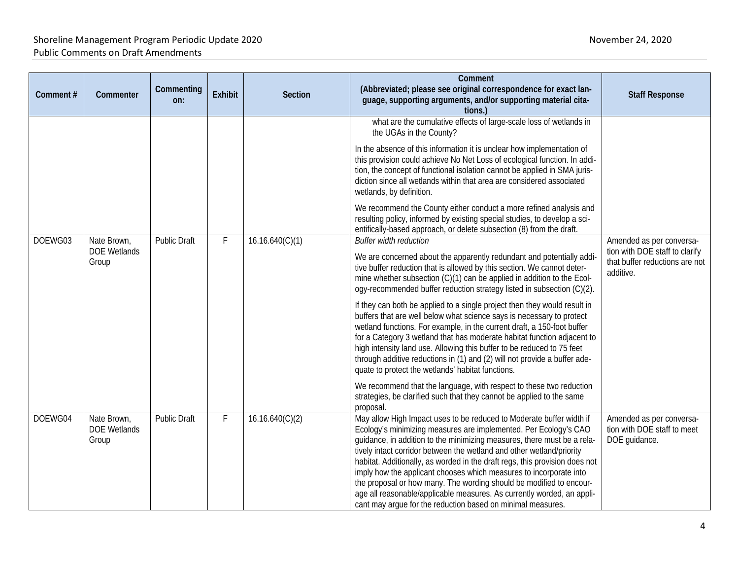| Comment# | Commenter                                   | Commenting<br>on:   | Exhibit | Section                                                                                                                                                                                                                                                                                              | Comment<br>(Abbreviated; please see original correspondence for exact lan-<br>guage, supporting arguments, and/or supporting material cita-<br>tions.)                                                                                                                                                                                                                                                                                                                                                                                                                                                                                                            | <b>Staff Response</b>                                                    |
|----------|---------------------------------------------|---------------------|---------|------------------------------------------------------------------------------------------------------------------------------------------------------------------------------------------------------------------------------------------------------------------------------------------------------|-------------------------------------------------------------------------------------------------------------------------------------------------------------------------------------------------------------------------------------------------------------------------------------------------------------------------------------------------------------------------------------------------------------------------------------------------------------------------------------------------------------------------------------------------------------------------------------------------------------------------------------------------------------------|--------------------------------------------------------------------------|
|          |                                             |                     |         |                                                                                                                                                                                                                                                                                                      | what are the cumulative effects of large-scale loss of wetlands in<br>the UGAs in the County?                                                                                                                                                                                                                                                                                                                                                                                                                                                                                                                                                                     |                                                                          |
|          |                                             |                     |         |                                                                                                                                                                                                                                                                                                      | In the absence of this information it is unclear how implementation of<br>this provision could achieve No Net Loss of ecological function. In addi-<br>tion, the concept of functional isolation cannot be applied in SMA juris-<br>diction since all wetlands within that area are considered associated<br>wetlands, by definition.                                                                                                                                                                                                                                                                                                                             |                                                                          |
|          |                                             |                     |         |                                                                                                                                                                                                                                                                                                      | We recommend the County either conduct a more refined analysis and<br>resulting policy, informed by existing special studies, to develop a sci-<br>entifically-based approach, or delete subsection (8) from the draft.                                                                                                                                                                                                                                                                                                                                                                                                                                           |                                                                          |
| DOEWG03  | Nate Brown,                                 | <b>Public Draft</b> | F       | 16.16.640(C)(1)                                                                                                                                                                                                                                                                                      | <b>Buffer width reduction</b>                                                                                                                                                                                                                                                                                                                                                                                                                                                                                                                                                                                                                                     | Amended as per conversa-                                                 |
|          | <b>DOE Wetlands</b><br>Group                |                     |         | We are concerned about the apparently redundant and potentially addi-<br>tive buffer reduction that is allowed by this section. We cannot deter-<br>mine whether subsection (C)(1) can be applied in addition to the Ecol-<br>ogy-recommended buffer reduction strategy listed in subsection (C)(2). | tion with DOE staff to clarify<br>that buffer reductions are not<br>additive.                                                                                                                                                                                                                                                                                                                                                                                                                                                                                                                                                                                     |                                                                          |
|          |                                             |                     |         |                                                                                                                                                                                                                                                                                                      | If they can both be applied to a single project then they would result in<br>buffers that are well below what science says is necessary to protect<br>wetland functions. For example, in the current draft, a 150-foot buffer<br>for a Category 3 wetland that has moderate habitat function adjacent to<br>high intensity land use. Allowing this buffer to be reduced to 75 feet<br>through additive reductions in (1) and (2) will not provide a buffer ade-<br>quate to protect the wetlands' habitat functions.                                                                                                                                              |                                                                          |
|          |                                             |                     |         |                                                                                                                                                                                                                                                                                                      | We recommend that the language, with respect to these two reduction<br>strategies, be clarified such that they cannot be applied to the same<br>proposal.                                                                                                                                                                                                                                                                                                                                                                                                                                                                                                         |                                                                          |
| DOEWG04  | Nate Brown,<br><b>DOE Wetlands</b><br>Group | <b>Public Draft</b> | F       | 16.16.640(C)(2)                                                                                                                                                                                                                                                                                      | May allow High Impact uses to be reduced to Moderate buffer width if<br>Ecology's minimizing measures are implemented. Per Ecology's CAO<br>guidance, in addition to the minimizing measures, there must be a rela-<br>tively intact corridor between the wetland and other wetland/priority<br>habitat. Additionally, as worded in the draft regs, this provision does not<br>imply how the applicant chooses which measures to incorporate into<br>the proposal or how many. The wording should be modified to encour-<br>age all reasonable/applicable measures. As currently worded, an appli-<br>cant may argue for the reduction based on minimal measures. | Amended as per conversa-<br>tion with DOE staff to meet<br>DOE guidance. |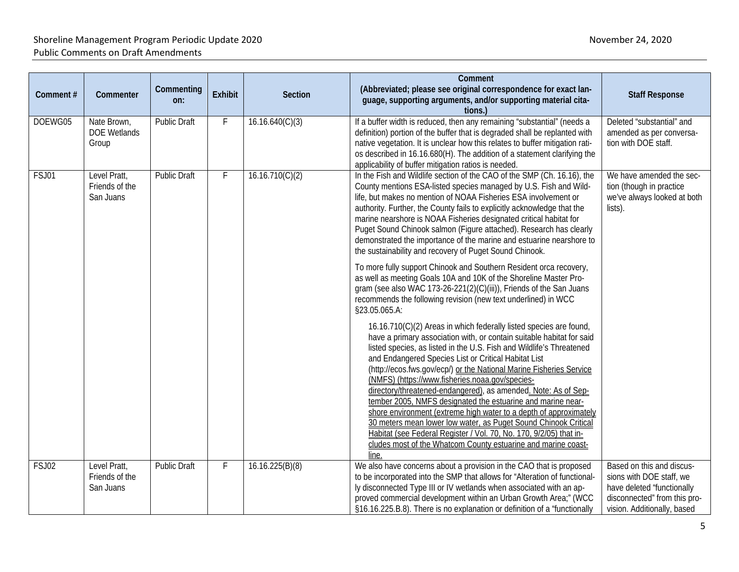| Comment# | Commenter                                   | Commenting<br>on:   | <b>Exhibit</b> | Section         | Comment<br>(Abbreviated; please see original correspondence for exact lan-<br>guage, supporting arguments, and/or supporting material cita-<br>tions.)                                                                                                                                                                                                                                                                                                                                                                                                                                                                                                                                                                                                                                                                                                                                                                                                                                                                                                                                                                                                                                                                                                                                                                                                                                                                                                                                                                                                                                                                                                                                                  | <b>Staff Response</b>                                                                                                 |
|----------|---------------------------------------------|---------------------|----------------|-----------------|---------------------------------------------------------------------------------------------------------------------------------------------------------------------------------------------------------------------------------------------------------------------------------------------------------------------------------------------------------------------------------------------------------------------------------------------------------------------------------------------------------------------------------------------------------------------------------------------------------------------------------------------------------------------------------------------------------------------------------------------------------------------------------------------------------------------------------------------------------------------------------------------------------------------------------------------------------------------------------------------------------------------------------------------------------------------------------------------------------------------------------------------------------------------------------------------------------------------------------------------------------------------------------------------------------------------------------------------------------------------------------------------------------------------------------------------------------------------------------------------------------------------------------------------------------------------------------------------------------------------------------------------------------------------------------------------------------|-----------------------------------------------------------------------------------------------------------------------|
| DOEWG05  | Nate Brown,<br><b>DOE Wetlands</b><br>Group | Public Draft        | F              | 16.16.640(C)(3) | If a buffer width is reduced, then any remaining "substantial" (needs a<br>definition) portion of the buffer that is degraded shall be replanted with<br>native vegetation. It is unclear how this relates to buffer mitigation rati-<br>os described in 16.16.680(H). The addition of a statement clarifying the<br>applicability of buffer mitigation ratios is needed.                                                                                                                                                                                                                                                                                                                                                                                                                                                                                                                                                                                                                                                                                                                                                                                                                                                                                                                                                                                                                                                                                                                                                                                                                                                                                                                               | Deleted "substantial" and<br>amended as per conversa-<br>tion with DOE staff.                                         |
| FSJ01    | Level Pratt,<br>Friends of the<br>San Juans | <b>Public Draft</b> | F              | 16.16.710(C)(2) | In the Fish and Wildlife section of the CAO of the SMP (Ch. 16.16), the<br>County mentions ESA-listed species managed by U.S. Fish and Wild-<br>life, but makes no mention of NOAA Fisheries ESA involvement or<br>authority. Further, the County fails to explicitly acknowledge that the<br>marine nearshore is NOAA Fisheries designated critical habitat for<br>Puget Sound Chinook salmon (Figure attached). Research has clearly<br>demonstrated the importance of the marine and estuarine nearshore to<br>the sustainability and recovery of Puget Sound Chinook.<br>To more fully support Chinook and Southern Resident orca recovery,<br>as well as meeting Goals 10A and 10K of the Shoreline Master Pro-<br>gram (see also WAC 173-26-221(2)(C)(iii)), Friends of the San Juans<br>recommends the following revision (new text underlined) in WCC<br>§23.05.065.A:<br>16.16.710(C)(2) Areas in which federally listed species are found,<br>have a primary association with, or contain suitable habitat for said<br>listed species, as listed in the U.S. Fish and Wildlife's Threatened<br>and Endangered Species List or Critical Habitat List<br>(http://ecos.fws.gov/ecp/) or the National Marine Fisheries Service<br>(NMFS) (https://www.fisheries.noaa.gov/species-<br>directory/threatened-endangered), as amended. Note: As of Sep-<br>tember 2005, NMFS designated the estuarine and marine near-<br>shore environment (extreme high water to a depth of approximately<br>30 meters mean lower low water, as Puget Sound Chinook Critical<br>Habitat (see Federal Register / Vol. 70, No. 170, 9/2/05) that in-<br>cludes most of the Whatcom County estuarine and marine coast- | We have amended the sec-<br>tion (though in practice<br>we've always looked at both<br>lists).                        |
| FSJ02    | Level Pratt,                                | <b>Public Draft</b> | F              | 16.16.225(B)(8) | line<br>We also have concerns about a provision in the CAO that is proposed                                                                                                                                                                                                                                                                                                                                                                                                                                                                                                                                                                                                                                                                                                                                                                                                                                                                                                                                                                                                                                                                                                                                                                                                                                                                                                                                                                                                                                                                                                                                                                                                                             | Based on this and discus-                                                                                             |
|          | Friends of the<br>San Juans                 |                     |                |                 | to be incorporated into the SMP that allows for "Alteration of functional-<br>ly disconnected Type III or IV wetlands when associated with an ap-<br>proved commercial development within an Urban Growth Area;" (WCC<br>§16.16.225.B.8). There is no explanation or definition of a "functionally                                                                                                                                                                                                                                                                                                                                                                                                                                                                                                                                                                                                                                                                                                                                                                                                                                                                                                                                                                                                                                                                                                                                                                                                                                                                                                                                                                                                      | sions with DOE staff, we<br>have deleted "functionally<br>disconnected" from this pro-<br>vision. Additionally, based |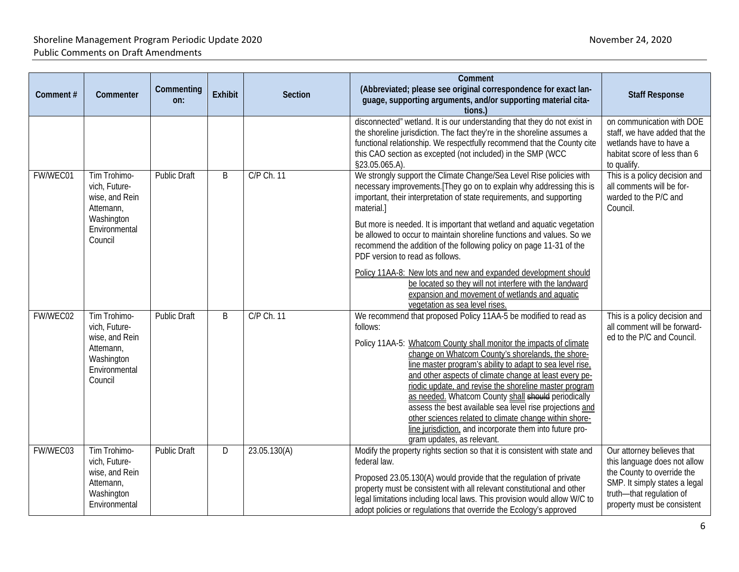| Comment# | Commenter                                                                                              | Commenting<br>on:   | <b>Exhibit</b> | <b>Section</b> | Comment<br>(Abbreviated; please see original correspondence for exact lan-<br>guage, supporting arguments, and/or supporting material cita-<br>tions.)                                                                                                                                                                                                                                                                                                                                                                                                                                                                                                                                                              | <b>Staff Response</b>                                                                                                                                                                |
|----------|--------------------------------------------------------------------------------------------------------|---------------------|----------------|----------------|---------------------------------------------------------------------------------------------------------------------------------------------------------------------------------------------------------------------------------------------------------------------------------------------------------------------------------------------------------------------------------------------------------------------------------------------------------------------------------------------------------------------------------------------------------------------------------------------------------------------------------------------------------------------------------------------------------------------|--------------------------------------------------------------------------------------------------------------------------------------------------------------------------------------|
|          |                                                                                                        |                     |                |                | disconnected" wetland. It is our understanding that they do not exist in<br>the shoreline jurisdiction. The fact they're in the shoreline assumes a<br>functional relationship. We respectfully recommend that the County cite<br>this CAO section as excepted (not included) in the SMP (WCC<br>§23.05.065.A).                                                                                                                                                                                                                                                                                                                                                                                                     | on communication with DOE<br>staff, we have added that the<br>wetlands have to have a<br>habitat score of less than 6<br>to qualify.                                                 |
| FW/WEC01 | Tim Trohimo-<br>vich, Future-<br>wise, and Rein<br>Attemann,<br>Washington<br>Environmental<br>Council | <b>Public Draft</b> | B              | C/P Ch. 11     | We strongly support the Climate Change/Sea Level Rise policies with<br>necessary improvements. [They go on to explain why addressing this is<br>important, their interpretation of state requirements, and supporting<br>material.]<br>But more is needed. It is important that wetland and aquatic vegetation<br>be allowed to occur to maintain shoreline functions and values. So we<br>recommend the addition of the following policy on page 11-31 of the<br>PDF version to read as follows.<br>Policy 11AA-8: New lots and new and expanded development should<br>be located so they will not interfere with the landward<br>expansion and movement of wetlands and aquatic<br>vegetation as sea level rises. | This is a policy decision and<br>all comments will be for-<br>warded to the P/C and<br>Council.                                                                                      |
| FW/WEC02 | Tim Trohimo-<br>vich, Future-<br>wise, and Rein<br>Attemann,<br>Washington<br>Environmental<br>Council | <b>Public Draft</b> | B              | C/P Ch. 11     | We recommend that proposed Policy 11AA-5 be modified to read as<br>follows:<br>Policy 11AA-5: Whatcom County shall monitor the impacts of climate<br>change on Whatcom County's shorelands, the shore-<br>line master program's ability to adapt to sea level rise.<br>and other aspects of climate change at least every pe-<br>riodic update, and revise the shoreline master program<br>as needed. Whatcom County shall should periodically<br>assess the best available sea level rise projections and<br>other sciences related to climate change within shore-<br>line jurisdiction, and incorporate them into future pro-<br>gram updates, as relevant.                                                      | This is a policy decision and<br>all comment will be forward-<br>ed to the P/C and Council.                                                                                          |
| FW/WEC03 | Tim Trohimo-<br>vich, Future-<br>wise, and Rein<br>Attemann,<br>Washington<br>Environmental            | <b>Public Draft</b> | D              | 23.05.130(A)   | Modify the property rights section so that it is consistent with state and<br>federal law.<br>Proposed 23.05.130(A) would provide that the regulation of private<br>property must be consistent with all relevant constitutional and other<br>legal limitations including local laws. This provision would allow W/C to<br>adopt policies or regulations that override the Ecology's approved                                                                                                                                                                                                                                                                                                                       | Our attorney believes that<br>this language does not allow<br>the County to override the<br>SMP. It simply states a legal<br>truth-that regulation of<br>property must be consistent |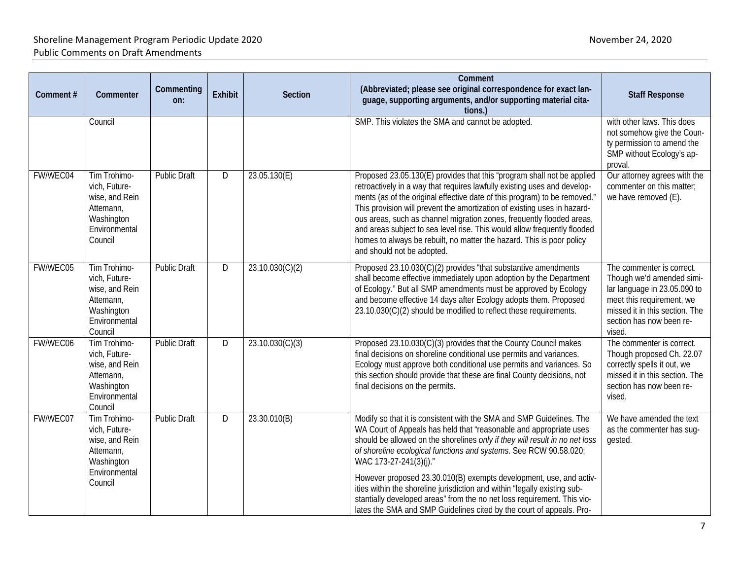| Comment# | Commenter                                                                                              | Commenting<br>on:   | Exhibit | Section         | Comment<br>(Abbreviated; please see original correspondence for exact lan-<br>guage, supporting arguments, and/or supporting material cita-<br>tions.)                                                                                                                                                                                                                                                                                                                                                                                                                  | <b>Staff Response</b>                                                                                                                                                                       |
|----------|--------------------------------------------------------------------------------------------------------|---------------------|---------|-----------------|-------------------------------------------------------------------------------------------------------------------------------------------------------------------------------------------------------------------------------------------------------------------------------------------------------------------------------------------------------------------------------------------------------------------------------------------------------------------------------------------------------------------------------------------------------------------------|---------------------------------------------------------------------------------------------------------------------------------------------------------------------------------------------|
|          | Council                                                                                                |                     |         |                 | SMP. This violates the SMA and cannot be adopted.                                                                                                                                                                                                                                                                                                                                                                                                                                                                                                                       | with other laws. This does<br>not somehow give the Coun-<br>ty permission to amend the<br>SMP without Ecology's ap-<br>proval.                                                              |
| FW/WEC04 | Tim Trohimo-<br>vich, Future-<br>wise, and Rein<br>Attemann,<br>Washington<br>Environmental<br>Council | <b>Public Draft</b> | D       | 23.05.130(E)    | Proposed 23.05.130(E) provides that this "program shall not be applied<br>retroactively in a way that requires lawfully existing uses and develop-<br>ments (as of the original effective date of this program) to be removed."<br>This provision will prevent the amortization of existing uses in hazard-<br>ous areas, such as channel migration zones, frequently flooded areas,<br>and areas subject to sea level rise. This would allow frequently flooded<br>homes to always be rebuilt, no matter the hazard. This is poor policy<br>and should not be adopted. | Our attorney agrees with the<br>commenter on this matter;<br>we have removed (E).                                                                                                           |
| FW/WEC05 | Tim Trohimo-<br>vich, Future-<br>wise, and Rein<br>Attemann,<br>Washington<br>Environmental<br>Council | <b>Public Draft</b> | D       | 23.10.030(C)(2) | Proposed 23.10.030(C)(2) provides "that substantive amendments<br>shall become effective immediately upon adoption by the Department<br>of Ecology." But all SMP amendments must be approved by Ecology<br>and become effective 14 days after Ecology adopts them. Proposed<br>23.10.030(C)(2) should be modified to reflect these requirements.                                                                                                                                                                                                                        | The commenter is correct.<br>Though we'd amended simi-<br>lar language in 23.05.090 to<br>meet this requirement, we<br>missed it in this section. The<br>section has now been re-<br>vised. |
| FW/WEC06 | Tim Trohimo-<br>vich, Future-<br>wise, and Rein<br>Attemann,<br>Washington<br>Environmental<br>Council | <b>Public Draft</b> | D       | 23.10.030(C)(3) | Proposed 23.10.030(C)(3) provides that the County Council makes<br>final decisions on shoreline conditional use permits and variances.<br>Ecology must approve both conditional use permits and variances. So<br>this section should provide that these are final County decisions, not<br>final decisions on the permits.                                                                                                                                                                                                                                              | The commenter is correct.<br>Though proposed Ch. 22.07<br>correctly spells it out, we<br>missed it in this section. The<br>section has now been re-<br>vised.                               |
| FW/WEC07 | Tim Trohimo-<br>vich, Future-<br>wise, and Rein<br>Attemann,<br>Washington<br>Environmental            | <b>Public Draft</b> | D       | 23.30.010(B)    | Modify so that it is consistent with the SMA and SMP Guidelines. The<br>WA Court of Appeals has held that "reasonable and appropriate uses<br>should be allowed on the shorelines only if they will result in no net loss<br>of shoreline ecological functions and systems. See RCW 90.58.020;<br>WAC 173-27-241(3)(j)."                                                                                                                                                                                                                                                | We have amended the text<br>as the commenter has sug-<br>gested.                                                                                                                            |
|          | Council                                                                                                |                     |         |                 | However proposed 23.30.010(B) exempts development, use, and activ-<br>ities within the shoreline jurisdiction and within "legally existing sub-<br>stantially developed areas" from the no net loss requirement. This vio-<br>lates the SMA and SMP Guidelines cited by the court of appeals. Pro-                                                                                                                                                                                                                                                                      |                                                                                                                                                                                             |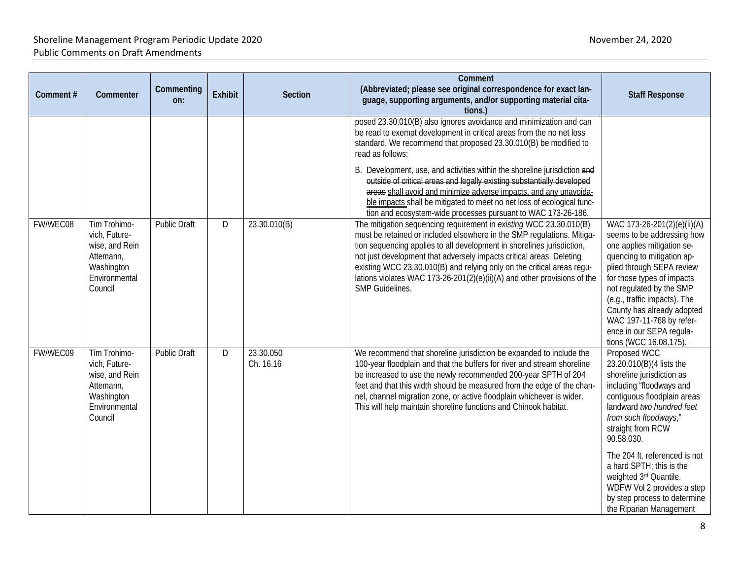| Comment# | Commenter                                                                                              | Commenting<br>on:   | <b>Exhibit</b> | <b>Section</b>         | Comment<br>(Abbreviated; please see original correspondence for exact lan-<br>guage, supporting arguments, and/or supporting material cita-<br>tions.)                                                                                                                                                                                                                                                                                                                  | <b>Staff Response</b>                                                                                                                                                                                                                                                                                                                                        |
|----------|--------------------------------------------------------------------------------------------------------|---------------------|----------------|------------------------|-------------------------------------------------------------------------------------------------------------------------------------------------------------------------------------------------------------------------------------------------------------------------------------------------------------------------------------------------------------------------------------------------------------------------------------------------------------------------|--------------------------------------------------------------------------------------------------------------------------------------------------------------------------------------------------------------------------------------------------------------------------------------------------------------------------------------------------------------|
|          |                                                                                                        |                     |                |                        | posed 23.30.010(B) also ignores avoidance and minimization and can<br>be read to exempt development in critical areas from the no net loss<br>standard. We recommend that proposed 23.30.010(B) be modified to<br>read as follows:                                                                                                                                                                                                                                      |                                                                                                                                                                                                                                                                                                                                                              |
|          |                                                                                                        |                     |                |                        | B. Development, use, and activities within the shoreline jurisdiction and<br>outside of critical areas and legally existing substantially developed<br>areas shall avoid and minimize adverse impacts, and any unavoida-<br>ble impacts shall be mitigated to meet no net loss of ecological func-<br>tion and ecosystem-wide processes pursuant to WAC 173-26-186.                                                                                                     |                                                                                                                                                                                                                                                                                                                                                              |
| FW/WEC08 | Tim Trohimo-<br>vich, Future-<br>wise, and Rein<br>Attemann,<br>Washington<br>Environmental<br>Council | <b>Public Draft</b> | D              | 23.30.010(B)           | The mitigation sequencing requirement in existing WCC 23.30.010(B)<br>must be retained or included elsewhere in the SMP regulations. Mitiga-<br>tion sequencing applies to all development in shorelines jurisdiction,<br>not just development that adversely impacts critical areas. Deleting<br>existing WCC 23.30.010(B) and relying only on the critical areas regu-<br>lations violates WAC 173-26-201(2)(e)(ii)(A) and other provisions of the<br>SMP Guidelines. | WAC 173-26-201(2)(e)(ii)(A)<br>seems to be addressing how<br>one applies mitigation se-<br>quencing to mitigation ap-<br>plied through SEPA review<br>for those types of impacts<br>not regulated by the SMP<br>(e.g., traffic impacts). The<br>County has already adopted<br>WAC 197-11-768 by refer-<br>ence in our SEPA regula-<br>tions (WCC 16.08.175). |
| FW/WEC09 | Tim Trohimo-<br>vich, Future-<br>wise, and Rein<br>Attemann,<br>Washington<br>Environmental<br>Council | <b>Public Draft</b> | D              | 23.30.050<br>Ch. 16.16 | We recommend that shoreline jurisdiction be expanded to include the<br>100-year floodplain and that the buffers for river and stream shoreline<br>be increased to use the newly recommended 200-year SPTH of 204<br>feet and that this width should be measured from the edge of the chan-<br>nel, channel migration zone, or active floodplain whichever is wider.<br>This will help maintain shoreline functions and Chinook habitat.                                 | Proposed WCC<br>23.20.010(B)(4 lists the<br>shoreline jurisdiction as<br>including "floodways and<br>contiguous floodplain areas<br>landward two hundred feet<br>from such floodways,"<br>straight from RCW<br>90.58.030.                                                                                                                                    |
|          |                                                                                                        |                     |                |                        |                                                                                                                                                                                                                                                                                                                                                                                                                                                                         | The 204 ft. referenced is not<br>a hard SPTH; this is the<br>weighted 3rd Quantile.<br>WDFW Vol 2 provides a step<br>by step process to determine<br>the Riparian Management                                                                                                                                                                                 |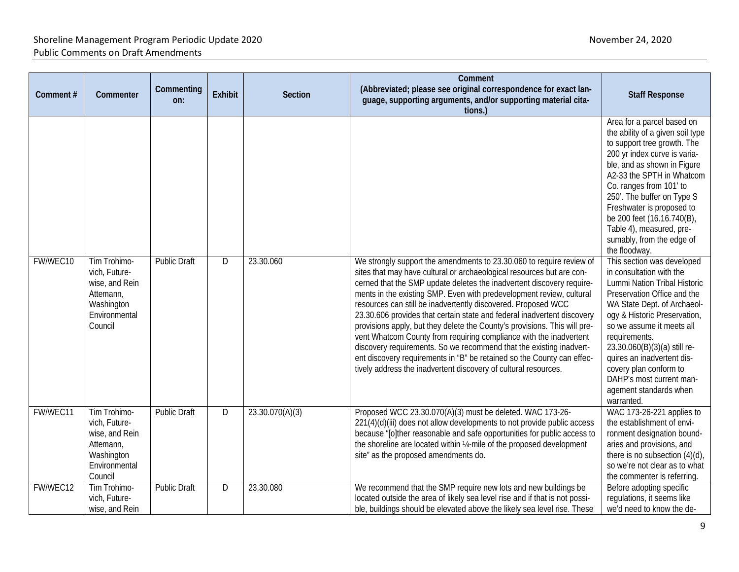| Comment# | Commenter                                                                                              | Commenting<br>on:   | <b>Exhibit</b> | Section         | Comment<br>(Abbreviated; please see original correspondence for exact lan-<br>guage, supporting arguments, and/or supporting material cita-<br>tions.)                                                                                                                                                                                                                                                                                     | <b>Staff Response</b>                                                                                                                                                                                                                                                                                                                                                                                                                                                                                                                                                           |
|----------|--------------------------------------------------------------------------------------------------------|---------------------|----------------|-----------------|--------------------------------------------------------------------------------------------------------------------------------------------------------------------------------------------------------------------------------------------------------------------------------------------------------------------------------------------------------------------------------------------------------------------------------------------|---------------------------------------------------------------------------------------------------------------------------------------------------------------------------------------------------------------------------------------------------------------------------------------------------------------------------------------------------------------------------------------------------------------------------------------------------------------------------------------------------------------------------------------------------------------------------------|
| FW/WEC10 | Tim Trohimo-<br>vich, Future-<br>wise, and Rein<br>Attemann,<br>Washington<br>Environmental            | <b>Public Draft</b> | D              | 23.30.060       | We strongly support the amendments to 23.30.060 to require review of<br>sites that may have cultural or archaeological resources but are con-<br>cerned that the SMP update deletes the inadvertent discovery require-<br>ments in the existing SMP. Even with predevelopment review, cultural<br>resources can still be inadvertently discovered. Proposed WCC<br>23.30.606 provides that certain state and federal inadvertent discovery | Area for a parcel based on<br>the ability of a given soil type<br>to support tree growth. The<br>200 yr index curve is varia-<br>ble, and as shown in Figure<br>A2-33 the SPTH in Whatcom<br>Co. ranges from 101' to<br>250'. The buffer on Type S<br>Freshwater is proposed to<br>be 200 feet (16.16.740(B),<br>Table 4), measured, pre-<br>sumably, from the edge of<br>the floodway.<br>This section was developed<br>in consultation with the<br>Lummi Nation Tribal Historic<br>Preservation Office and the<br>WA State Dept. of Archaeol-<br>ogy & Historic Preservation, |
|          | Council                                                                                                |                     |                |                 | provisions apply, but they delete the County's provisions. This will pre-<br>vent Whatcom County from requiring compliance with the inadvertent<br>discovery requirements. So we recommend that the existing inadvert-<br>ent discovery requirements in "B" be retained so the County can effec-<br>tively address the inadvertent discovery of cultural resources.                                                                        | so we assume it meets all<br>requirements.<br>23.30.060(B)(3)(a) still re-<br>quires an inadvertent dis-<br>covery plan conform to<br>DAHP's most current man-<br>agement standards when<br>warranted.                                                                                                                                                                                                                                                                                                                                                                          |
| FW/WEC11 | Tim Trohimo-<br>vich, Future-<br>wise, and Rein<br>Attemann,<br>Washington<br>Environmental<br>Council | <b>Public Draft</b> | D              | 23.30.070(A)(3) | Proposed WCC 23.30.070(A)(3) must be deleted. WAC 173-26-<br>221(4)(d)(iii) does not allow developments to not provide public access<br>because "[o]ther reasonable and safe opportunities for public access to<br>the shoreline are located within 1/4-mile of the proposed development<br>site" as the proposed amendments do.                                                                                                           | WAC 173-26-221 applies to<br>the establishment of envi-<br>ronment designation bound-<br>aries and provisions, and<br>there is no subsection (4)(d),<br>so we're not clear as to what<br>the commenter is referring.                                                                                                                                                                                                                                                                                                                                                            |
| FW/WEC12 | Tim Trohimo-<br>vich, Future-<br>wise, and Rein                                                        | <b>Public Draft</b> | D              | 23.30.080       | We recommend that the SMP require new lots and new buildings be<br>located outside the area of likely sea level rise and if that is not possi-<br>ble, buildings should be elevated above the likely sea level rise. These                                                                                                                                                                                                                 | Before adopting specific<br>regulations, it seems like<br>we'd need to know the de-                                                                                                                                                                                                                                                                                                                                                                                                                                                                                             |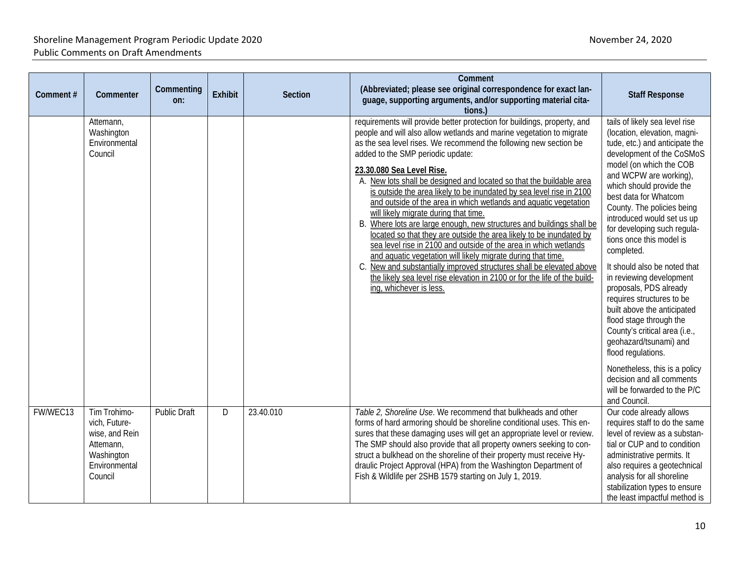| Comment# | Commenter                                                                                              | Commenting<br>on: | <b>Exhibit</b> | <b>Section</b> | Comment<br>(Abbreviated; please see original correspondence for exact lan-<br>guage, supporting arguments, and/or supporting material cita-<br>tions.)                                                                                                                                                                                                                                                                                                                                                                                                                                                                                                                                                                                                                                                                                                                                                                                                                                                                   | <b>Staff Response</b>                                                                                                                                                                                                                                                                                                                                                                                                                                                                                                                                                                                                                                                                                                                                    |
|----------|--------------------------------------------------------------------------------------------------------|-------------------|----------------|----------------|--------------------------------------------------------------------------------------------------------------------------------------------------------------------------------------------------------------------------------------------------------------------------------------------------------------------------------------------------------------------------------------------------------------------------------------------------------------------------------------------------------------------------------------------------------------------------------------------------------------------------------------------------------------------------------------------------------------------------------------------------------------------------------------------------------------------------------------------------------------------------------------------------------------------------------------------------------------------------------------------------------------------------|----------------------------------------------------------------------------------------------------------------------------------------------------------------------------------------------------------------------------------------------------------------------------------------------------------------------------------------------------------------------------------------------------------------------------------------------------------------------------------------------------------------------------------------------------------------------------------------------------------------------------------------------------------------------------------------------------------------------------------------------------------|
|          | Attemann,<br>Washington<br>Environmental<br>Council                                                    |                   |                |                | requirements will provide better protection for buildings, property, and<br>people and will also allow wetlands and marine vegetation to migrate<br>as the sea level rises. We recommend the following new section be<br>added to the SMP periodic update:<br>23.30.080 Sea Level Rise.<br>A. New lots shall be designed and located so that the buildable area<br>is outside the area likely to be inundated by sea level rise in 2100<br>and outside of the area in which wetlands and aquatic vegetation<br>will likely migrate during that time.<br>B. Where lots are large enough, new structures and buildings shall be<br>located so that they are outside the area likely to be inundated by<br>sea level rise in 2100 and outside of the area in which wetlands<br>and aquatic vegetation will likely migrate during that time.<br>C. New and substantially improved structures shall be elevated above<br>the likely sea level rise elevation in 2100 or for the life of the build-<br>ing, whichever is less. | tails of likely sea level rise<br>(location, elevation, magni-<br>tude, etc.) and anticipate the<br>development of the CoSMoS<br>model (on which the COB<br>and WCPW are working),<br>which should provide the<br>best data for Whatcom<br>County. The policies being<br>introduced would set us up<br>for developing such regula-<br>tions once this model is<br>completed.<br>It should also be noted that<br>in reviewing development<br>proposals, PDS already<br>requires structures to be<br>built above the anticipated<br>flood stage through the<br>County's critical area (i.e.,<br>geohazard/tsunami) and<br>flood regulations.<br>Nonetheless, this is a policy<br>decision and all comments<br>will be forwarded to the P/C<br>and Council. |
| FW/WEC13 | Tim Trohimo-<br>vich, Future-<br>wise, and Rein<br>Attemann,<br>Washington<br>Environmental<br>Council | Public Draft      | D              | 23.40.010      | Table 2, Shoreline Use. We recommend that bulkheads and other<br>forms of hard armoring should be shoreline conditional uses. This en-<br>sures that these damaging uses will get an appropriate level or review.<br>The SMP should also provide that all property owners seeking to con-<br>struct a bulkhead on the shoreline of their property must receive Hy-<br>draulic Project Approval (HPA) from the Washington Department of<br>Fish & Wildlife per 2SHB 1579 starting on July 1, 2019.                                                                                                                                                                                                                                                                                                                                                                                                                                                                                                                        | Our code already allows<br>requires staff to do the same<br>level of review as a substan-<br>tial or CUP and to condition<br>administrative permits. It<br>also requires a geotechnical<br>analysis for all shoreline<br>stabilization types to ensure<br>the least impactful method is                                                                                                                                                                                                                                                                                                                                                                                                                                                                  |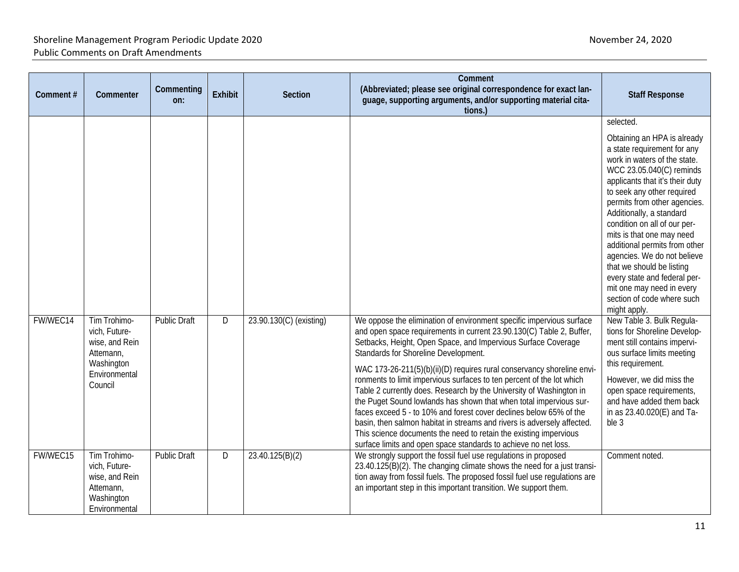| Comment# | Commenter                                                                                              | Commenting<br>on:   | <b>Exhibit</b> | Section                 | Comment<br>(Abbreviated; please see original correspondence for exact lan-<br>guage, supporting arguments, and/or supporting material cita-<br>tions.)                                                                                                                                                                                                                                                                                                                                                                                                                                                                                                                                                                                                                                                                                         | <b>Staff Response</b>                                                                                                                                                                                                                                                                                                                                                                                                                                                                                                                 |
|----------|--------------------------------------------------------------------------------------------------------|---------------------|----------------|-------------------------|------------------------------------------------------------------------------------------------------------------------------------------------------------------------------------------------------------------------------------------------------------------------------------------------------------------------------------------------------------------------------------------------------------------------------------------------------------------------------------------------------------------------------------------------------------------------------------------------------------------------------------------------------------------------------------------------------------------------------------------------------------------------------------------------------------------------------------------------|---------------------------------------------------------------------------------------------------------------------------------------------------------------------------------------------------------------------------------------------------------------------------------------------------------------------------------------------------------------------------------------------------------------------------------------------------------------------------------------------------------------------------------------|
|          |                                                                                                        |                     |                |                         |                                                                                                                                                                                                                                                                                                                                                                                                                                                                                                                                                                                                                                                                                                                                                                                                                                                | selected.<br>Obtaining an HPA is already<br>a state requirement for any<br>work in waters of the state.<br>WCC 23.05.040(C) reminds<br>applicants that it's their duty<br>to seek any other required<br>permits from other agencies.<br>Additionally, a standard<br>condition on all of our per-<br>mits is that one may need<br>additional permits from other<br>agencies. We do not believe<br>that we should be listing<br>every state and federal per-<br>mit one may need in every<br>section of code where such<br>might apply. |
| FW/WEC14 | Tim Trohimo-<br>vich, Future-<br>wise, and Rein<br>Attemann,<br>Washington<br>Environmental<br>Council | <b>Public Draft</b> | D              | 23.90.130(C) (existing) | We oppose the elimination of environment specific impervious surface<br>and open space requirements in current 23.90.130(C) Table 2, Buffer,<br>Setbacks, Height, Open Space, and Impervious Surface Coverage<br>Standards for Shoreline Development.<br>WAC 173-26-211(5)(b)(ii)(D) requires rural conservancy shoreline envi-<br>ronments to limit impervious surfaces to ten percent of the lot which<br>Table 2 currently does. Research by the University of Washington in<br>the Puget Sound lowlands has shown that when total impervious sur-<br>faces exceed 5 - to 10% and forest cover declines below 65% of the<br>basin, then salmon habitat in streams and rivers is adversely affected.<br>This science documents the need to retain the existing impervious<br>surface limits and open space standards to achieve no net loss. | New Table 3. Bulk Regula-<br>tions for Shoreline Develop-<br>ment still contains impervi-<br>ous surface limits meeting<br>this requirement.<br>However, we did miss the<br>open space requirements,<br>and have added them back<br>in as 23.40.020(E) and Ta-<br>ble 3                                                                                                                                                                                                                                                               |
| FW/WEC15 | Tim Trohimo-<br>vich, Future-<br>wise, and Rein<br>Attemann,<br>Washington<br>Environmental            | <b>Public Draft</b> | D              | 23.40.125(B)(2)         | We strongly support the fossil fuel use regulations in proposed<br>23.40.125(B)(2). The changing climate shows the need for a just transi-<br>tion away from fossil fuels. The proposed fossil fuel use regulations are<br>an important step in this important transition. We support them.                                                                                                                                                                                                                                                                                                                                                                                                                                                                                                                                                    | Comment noted.                                                                                                                                                                                                                                                                                                                                                                                                                                                                                                                        |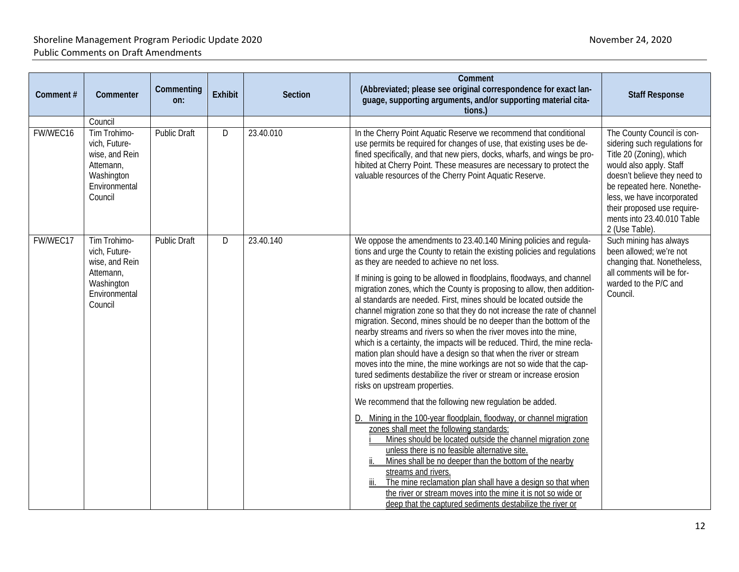| Comment# | Commenter                                                                              | Commenting<br>on:   | <b>Exhibit</b> | Section   | Comment<br>(Abbreviated; please see original correspondence for exact lan-<br>guage, supporting arguments, and/or supporting material cita-<br>tions.)                                                                                                                                                                                                                                                                                                                                                                                                                                                                                                                                                                                                                            | <b>Staff Response</b>                                                                                                                                                                                                                                           |
|----------|----------------------------------------------------------------------------------------|---------------------|----------------|-----------|-----------------------------------------------------------------------------------------------------------------------------------------------------------------------------------------------------------------------------------------------------------------------------------------------------------------------------------------------------------------------------------------------------------------------------------------------------------------------------------------------------------------------------------------------------------------------------------------------------------------------------------------------------------------------------------------------------------------------------------------------------------------------------------|-----------------------------------------------------------------------------------------------------------------------------------------------------------------------------------------------------------------------------------------------------------------|
| FW/WEC16 | Council<br>Tim Trohimo-                                                                | <b>Public Draft</b> | D              | 23.40.010 | In the Cherry Point Aquatic Reserve we recommend that conditional                                                                                                                                                                                                                                                                                                                                                                                                                                                                                                                                                                                                                                                                                                                 | The County Council is con-                                                                                                                                                                                                                                      |
|          | vich, Future-<br>wise, and Rein<br>Attemann,<br>Washington<br>Environmental<br>Council |                     |                |           | use permits be required for changes of use, that existing uses be de-<br>fined specifically, and that new piers, docks, wharfs, and wings be pro-<br>hibited at Cherry Point. These measures are necessary to protect the<br>valuable resources of the Cherry Point Aquatic Reserve.                                                                                                                                                                                                                                                                                                                                                                                                                                                                                              | sidering such regulations for<br>Title 20 (Zoning), which<br>would also apply. Staff<br>doesn't believe they need to<br>be repeated here. Nonethe-<br>less, we have incorporated<br>their proposed use require-<br>ments into 23.40.010 Table<br>2 (Use Table). |
| FW/WEC17 | Tim Trohimo-<br>vich, Future-<br>wise, and Rein                                        | <b>Public Draft</b> | D              | 23.40.140 | We oppose the amendments to 23.40.140 Mining policies and regula-<br>tions and urge the County to retain the existing policies and regulations<br>as they are needed to achieve no net loss.                                                                                                                                                                                                                                                                                                                                                                                                                                                                                                                                                                                      | Such mining has always<br>been allowed; we're not<br>changing that. Nonetheless,                                                                                                                                                                                |
|          | Attemann,<br>Washington<br>Environmental<br>Council                                    |                     |                |           | If mining is going to be allowed in floodplains, floodways, and channel<br>migration zones, which the County is proposing to allow, then addition-<br>al standards are needed. First, mines should be located outside the<br>channel migration zone so that they do not increase the rate of channel<br>migration. Second, mines should be no deeper than the bottom of the<br>nearby streams and rivers so when the river moves into the mine,<br>which is a certainty, the impacts will be reduced. Third, the mine recla-<br>mation plan should have a design so that when the river or stream<br>moves into the mine, the mine workings are not so wide that the cap-<br>tured sediments destabilize the river or stream or increase erosion<br>risks on upstream properties. | all comments will be for-<br>warded to the P/C and<br>Council.                                                                                                                                                                                                  |
|          |                                                                                        |                     |                |           | We recommend that the following new regulation be added.                                                                                                                                                                                                                                                                                                                                                                                                                                                                                                                                                                                                                                                                                                                          |                                                                                                                                                                                                                                                                 |
|          |                                                                                        |                     |                |           | D. Mining in the 100-year floodplain, floodway, or channel migration<br>zones shall meet the following standards:<br>Mines should be located outside the channel migration zone<br>unless there is no feasible alternative site.<br>Mines shall be no deeper than the bottom of the nearby<br>streams and rivers.<br>The mine reclamation plan shall have a design so that when<br>the river or stream moves into the mine it is not so wide or<br>deep that the captured sediments destabilize the river or                                                                                                                                                                                                                                                                      |                                                                                                                                                                                                                                                                 |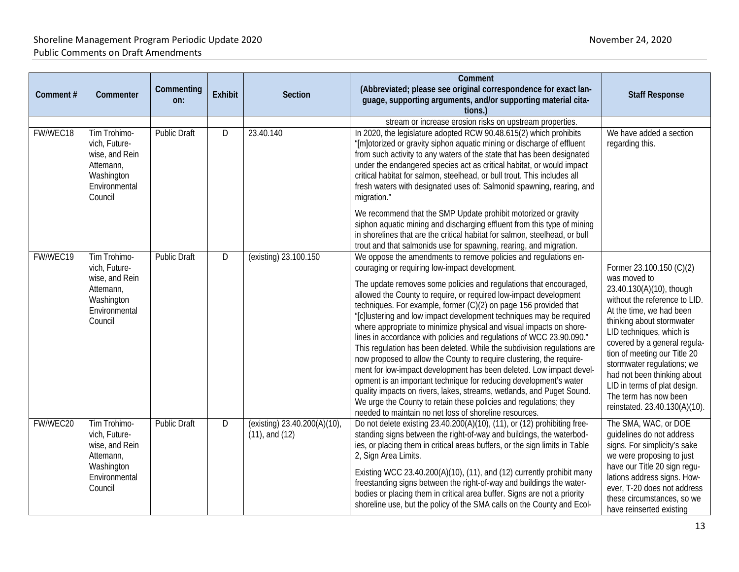| Comment# | Commenter                                                                                              | Commenting<br>on:   | Exhibit | Section                                             | Comment<br>(Abbreviated; please see original correspondence for exact lan-<br>guage, supporting arguments, and/or supporting material cita-<br>tions.)                                                                                                                                                                                                                                                                                                                                                                                                                                                                                                                                                                                                                                                                                                                                                                                                                                                                                                                                                                             | <b>Staff Response</b>                                                                                                                                                                                                                                                                                                                                                                                             |
|----------|--------------------------------------------------------------------------------------------------------|---------------------|---------|-----------------------------------------------------|------------------------------------------------------------------------------------------------------------------------------------------------------------------------------------------------------------------------------------------------------------------------------------------------------------------------------------------------------------------------------------------------------------------------------------------------------------------------------------------------------------------------------------------------------------------------------------------------------------------------------------------------------------------------------------------------------------------------------------------------------------------------------------------------------------------------------------------------------------------------------------------------------------------------------------------------------------------------------------------------------------------------------------------------------------------------------------------------------------------------------------|-------------------------------------------------------------------------------------------------------------------------------------------------------------------------------------------------------------------------------------------------------------------------------------------------------------------------------------------------------------------------------------------------------------------|
| FW/WEC18 | Tim Trohimo-<br>vich, Future-<br>wise, and Rein<br>Attemann,<br>Washington<br>Environmental<br>Council | <b>Public Draft</b> | D       | 23.40.140                                           | stream or increase erosion risks on upstream properties.<br>In 2020, the legislature adopted RCW 90.48.615(2) which prohibits<br>"[m]otorized or gravity siphon aquatic mining or discharge of effluent<br>from such activity to any waters of the state that has been designated<br>under the endangered species act as critical habitat, or would impact<br>critical habitat for salmon, steelhead, or bull trout. This includes all<br>fresh waters with designated uses of: Salmonid spawning, rearing, and<br>migration."<br>We recommend that the SMP Update prohibit motorized or gravity<br>siphon aquatic mining and discharging effluent from this type of mining<br>in shorelines that are the critical habitat for salmon, steelhead, or bull                                                                                                                                                                                                                                                                                                                                                                          | We have added a section<br>regarding this.                                                                                                                                                                                                                                                                                                                                                                        |
| FW/WEC19 | Tim Trohimo-<br>vich, Future-<br>wise, and Rein<br>Attemann,<br>Washington<br>Environmental<br>Council | <b>Public Draft</b> | D       | (existing) 23.100.150                               | trout and that salmonids use for spawning, rearing, and migration.<br>We oppose the amendments to remove policies and regulations en-<br>couraging or requiring low-impact development.<br>The update removes some policies and regulations that encouraged,<br>allowed the County to require, or required low-impact development<br>techniques. For example, former (C)(2) on page 156 provided that<br>"[c]lustering and low impact development techniques may be required<br>where appropriate to minimize physical and visual impacts on shore-<br>lines in accordance with policies and regulations of WCC 23.90.090."<br>This regulation has been deleted. While the subdivision regulations are<br>now proposed to allow the County to require clustering, the require-<br>ment for low-impact development has been deleted. Low impact devel-<br>opment is an important technique for reducing development's water<br>quality impacts on rivers, lakes, streams, wetlands, and Puget Sound.<br>We urge the County to retain these policies and regulations; they<br>needed to maintain no net loss of shoreline resources. | Former 23.100.150 (C)(2)<br>was moved to<br>23.40.130(A)(10), though<br>without the reference to LID.<br>At the time, we had been<br>thinking about stormwater<br>LID techniques, which is<br>covered by a general regula-<br>tion of meeting our Title 20<br>stormwater regulations; we<br>had not been thinking about<br>LID in terms of plat design.<br>The term has now been<br>reinstated. 23.40.130(A)(10). |
| FW/WEC20 | Tim Trohimo-<br>vich, Future-<br>wise, and Rein<br>Attemann,<br>Washington<br>Environmental<br>Council | <b>Public Draft</b> | D       | (existing) 23.40.200(A)(10),<br>$(11)$ , and $(12)$ | Do not delete existing 23.40.200(A)(10), (11), or (12) prohibiting free-<br>standing signs between the right-of-way and buildings, the waterbod-<br>ies, or placing them in critical areas buffers, or the sign limits in Table<br>2, Sign Area Limits.<br>Existing WCC 23.40.200(A)(10), (11), and (12) currently prohibit many<br>freestanding signs between the right-of-way and buildings the water-<br>bodies or placing them in critical area buffer. Signs are not a priority<br>shoreline use, but the policy of the SMA calls on the County and Ecol-                                                                                                                                                                                                                                                                                                                                                                                                                                                                                                                                                                     | The SMA, WAC, or DOE<br>quidelines do not address<br>signs. For simplicity's sake<br>we were proposing to just<br>have our Title 20 sign regu-<br>lations address signs. How-<br>ever, T-20 does not address<br>these circumstances, so we<br>have reinserted existing                                                                                                                                            |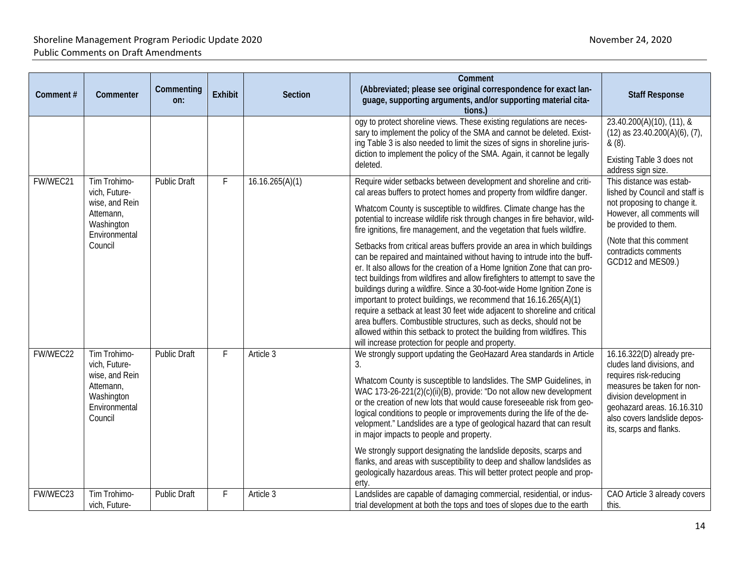| Comment# | Commenter                                                                                              | Commenting<br>on:                     | <b>Exhibit</b>                                                                                                                                                                                                                                                                                                                                                                                                                                                                                       | <b>Section</b>                                                                                                                                                                                                                      | Comment<br>(Abbreviated; please see original correspondence for exact lan-<br>guage, supporting arguments, and/or supporting material cita-                                                                                                                                                                                                                                                                                                                                                                                                                                                                                                                                                                                                         | <b>Staff Response</b>                                                                                                            |
|----------|--------------------------------------------------------------------------------------------------------|---------------------------------------|------------------------------------------------------------------------------------------------------------------------------------------------------------------------------------------------------------------------------------------------------------------------------------------------------------------------------------------------------------------------------------------------------------------------------------------------------------------------------------------------------|-------------------------------------------------------------------------------------------------------------------------------------------------------------------------------------------------------------------------------------|-----------------------------------------------------------------------------------------------------------------------------------------------------------------------------------------------------------------------------------------------------------------------------------------------------------------------------------------------------------------------------------------------------------------------------------------------------------------------------------------------------------------------------------------------------------------------------------------------------------------------------------------------------------------------------------------------------------------------------------------------------|----------------------------------------------------------------------------------------------------------------------------------|
|          |                                                                                                        |                                       |                                                                                                                                                                                                                                                                                                                                                                                                                                                                                                      |                                                                                                                                                                                                                                     | tions.)<br>ogy to protect shoreline views. These existing regulations are neces-<br>sary to implement the policy of the SMA and cannot be deleted. Exist-<br>ing Table 3 is also needed to limit the sizes of signs in shoreline juris-<br>diction to implement the policy of the SMA. Again, it cannot be legally<br>deleted.                                                                                                                                                                                                                                                                                                                                                                                                                      | 23.40.200(A)(10), (11), &<br>$(12)$ as 23.40.200 $(A)(6)$ , $(7)$ ,<br>& (8).<br>Existing Table 3 does not<br>address sign size. |
| FW/WEC21 | Tim Trohimo-<br>vich, Future-<br>wise, and Rein                                                        | <b>Public Draft</b>                   | F                                                                                                                                                                                                                                                                                                                                                                                                                                                                                                    | 16.16.265(A)(1)                                                                                                                                                                                                                     | Require wider setbacks between development and shoreline and criti-<br>cal areas buffers to protect homes and property from wildfire danger.<br>Whatcom County is susceptible to wildfires. Climate change has the                                                                                                                                                                                                                                                                                                                                                                                                                                                                                                                                  | This distance was estab-<br>lished by Council and staff is<br>not proposing to change it.                                        |
|          | Attemann,<br>Washington<br>Environmental                                                               |                                       |                                                                                                                                                                                                                                                                                                                                                                                                                                                                                                      |                                                                                                                                                                                                                                     | potential to increase wildlife risk through changes in fire behavior, wild-<br>fire ignitions, fire management, and the vegetation that fuels wildfire.                                                                                                                                                                                                                                                                                                                                                                                                                                                                                                                                                                                             | However, all comments will<br>be provided to them.                                                                               |
|          | Council                                                                                                |                                       |                                                                                                                                                                                                                                                                                                                                                                                                                                                                                                      |                                                                                                                                                                                                                                     | Setbacks from critical areas buffers provide an area in which buildings<br>can be repaired and maintained without having to intrude into the buff-<br>er. It also allows for the creation of a Home Ignition Zone that can pro-<br>tect buildings from wildfires and allow firefighters to attempt to save the<br>buildings during a wildfire. Since a 30-foot-wide Home Ignition Zone is<br>important to protect buildings, we recommend that 16.16.265(A)(1)<br>require a setback at least 30 feet wide adjacent to shoreline and critical<br>area buffers. Combustible structures, such as decks, should not be<br>allowed within this setback to protect the building from wildfires. This<br>will increase protection for people and property. | (Note that this comment<br>contradicts comments<br>GCD12 and MES09.)                                                             |
| FW/WEC22 | Tim Trohimo-<br>vich, Future-<br>wise, and Rein<br>Attemann,<br>Washington<br>Environmental<br>Council | <b>Public Draft</b><br>Article 3<br>F | We strongly support updating the GeoHazard Area standards in Article<br>3.<br>Whatcom County is susceptible to landslides. The SMP Guidelines, in<br>WAC 173-26-221(2)(c)(ii)(B), provide: "Do not allow new development<br>or the creation of new lots that would cause foreseeable risk from geo-<br>logical conditions to people or improvements during the life of the de-<br>velopment." Landslides are a type of geological hazard that can result<br>in major impacts to people and property. | 16.16.322(D) already pre-<br>cludes land divisions, and<br>requires risk-reducing<br>measures be taken for non-<br>division development in<br>geohazard areas. 16.16.310<br>also covers landslide depos-<br>its, scarps and flanks. |                                                                                                                                                                                                                                                                                                                                                                                                                                                                                                                                                                                                                                                                                                                                                     |                                                                                                                                  |
|          |                                                                                                        |                                       |                                                                                                                                                                                                                                                                                                                                                                                                                                                                                                      |                                                                                                                                                                                                                                     | We strongly support designating the landslide deposits, scarps and<br>flanks, and areas with susceptibility to deep and shallow landslides as<br>geologically hazardous areas. This will better protect people and prop-<br>erty.                                                                                                                                                                                                                                                                                                                                                                                                                                                                                                                   |                                                                                                                                  |
| FW/WEC23 | Tim Trohimo-<br>vich, Future-                                                                          | <b>Public Draft</b>                   |                                                                                                                                                                                                                                                                                                                                                                                                                                                                                                      | Article 3                                                                                                                                                                                                                           | Landslides are capable of damaging commercial, residential, or indus-<br>trial development at both the tops and toes of slopes due to the earth                                                                                                                                                                                                                                                                                                                                                                                                                                                                                                                                                                                                     | CAO Article 3 already covers<br>this.                                                                                            |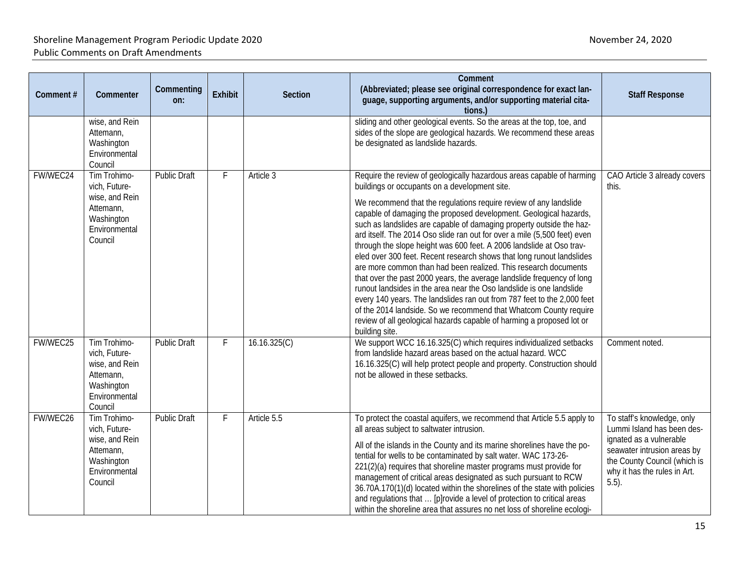| Comment# | Commenter                                                                                              | Commenting<br>on:   | Exhibit | Section      | Comment<br>(Abbreviated; please see original correspondence for exact lan-<br>guage, supporting arguments, and/or supporting material cita-<br>tions.)                                                                                                                                                                                                                                                                                                                                                                                                                                                                                                                                                                                                                                                                                                                                                                                                                                                                                | <b>Staff Response</b>                                                                                                                                                                          |
|----------|--------------------------------------------------------------------------------------------------------|---------------------|---------|--------------|---------------------------------------------------------------------------------------------------------------------------------------------------------------------------------------------------------------------------------------------------------------------------------------------------------------------------------------------------------------------------------------------------------------------------------------------------------------------------------------------------------------------------------------------------------------------------------------------------------------------------------------------------------------------------------------------------------------------------------------------------------------------------------------------------------------------------------------------------------------------------------------------------------------------------------------------------------------------------------------------------------------------------------------|------------------------------------------------------------------------------------------------------------------------------------------------------------------------------------------------|
|          | wise, and Rein<br>Attemann,<br>Washington<br>Environmental<br>Council                                  |                     |         |              | sliding and other geological events. So the areas at the top, toe, and<br>sides of the slope are geological hazards. We recommend these areas<br>be designated as landslide hazards.                                                                                                                                                                                                                                                                                                                                                                                                                                                                                                                                                                                                                                                                                                                                                                                                                                                  |                                                                                                                                                                                                |
| FW/WEC24 | Tim Trohimo-<br>vich, Future-<br>wise, and Rein<br>Attemann,<br>Washington<br>Environmental<br>Council | <b>Public Draft</b> | F       | Article 3    | Require the review of geologically hazardous areas capable of harming<br>buildings or occupants on a development site.<br>We recommend that the regulations require review of any landslide<br>capable of damaging the proposed development. Geological hazards,<br>such as landslides are capable of damaging property outside the haz-<br>ard itself. The 2014 Oso slide ran out for over a mile (5,500 feet) even<br>through the slope height was 600 feet. A 2006 landslide at Oso trav-<br>eled over 300 feet. Recent research shows that long runout landslides<br>are more common than had been realized. This research documents<br>that over the past 2000 years, the average landslide frequency of long<br>runout landsides in the area near the Oso landslide is one landslide<br>every 140 years. The landslides ran out from 787 feet to the 2,000 feet<br>of the 2014 landside. So we recommend that Whatcom County require<br>review of all geological hazards capable of harming a proposed lot or<br>building site. | CAO Article 3 already covers<br>this.                                                                                                                                                          |
| FW/WEC25 | Tim Trohimo-<br>vich, Future-<br>wise, and Rein<br>Attemann,<br>Washington<br>Environmental<br>Council | <b>Public Draft</b> | F       | 16.16.325(C) | We support WCC 16.16.325(C) which requires individualized setbacks<br>from landslide hazard areas based on the actual hazard. WCC<br>16.16.325(C) will help protect people and property. Construction should<br>not be allowed in these setbacks.                                                                                                                                                                                                                                                                                                                                                                                                                                                                                                                                                                                                                                                                                                                                                                                     | Comment noted.                                                                                                                                                                                 |
| FW/WEC26 | Tim Trohimo-<br>vich, Future-<br>wise, and Rein<br>Attemann,<br>Washington<br>Environmental<br>Council | <b>Public Draft</b> | F       | Article 5.5  | To protect the coastal aquifers, we recommend that Article 5.5 apply to<br>all areas subject to saltwater intrusion.<br>All of the islands in the County and its marine shorelines have the po-<br>tential for wells to be contaminated by salt water. WAC 173-26-<br>221(2)(a) requires that shoreline master programs must provide for<br>management of critical areas designated as such pursuant to RCW<br>36.70A.170(1)(d) located within the shorelines of the state with policies<br>and regulations that  [p]rovide a level of protection to critical areas<br>within the shoreline area that assures no net loss of shoreline ecologi-                                                                                                                                                                                                                                                                                                                                                                                       | To staff's knowledge, only<br>Lummi Island has been des-<br>ignated as a vulnerable<br>seawater intrusion areas by<br>the County Council (which is<br>why it has the rules in Art.<br>$5.5$ ). |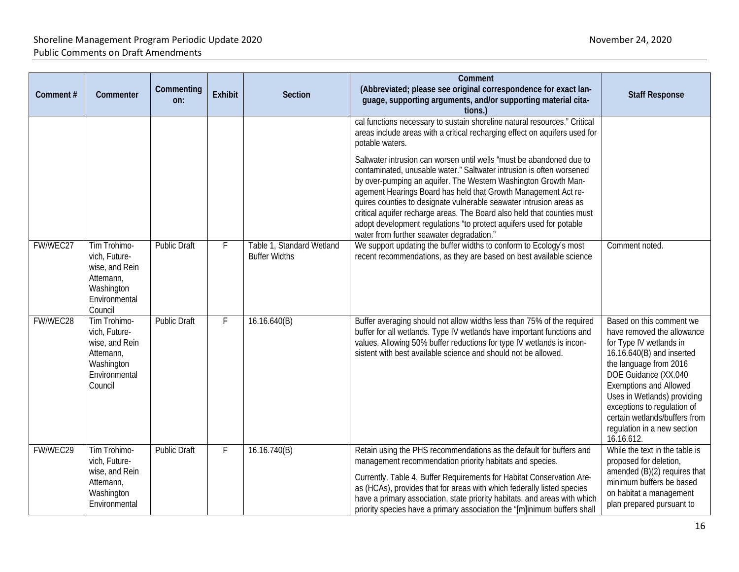| Comment# | Commenter                                                                                              | Commenting<br>on:   | <b>Exhibit</b> | <b>Section</b>                                    | Comment<br>(Abbreviated; please see original correspondence for exact lan-<br>guage, supporting arguments, and/or supporting material cita-<br>tions.)                                                                                                                                                                                                                                                                                                                                                                                                                                                                                                                                                                               | <b>Staff Response</b>                                                                                                                                                                                                                                                                                                                         |
|----------|--------------------------------------------------------------------------------------------------------|---------------------|----------------|---------------------------------------------------|--------------------------------------------------------------------------------------------------------------------------------------------------------------------------------------------------------------------------------------------------------------------------------------------------------------------------------------------------------------------------------------------------------------------------------------------------------------------------------------------------------------------------------------------------------------------------------------------------------------------------------------------------------------------------------------------------------------------------------------|-----------------------------------------------------------------------------------------------------------------------------------------------------------------------------------------------------------------------------------------------------------------------------------------------------------------------------------------------|
|          |                                                                                                        |                     |                |                                                   | cal functions necessary to sustain shoreline natural resources." Critical<br>areas include areas with a critical recharging effect on aquifers used for<br>potable waters.<br>Saltwater intrusion can worsen until wells "must be abandoned due to<br>contaminated, unusable water." Saltwater intrusion is often worsened<br>by over-pumping an aquifer. The Western Washington Growth Man-<br>agement Hearings Board has held that Growth Management Act re-<br>quires counties to designate vulnerable seawater intrusion areas as<br>critical aquifer recharge areas. The Board also held that counties must<br>adopt development regulations "to protect aquifers used for potable<br>water from further seawater degradation." |                                                                                                                                                                                                                                                                                                                                               |
| FW/WEC27 | Tim Trohimo-<br>vich, Future-<br>wise, and Rein<br>Attemann,<br>Washington<br>Environmental<br>Council | <b>Public Draft</b> | F              | Table 1, Standard Wetland<br><b>Buffer Widths</b> | We support updating the buffer widths to conform to Ecology's most<br>recent recommendations, as they are based on best available science                                                                                                                                                                                                                                                                                                                                                                                                                                                                                                                                                                                            | Comment noted.                                                                                                                                                                                                                                                                                                                                |
| FW/WEC28 | Tim Trohimo-<br>vich, Future-<br>wise, and Rein<br>Attemann,<br>Washington<br>Environmental<br>Council | <b>Public Draft</b> | F              | 16.16.640(B)                                      | Buffer averaging should not allow widths less than 75% of the required<br>buffer for all wetlands. Type IV wetlands have important functions and<br>values. Allowing 50% buffer reductions for type IV wetlands is incon-<br>sistent with best available science and should not be allowed.                                                                                                                                                                                                                                                                                                                                                                                                                                          | Based on this comment we<br>have removed the allowance<br>for Type IV wetlands in<br>16.16.640(B) and inserted<br>the language from 2016<br>DOE Guidance (XX.040<br><b>Exemptions and Allowed</b><br>Uses in Wetlands) providing<br>exceptions to regulation of<br>certain wetlands/buffers from<br>regulation in a new section<br>16.16.612. |
| FW/WEC29 | Tim Trohimo-<br>vich, Future-<br>wise, and Rein<br>Attemann,<br>Washington<br>Environmental            | <b>Public Draft</b> | F              | 16.16.740(B)                                      | Retain using the PHS recommendations as the default for buffers and<br>management recommendation priority habitats and species.<br>Currently, Table 4, Buffer Requirements for Habitat Conservation Are-<br>as (HCAs), provides that for areas with which federally listed species<br>have a primary association, state priority habitats, and areas with which<br>priority species have a primary association the "[m]inimum buffers shall                                                                                                                                                                                                                                                                                          | While the text in the table is<br>proposed for deletion,<br>amended (B)(2) requires that<br>minimum buffers be based<br>on habitat a management<br>plan prepared pursuant to                                                                                                                                                                  |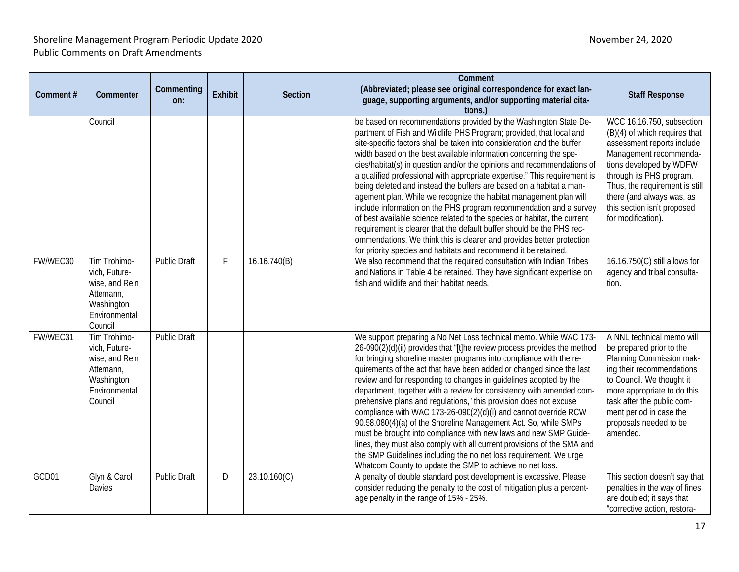| Comment # | Commenter                                                                                              | Commenting<br>on:   | Exhibit | <b>Section</b> | Comment<br>(Abbreviated; please see original correspondence for exact lan-<br>guage, supporting arguments, and/or supporting material cita-<br>tions.)                                                                                                                                                                                                                                                                                                                                                                                                                                                                                                                                                                                                                                                                                                                                                                                                           | <b>Staff Response</b>                                                                                                                                                                                                                                                                         |
|-----------|--------------------------------------------------------------------------------------------------------|---------------------|---------|----------------|------------------------------------------------------------------------------------------------------------------------------------------------------------------------------------------------------------------------------------------------------------------------------------------------------------------------------------------------------------------------------------------------------------------------------------------------------------------------------------------------------------------------------------------------------------------------------------------------------------------------------------------------------------------------------------------------------------------------------------------------------------------------------------------------------------------------------------------------------------------------------------------------------------------------------------------------------------------|-----------------------------------------------------------------------------------------------------------------------------------------------------------------------------------------------------------------------------------------------------------------------------------------------|
|           | Council                                                                                                |                     |         |                | be based on recommendations provided by the Washington State De-<br>partment of Fish and Wildlife PHS Program; provided, that local and<br>site-specific factors shall be taken into consideration and the buffer<br>width based on the best available information concerning the spe-<br>cies/habitat(s) in question and/or the opinions and recommendations of<br>a qualified professional with appropriate expertise." This requirement is<br>being deleted and instead the buffers are based on a habitat a man-<br>agement plan. While we recognize the habitat management plan will<br>include information on the PHS program recommendation and a survey<br>of best available science related to the species or habitat, the current<br>requirement is clearer that the default buffer should be the PHS rec-<br>ommendations. We think this is clearer and provides better protection<br>for priority species and habitats and recommend it be retained. | WCC 16.16.750, subsection<br>(B)(4) of which requires that<br>assessment reports include<br>Management recommenda-<br>tions developed by WDFW<br>through its PHS program.<br>Thus, the requirement is still<br>there (and always was, as<br>this section isn't proposed<br>for modification). |
| FW/WEC30  | Tim Trohimo-<br>vich, Future-<br>wise, and Rein<br>Attemann,<br>Washington<br>Environmental<br>Council | <b>Public Draft</b> | F       | 16.16.740(B)   | We also recommend that the required consultation with Indian Tribes<br>and Nations in Table 4 be retained. They have significant expertise on<br>fish and wildlife and their habitat needs.                                                                                                                                                                                                                                                                                                                                                                                                                                                                                                                                                                                                                                                                                                                                                                      | 16.16.750(C) still allows for<br>agency and tribal consulta-<br>tion.                                                                                                                                                                                                                         |
| FW/WEC31  | Tim Trohimo-<br>vich, Future-<br>wise, and Rein<br>Attemann,<br>Washington<br>Environmental<br>Council | <b>Public Draft</b> |         |                | We support preparing a No Net Loss technical memo. While WAC 173-<br>26-090(2)(d)(ii) provides that "[t]he review process provides the method<br>for bringing shoreline master programs into compliance with the re-<br>quirements of the act that have been added or changed since the last<br>review and for responding to changes in guidelines adopted by the<br>department, together with a review for consistency with amended com-<br>prehensive plans and regulations," this provision does not excuse<br>compliance with WAC 173-26-090(2)(d)(i) and cannot override RCW<br>90.58.080(4)(a) of the Shoreline Management Act. So, while SMPs<br>must be brought into compliance with new laws and new SMP Guide-<br>lines, they must also comply with all current provisions of the SMA and<br>the SMP Guidelines including the no net loss requirement. We urge<br>Whatcom County to update the SMP to achieve no net loss.                             | A NNL technical memo will<br>be prepared prior to the<br>Planning Commission mak-<br>ing their recommendations<br>to Council. We thought it<br>more appropriate to do this<br>task after the public com-<br>ment period in case the<br>proposals needed to be<br>amended.                     |
| GCD01     | Glyn & Carol<br><b>Davies</b>                                                                          | Public Draft        | D       | 23.10.160(C)   | A penalty of double standard post development is excessive. Please<br>consider reducing the penalty to the cost of mitigation plus a percent-<br>age penalty in the range of 15% - 25%.                                                                                                                                                                                                                                                                                                                                                                                                                                                                                                                                                                                                                                                                                                                                                                          | This section doesn't say that<br>penalties in the way of fines<br>are doubled; it says that<br>"corrective action, restora-                                                                                                                                                                   |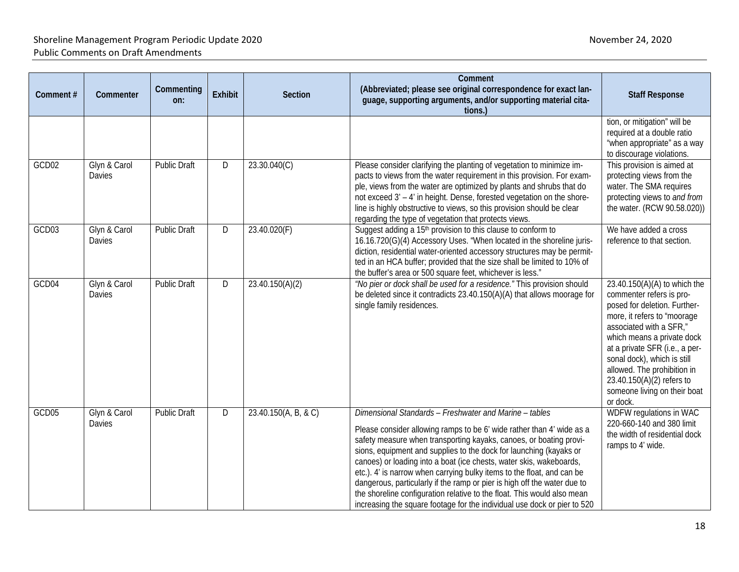| Comment# | Commenter                     | Commenting<br>on:   | Exhibit | Section              | Comment<br>(Abbreviated; please see original correspondence for exact lan-<br>guage, supporting arguments, and/or supporting material cita-<br>tions.)                                                                                                                                                                                                                                                                                                                                                                                                                                                                                                          | <b>Staff Response</b>                                                                                                                                                                                                                                                                                                                                       |
|----------|-------------------------------|---------------------|---------|----------------------|-----------------------------------------------------------------------------------------------------------------------------------------------------------------------------------------------------------------------------------------------------------------------------------------------------------------------------------------------------------------------------------------------------------------------------------------------------------------------------------------------------------------------------------------------------------------------------------------------------------------------------------------------------------------|-------------------------------------------------------------------------------------------------------------------------------------------------------------------------------------------------------------------------------------------------------------------------------------------------------------------------------------------------------------|
|          |                               |                     |         |                      |                                                                                                                                                                                                                                                                                                                                                                                                                                                                                                                                                                                                                                                                 | tion, or mitigation" will be<br>required at a double ratio<br>"when appropriate" as a way<br>to discourage violations.                                                                                                                                                                                                                                      |
| GCD02    | Glyn & Carol<br>Davies        | Public Draft        | D       | 23.30.040(C)         | Please consider clarifying the planting of vegetation to minimize im-<br>pacts to views from the water requirement in this provision. For exam-<br>ple, views from the water are optimized by plants and shrubs that do<br>not exceed 3' - 4' in height. Dense, forested vegetation on the shore-<br>line is highly obstructive to views, so this provision should be clear<br>regarding the type of vegetation that protects views.                                                                                                                                                                                                                            | This provision is aimed at<br>protecting views from the<br>water. The SMA requires<br>protecting views to and from<br>the water. (RCW 90.58.020))                                                                                                                                                                                                           |
| GCD03    | Glyn & Carol<br>Davies        | <b>Public Draft</b> | D       | 23.40.020(F)         | Suggest adding a 15 <sup>th</sup> provision to this clause to conform to<br>16.16.720(G)(4) Accessory Uses. "When located in the shoreline juris-<br>diction, residential water-oriented accessory structures may be permit-<br>ted in an HCA buffer; provided that the size shall be limited to 10% of<br>the buffer's area or 500 square feet, whichever is less."                                                                                                                                                                                                                                                                                            | We have added a cross<br>reference to that section.                                                                                                                                                                                                                                                                                                         |
| GCD04    | Glyn & Carol<br><b>Davies</b> | <b>Public Draft</b> | D       | 23.40.150(A)(2)      | "No pier or dock shall be used for a residence." This provision should<br>be deleted since it contradicts 23.40.150(A)(A) that allows moorage for<br>single family residences.                                                                                                                                                                                                                                                                                                                                                                                                                                                                                  | $23.40.150(A)(A)$ to which the<br>commenter refers is pro-<br>posed for deletion. Further-<br>more, it refers to "moorage<br>associated with a SFR,"<br>which means a private dock<br>at a private SFR (i.e., a per-<br>sonal dock), which is still<br>allowed. The prohibition in<br>23.40.150(A)(2) refers to<br>someone living on their boat<br>or dock. |
| GCD05    | Glyn & Carol<br>Davies        | <b>Public Draft</b> | D       | 23.40.150(A, B, & C) | Dimensional Standards - Freshwater and Marine - tables<br>Please consider allowing ramps to be 6' wide rather than 4' wide as a<br>safety measure when transporting kayaks, canoes, or boating provi-<br>sions, equipment and supplies to the dock for launching (kayaks or<br>canoes) or loading into a boat (ice chests, water skis, wakeboards,<br>etc.). 4' is narrow when carrying bulky items to the float, and can be<br>dangerous, particularly if the ramp or pier is high off the water due to<br>the shoreline configuration relative to the float. This would also mean<br>increasing the square footage for the individual use dock or pier to 520 | WDFW regulations in WAC<br>220-660-140 and 380 limit<br>the width of residential dock<br>ramps to 4' wide.                                                                                                                                                                                                                                                  |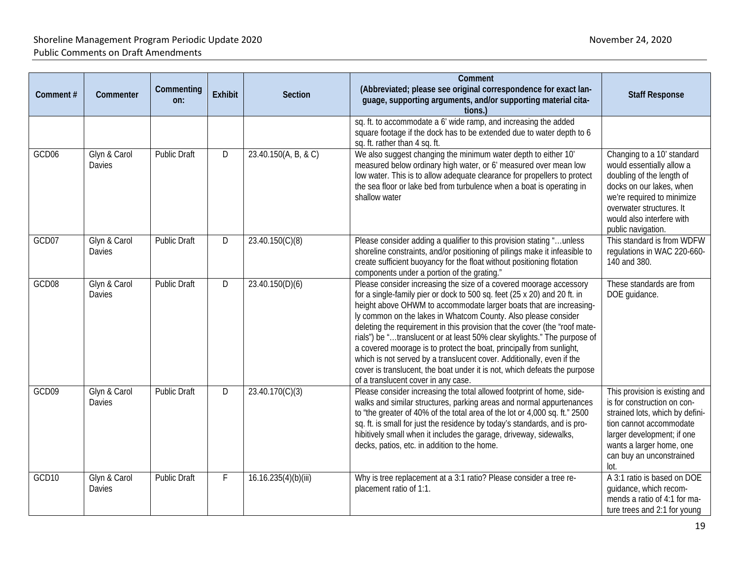| Comment# | Commenter              | Commenting<br>on:   | <b>Exhibit</b> | Section              | Comment<br>(Abbreviated; please see original correspondence for exact lan-<br>guage, supporting arguments, and/or supporting material cita-<br>tions.                                                                                                                                                                                                                                                                                                                                                                                                                                                                                                                                                                 | <b>Staff Response</b>                                                                                                                                                                                                         |
|----------|------------------------|---------------------|----------------|----------------------|-----------------------------------------------------------------------------------------------------------------------------------------------------------------------------------------------------------------------------------------------------------------------------------------------------------------------------------------------------------------------------------------------------------------------------------------------------------------------------------------------------------------------------------------------------------------------------------------------------------------------------------------------------------------------------------------------------------------------|-------------------------------------------------------------------------------------------------------------------------------------------------------------------------------------------------------------------------------|
|          |                        |                     |                |                      | sq. ft. to accommodate a 6' wide ramp, and increasing the added<br>square footage if the dock has to be extended due to water depth to 6<br>sq. ft. rather than 4 sq. ft.                                                                                                                                                                                                                                                                                                                                                                                                                                                                                                                                             |                                                                                                                                                                                                                               |
| GCD06    | Glyn & Carol<br>Davies | <b>Public Draft</b> | D              | 23.40.150(A, B, & C) | We also suggest changing the minimum water depth to either 10'<br>measured below ordinary high water, or 6' measured over mean low<br>low water. This is to allow adequate clearance for propellers to protect<br>the sea floor or lake bed from turbulence when a boat is operating in<br>shallow water                                                                                                                                                                                                                                                                                                                                                                                                              | Changing to a 10' standard<br>would essentially allow a<br>doubling of the length of<br>docks on our lakes, when<br>we're required to minimize<br>overwater structures. It<br>would also interfere with<br>public navigation. |
| GCD07    | Glyn & Carol<br>Davies | <b>Public Draft</b> | D              | 23.40.150(C)(8)      | Please consider adding a qualifier to this provision stating "unless<br>shoreline constraints, and/or positioning of pilings make it infeasible to<br>create sufficient buoyancy for the float without positioning flotation<br>components under a portion of the grating."                                                                                                                                                                                                                                                                                                                                                                                                                                           | This standard is from WDFW<br>regulations in WAC 220-660-<br>140 and 380.                                                                                                                                                     |
| GCD08    | Glyn & Carol<br>Davies | <b>Public Draft</b> | D              | 23.40.150(D)(6)      | Please consider increasing the size of a covered moorage accessory<br>for a single-family pier or dock to 500 sq. feet (25 x 20) and 20 ft. in<br>height above OHWM to accommodate larger boats that are increasing-<br>ly common on the lakes in Whatcom County. Also please consider<br>deleting the requirement in this provision that the cover (the "roof mate-<br>rials") be "translucent or at least 50% clear skylights." The purpose of<br>a covered moorage is to protect the boat, principally from sunlight,<br>which is not served by a translucent cover. Additionally, even if the<br>cover is translucent, the boat under it is not, which defeats the purpose<br>of a translucent cover in any case. | These standards are from<br>DOE guidance.                                                                                                                                                                                     |
| GCD09    | Glyn & Carol<br>Davies | <b>Public Draft</b> | D              | 23.40.170(C)(3)      | Please consider increasing the total allowed footprint of home, side-<br>walks and similar structures, parking areas and normal appurtenances<br>to "the greater of 40% of the total area of the lot or 4,000 sq. ft." 2500<br>sq. ft. is small for just the residence by today's standards, and is pro-<br>hibitively small when it includes the garage, driveway, sidewalks,<br>decks, patios, etc. in addition to the home.                                                                                                                                                                                                                                                                                        | This provision is existing and<br>is for construction on con-<br>strained lots, which by defini-<br>tion cannot accommodate<br>larger development; if one<br>wants a larger home, one<br>can buy an unconstrained<br>lot.     |
| GCD10    | Glyn & Carol<br>Davies | <b>Public Draft</b> | F              | 16.16.235(4)(b)(iii) | Why is tree replacement at a 3:1 ratio? Please consider a tree re-<br>placement ratio of 1:1.                                                                                                                                                                                                                                                                                                                                                                                                                                                                                                                                                                                                                         | A 3:1 ratio is based on DOE<br>guidance, which recom-<br>mends a ratio of 4:1 for ma-<br>ture trees and 2:1 for young                                                                                                         |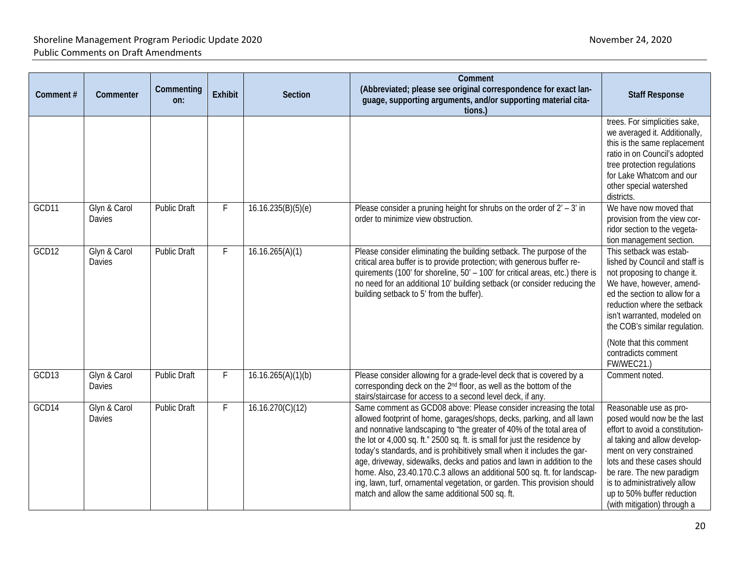| Comment# | Commenter                     | Commenting<br>on:   | Exhibit | Section            | Comment<br>(Abbreviated; please see original correspondence for exact lan-<br>guage, supporting arguments, and/or supporting material cita-<br>tions.)                                                                                                                                                                                                                                                                                                                                                                                                                                                                                                            | <b>Staff Response</b>                                                                                                                                                                                                                                                                                                |
|----------|-------------------------------|---------------------|---------|--------------------|-------------------------------------------------------------------------------------------------------------------------------------------------------------------------------------------------------------------------------------------------------------------------------------------------------------------------------------------------------------------------------------------------------------------------------------------------------------------------------------------------------------------------------------------------------------------------------------------------------------------------------------------------------------------|----------------------------------------------------------------------------------------------------------------------------------------------------------------------------------------------------------------------------------------------------------------------------------------------------------------------|
|          |                               |                     |         |                    |                                                                                                                                                                                                                                                                                                                                                                                                                                                                                                                                                                                                                                                                   | trees. For simplicities sake,<br>we averaged it. Additionally,<br>this is the same replacement<br>ratio in on Council's adopted<br>tree protection regulations<br>for Lake Whatcom and our<br>other special watershed<br>districts.                                                                                  |
| GCD11    | Glyn & Carol<br><b>Davies</b> | <b>Public Draft</b> | F       | 16.16.235(B)(5)(e) | Please consider a pruning height for shrubs on the order of $2' - 3'$ in<br>order to minimize view obstruction.                                                                                                                                                                                                                                                                                                                                                                                                                                                                                                                                                   | We have now moved that<br>provision from the view cor-<br>ridor section to the vegeta-<br>tion management section.                                                                                                                                                                                                   |
| GCD12    | Glyn & Carol<br><b>Davies</b> | <b>Public Draft</b> | F       | 16.16.265(A)(1)    | Please consider eliminating the building setback. The purpose of the<br>critical area buffer is to provide protection; with generous buffer re-<br>quirements (100' for shoreline, 50' - 100' for critical areas, etc.) there is<br>no need for an additional 10' building setback (or consider reducing the<br>building setback to 5' from the buffer).                                                                                                                                                                                                                                                                                                          | This setback was estab-<br>lished by Council and staff is<br>not proposing to change it.<br>We have, however, amend-<br>ed the section to allow for a<br>reduction where the setback<br>isn't warranted, modeled on<br>the COB's similar regulation.<br>(Note that this comment<br>contradicts comment<br>FW/WEC21.) |
| GCD13    | Glyn & Carol<br><b>Davies</b> | Public Draft        | F       | 16.16.265(A)(1)(b) | Please consider allowing for a grade-level deck that is covered by a<br>corresponding deck on the 2 <sup>nd</sup> floor, as well as the bottom of the<br>stairs/staircase for access to a second level deck, if any.                                                                                                                                                                                                                                                                                                                                                                                                                                              | Comment noted.                                                                                                                                                                                                                                                                                                       |
| GCD14    | Glyn & Carol<br>Davies        | <b>Public Draft</b> | F       | 16.16.270(C)(12)   | Same comment as GCD08 above: Please consider increasing the total<br>allowed footprint of home, garages/shops, decks, parking, and all lawn<br>and nonnative landscaping to "the greater of 40% of the total area of<br>the lot or 4,000 sq. ft." 2500 sq. ft. is small for just the residence by<br>today's standards, and is prohibitively small when it includes the gar-<br>age, driveway, sidewalks, decks and patios and lawn in addition to the<br>home. Also, 23.40.170.C.3 allows an additional 500 sq. ft. for landscap-<br>ing, lawn, turf, ornamental vegetation, or garden. This provision should<br>match and allow the same additional 500 sq. ft. | Reasonable use as pro-<br>posed would now be the last<br>effort to avoid a constitution-<br>al taking and allow develop-<br>ment on very constrained<br>lots and these cases should<br>be rare. The new paradigm<br>is to administratively allow<br>up to 50% buffer reduction<br>(with mitigation) through a        |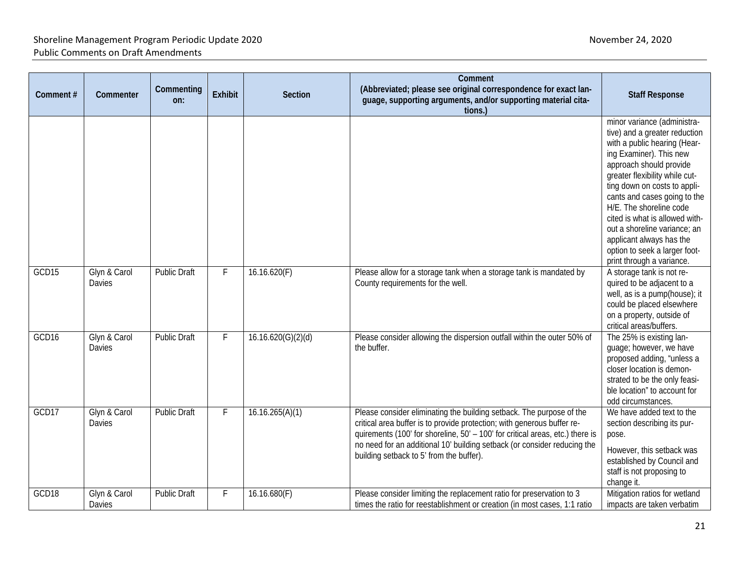| Comment# | Commenter              | Commenting<br>on:   | <b>Exhibit</b> | Section            | Comment<br>(Abbreviated; please see original correspondence for exact lan-<br>guage, supporting arguments, and/or supporting material cita-<br>tions.)                                                                                                                                                                                                   | <b>Staff Response</b>                                                                                                                                                                                                                                                                                                                                                                                                                       |
|----------|------------------------|---------------------|----------------|--------------------|----------------------------------------------------------------------------------------------------------------------------------------------------------------------------------------------------------------------------------------------------------------------------------------------------------------------------------------------------------|---------------------------------------------------------------------------------------------------------------------------------------------------------------------------------------------------------------------------------------------------------------------------------------------------------------------------------------------------------------------------------------------------------------------------------------------|
|          |                        |                     |                |                    |                                                                                                                                                                                                                                                                                                                                                          | minor variance (administra-<br>tive) and a greater reduction<br>with a public hearing (Hear-<br>ing Examiner). This new<br>approach should provide<br>greater flexibility while cut-<br>ting down on costs to appli-<br>cants and cases going to the<br>H/E. The shoreline code<br>cited is what is allowed with-<br>out a shoreline variance; an<br>applicant always has the<br>option to seek a larger foot-<br>print through a variance. |
| GCD15    | Glyn & Carol<br>Davies | <b>Public Draft</b> | F              | 16.16.620(F)       | Please allow for a storage tank when a storage tank is mandated by<br>County requirements for the well.                                                                                                                                                                                                                                                  | A storage tank is not re-<br>quired to be adjacent to a<br>well, as is a pump(house); it<br>could be placed elsewhere<br>on a property, outside of<br>critical areas/buffers.                                                                                                                                                                                                                                                               |
| GCD16    | Glyn & Carol<br>Davies | <b>Public Draft</b> | F              | 16.16.620(G)(2)(d) | Please consider allowing the dispersion outfall within the outer 50% of<br>the buffer.                                                                                                                                                                                                                                                                   | The 25% is existing lan-<br>guage; however, we have<br>proposed adding, "unless a<br>closer location is demon-<br>strated to be the only feasi-<br>ble location" to account for<br>odd circumstances.                                                                                                                                                                                                                                       |
| GCD17    | Glyn & Carol<br>Davies | <b>Public Draft</b> | F              | 16.16.265(A)(1)    | Please consider eliminating the building setback. The purpose of the<br>critical area buffer is to provide protection; with generous buffer re-<br>quirements (100' for shoreline, 50' - 100' for critical areas, etc.) there is<br>no need for an additional 10' building setback (or consider reducing the<br>building setback to 5' from the buffer). | We have added text to the<br>section describing its pur-<br>pose.<br>However, this setback was<br>established by Council and<br>staff is not proposing to<br>change it.                                                                                                                                                                                                                                                                     |
| GCD18    | Glyn & Carol<br>Davies | <b>Public Draft</b> | F              | 16.16.680(F)       | Please consider limiting the replacement ratio for preservation to 3<br>times the ratio for reestablishment or creation (in most cases, 1:1 ratio                                                                                                                                                                                                        | Mitigation ratios for wetland<br>impacts are taken verbatim                                                                                                                                                                                                                                                                                                                                                                                 |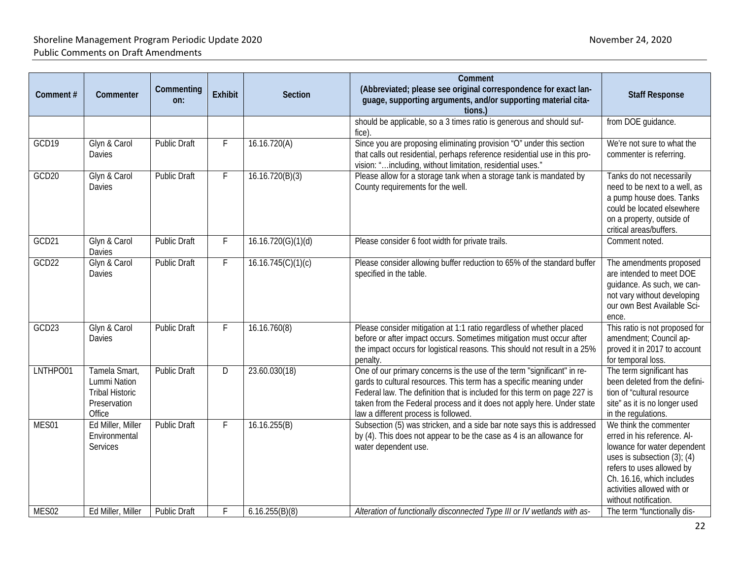| Comment# | Commenter                                                                         | Commenting<br>on:   | <b>Exhibit</b>          | Section            | Comment<br>(Abbreviated; please see original correspondence for exact lan-<br>guage, supporting arguments, and/or supporting material cita-<br>tions.)                                                                                                                                                                                        | <b>Staff Response</b>                                                                                                                                                                                                                     |
|----------|-----------------------------------------------------------------------------------|---------------------|-------------------------|--------------------|-----------------------------------------------------------------------------------------------------------------------------------------------------------------------------------------------------------------------------------------------------------------------------------------------------------------------------------------------|-------------------------------------------------------------------------------------------------------------------------------------------------------------------------------------------------------------------------------------------|
|          |                                                                                   |                     |                         |                    | should be applicable, so a 3 times ratio is generous and should suf-<br>fice).                                                                                                                                                                                                                                                                | from DOE guidance.                                                                                                                                                                                                                        |
| GCD19    | Glyn & Carol<br>Davies                                                            | <b>Public Draft</b> |                         | 16.16.720(A)       | Since you are proposing eliminating provision "O" under this section<br>that calls out residential, perhaps reference residential use in this pro-<br>vision: "including, without limitation, residential uses."                                                                                                                              | We're not sure to what the<br>commenter is referring.                                                                                                                                                                                     |
| GCD20    | Glyn & Carol<br>Davies                                                            | <b>Public Draft</b> | F                       | 16.16.720(B)(3)    | Please allow for a storage tank when a storage tank is mandated by<br>County requirements for the well.                                                                                                                                                                                                                                       | Tanks do not necessarily<br>need to be next to a well, as<br>a pump house does. Tanks<br>could be located elsewhere<br>on a property, outside of<br>critical areas/buffers.                                                               |
| GCD21    | Glyn & Carol<br>Davies                                                            | <b>Public Draft</b> | F                       | 16.16.720(G)(1)(d) | Please consider 6 foot width for private trails.                                                                                                                                                                                                                                                                                              | Comment noted.                                                                                                                                                                                                                            |
| GCD22    | Glyn & Carol<br>Davies                                                            | <b>Public Draft</b> | F                       | 16.16.745(C)(1)(c) | Please consider allowing buffer reduction to 65% of the standard buffer<br>specified in the table.                                                                                                                                                                                                                                            | The amendments proposed<br>are intended to meet DOE<br>guidance. As such, we can-<br>not vary without developing<br>our own Best Available Sci-<br>ence.                                                                                  |
| GCD23    | Glyn & Carol<br>Davies                                                            | Public Draft        |                         | 16.16.760(8)       | Please consider mitigation at 1:1 ratio regardless of whether placed<br>before or after impact occurs. Sometimes mitigation must occur after<br>the impact occurs for logistical reasons. This should not result in a 25%<br>penalty.                                                                                                         | This ratio is not proposed for<br>amendment; Council ap-<br>proved it in 2017 to account<br>for temporal loss.                                                                                                                            |
| LNTHPO01 | Tamela Smart,<br>Lummi Nation<br><b>Tribal Historic</b><br>Preservation<br>Office | <b>Public Draft</b> | $\overline{\mathsf{D}}$ | 23.60.030(18)      | One of our primary concerns is the use of the term "significant" in re-<br>gards to cultural resources. This term has a specific meaning under<br>Federal law. The definition that is included for this term on page 227 is<br>taken from the Federal process and it does not apply here. Under state<br>law a different process is followed. | The term significant has<br>been deleted from the defini-<br>tion of "cultural resource<br>site" as it is no longer used<br>in the regulations.                                                                                           |
| MES01    | Ed Miller, Miller<br>Environmental<br>Services                                    | <b>Public Draft</b> | F                       | 16.16.255(B)       | Subsection (5) was stricken, and a side bar note says this is addressed<br>by (4). This does not appear to be the case as 4 is an allowance for<br>water dependent use.                                                                                                                                                                       | We think the commenter<br>erred in his reference. Al-<br>lowance for water dependent<br>uses is subsection $(3)$ ; $(4)$<br>refers to uses allowed by<br>Ch. 16.16, which includes<br>activities allowed with or<br>without notification. |
| MES02    | Ed Miller, Miller                                                                 | <b>Public Draft</b> |                         | 6.16.255(B)(8)     | Alteration of functionally disconnected Type III or IV wetlands with as-                                                                                                                                                                                                                                                                      | The term "functionally dis-                                                                                                                                                                                                               |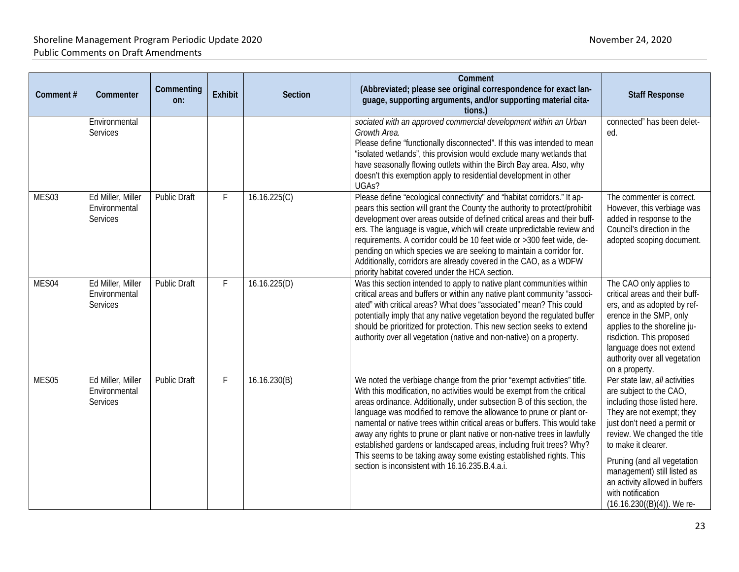| Comment# | Commenter                                             | Commenting<br>on:   | Exhibit | Section      | Comment<br>(Abbreviated; please see original correspondence for exact lan-<br>guage, supporting arguments, and/or supporting material cita-<br>tions.                                                                                                                                                                                                                                                                                                                                                                                                                                                                                                          | <b>Staff Response</b>                                                                                                                                                                                                                                                                                                                                             |
|----------|-------------------------------------------------------|---------------------|---------|--------------|----------------------------------------------------------------------------------------------------------------------------------------------------------------------------------------------------------------------------------------------------------------------------------------------------------------------------------------------------------------------------------------------------------------------------------------------------------------------------------------------------------------------------------------------------------------------------------------------------------------------------------------------------------------|-------------------------------------------------------------------------------------------------------------------------------------------------------------------------------------------------------------------------------------------------------------------------------------------------------------------------------------------------------------------|
|          | Environmental<br><b>Services</b>                      |                     |         |              | sociated with an approved commercial development within an Urban<br>Growth Area.<br>Please define "functionally disconnected". If this was intended to mean<br>"isolated wetlands", this provision would exclude many wetlands that<br>have seasonally flowing outlets within the Birch Bay area. Also, why<br>doesn't this exemption apply to residential development in other<br>UGAs?                                                                                                                                                                                                                                                                       | connected" has been delet-<br>ed.                                                                                                                                                                                                                                                                                                                                 |
| MES03    | Ed Miller, Miller<br>Environmental<br><b>Services</b> | <b>Public Draft</b> | F       | 16.16.225(C) | Please define "ecological connectivity" and "habitat corridors." It ap-<br>pears this section will grant the County the authority to protect/prohibit<br>development over areas outside of defined critical areas and their buff-<br>ers. The language is vague, which will create unpredictable review and<br>requirements. A corridor could be 10 feet wide or >300 feet wide, de-<br>pending on which species we are seeking to maintain a corridor for.<br>Additionally, corridors are already covered in the CAO, as a WDFW<br>priority habitat covered under the HCA section.                                                                            | The commenter is correct.<br>However, this verbiage was<br>added in response to the<br>Council's direction in the<br>adopted scoping document.                                                                                                                                                                                                                    |
| MES04    | Ed Miller, Miller<br>Environmental<br>Services        | <b>Public Draft</b> | F       | 16.16.225(D) | Was this section intended to apply to native plant communities within<br>critical areas and buffers or within any native plant community "associ-<br>ated" with critical areas? What does "associated" mean? This could<br>potentially imply that any native vegetation beyond the regulated buffer<br>should be prioritized for protection. This new section seeks to extend<br>authority over all vegetation (native and non-native) on a property.                                                                                                                                                                                                          | The CAO only applies to<br>critical areas and their buff-<br>ers, and as adopted by ref-<br>erence in the SMP, only<br>applies to the shoreline ju-<br>risdiction. This proposed<br>language does not extend<br>authority over all vegetation<br>on a property.                                                                                                   |
| MES05    | Ed Miller, Miller<br>Environmental<br>Services        | <b>Public Draft</b> | F       | 16.16.230(B) | We noted the verbiage change from the prior "exempt activities" title.<br>With this modification, no activities would be exempt from the critical<br>areas ordinance. Additionally, under subsection B of this section, the<br>language was modified to remove the allowance to prune or plant or-<br>namental or native trees within critical areas or buffers. This would take<br>away any rights to prune or plant native or non-native trees in lawfully<br>established gardens or landscaped areas, including fruit trees? Why?<br>This seems to be taking away some existing established rights. This<br>section is inconsistent with 16.16.235.B.4.a.i. | Per state law, all activities<br>are subject to the CAO,<br>including those listed here.<br>They are not exempt; they<br>just don't need a permit or<br>review. We changed the title<br>to make it clearer.<br>Pruning (and all vegetation<br>management) still listed as<br>an activity allowed in buffers<br>with notification<br>$(16.16.230((B)(4))$ . We re- |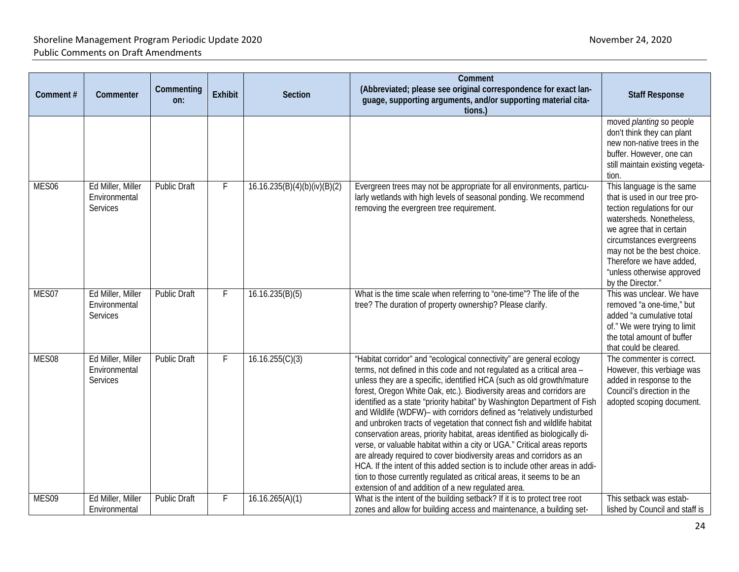| Comment# | Commenter                                      | Commenting<br>on:   | <b>Exhibit</b> | <b>Section</b>               | Comment<br>(Abbreviated; please see original correspondence for exact lan-<br>guage, supporting arguments, and/or supporting material cita-<br>tions.)                                                                                                                                                                                                                                                                                                                                                                                                                                                                                                                                                                                                                                                                                                                                                                                                                               | <b>Staff Response</b>                                                                                                                                                                                                                                                                       |
|----------|------------------------------------------------|---------------------|----------------|------------------------------|--------------------------------------------------------------------------------------------------------------------------------------------------------------------------------------------------------------------------------------------------------------------------------------------------------------------------------------------------------------------------------------------------------------------------------------------------------------------------------------------------------------------------------------------------------------------------------------------------------------------------------------------------------------------------------------------------------------------------------------------------------------------------------------------------------------------------------------------------------------------------------------------------------------------------------------------------------------------------------------|---------------------------------------------------------------------------------------------------------------------------------------------------------------------------------------------------------------------------------------------------------------------------------------------|
|          |                                                |                     |                |                              |                                                                                                                                                                                                                                                                                                                                                                                                                                                                                                                                                                                                                                                                                                                                                                                                                                                                                                                                                                                      | moved planting so people<br>don't think they can plant<br>new non-native trees in the<br>buffer. However, one can<br>still maintain existing vegeta-<br>tion.                                                                                                                               |
| MES06    | Ed Miller, Miller<br>Environmental<br>Services | <b>Public Draft</b> | F              | 16.16.235(B)(4)(b)(iv)(B)(2) | Evergreen trees may not be appropriate for all environments, particu-<br>larly wetlands with high levels of seasonal ponding. We recommend<br>removing the evergreen tree requirement.                                                                                                                                                                                                                                                                                                                                                                                                                                                                                                                                                                                                                                                                                                                                                                                               | This language is the same<br>that is used in our tree pro-<br>tection regulations for our<br>watersheds. Nonetheless,<br>we agree that in certain<br>circumstances evergreens<br>may not be the best choice.<br>Therefore we have added,<br>"unless otherwise approved<br>by the Director." |
| MES07    | Ed Miller, Miller<br>Environmental<br>Services | <b>Public Draft</b> | F              | 16.16.235(B)(5)              | What is the time scale when referring to "one-time"? The life of the<br>tree? The duration of property ownership? Please clarify.                                                                                                                                                                                                                                                                                                                                                                                                                                                                                                                                                                                                                                                                                                                                                                                                                                                    | This was unclear. We have<br>removed "a one-time," but<br>added "a cumulative total<br>of." We were trying to limit<br>the total amount of buffer<br>that could be cleared.                                                                                                                 |
| MES08    | Ed Miller, Miller<br>Environmental<br>Services | <b>Public Draft</b> | F              | 16.16.255(C)(3)              | "Habitat corridor" and "ecological connectivity" are general ecology<br>terms, not defined in this code and not regulated as a critical area -<br>unless they are a specific, identified HCA (such as old growth/mature<br>forest, Oregon White Oak, etc.). Biodiversity areas and corridors are<br>identified as a state "priority habitat" by Washington Department of Fish<br>and Wildlife (WDFW)- with corridors defined as "relatively undisturbed<br>and unbroken tracts of vegetation that connect fish and wildlife habitat<br>conservation areas, priority habitat, areas identified as biologically di-<br>verse, or valuable habitat within a city or UGA." Critical areas reports<br>are already required to cover biodiversity areas and corridors as an<br>HCA. If the intent of this added section is to include other areas in addi-<br>tion to those currently regulated as critical areas, it seems to be an<br>extension of and addition of a new regulated area. | The commenter is correct.<br>However, this verbiage was<br>added in response to the<br>Council's direction in the<br>adopted scoping document.                                                                                                                                              |
| MES09    | Ed Miller, Miller<br>Environmental             | Public Draft        | F              | 16.16.265(A)(1)              | What is the intent of the building setback? If it is to protect tree root<br>zones and allow for building access and maintenance, a building set-                                                                                                                                                                                                                                                                                                                                                                                                                                                                                                                                                                                                                                                                                                                                                                                                                                    | This setback was estab-<br>lished by Council and staff is                                                                                                                                                                                                                                   |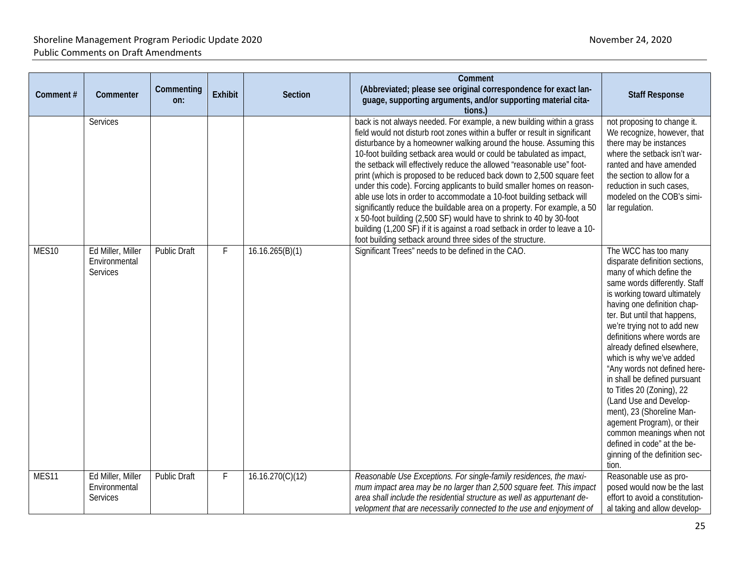| Comment# | Commenter                                      | Commenting<br>on:   | Exhibit | Section          | Comment<br>(Abbreviated; please see original correspondence for exact lan-<br>guage, supporting arguments, and/or supporting material cita-<br>tions.)                                                                                                                                                                                                                                                                                                                                                                                                                                                                                                                                                                                                                                                                                                                                                   | <b>Staff Response</b>                                                                                                                                                                                                                                                                                                                                                                                                                                                                                                                                                                                                              |
|----------|------------------------------------------------|---------------------|---------|------------------|----------------------------------------------------------------------------------------------------------------------------------------------------------------------------------------------------------------------------------------------------------------------------------------------------------------------------------------------------------------------------------------------------------------------------------------------------------------------------------------------------------------------------------------------------------------------------------------------------------------------------------------------------------------------------------------------------------------------------------------------------------------------------------------------------------------------------------------------------------------------------------------------------------|------------------------------------------------------------------------------------------------------------------------------------------------------------------------------------------------------------------------------------------------------------------------------------------------------------------------------------------------------------------------------------------------------------------------------------------------------------------------------------------------------------------------------------------------------------------------------------------------------------------------------------|
|          | Services                                       |                     |         |                  | back is not always needed. For example, a new building within a grass<br>field would not disturb root zones within a buffer or result in significant<br>disturbance by a homeowner walking around the house. Assuming this<br>10-foot building setback area would or could be tabulated as impact,<br>the setback will effectively reduce the allowed "reasonable use" foot-<br>print (which is proposed to be reduced back down to 2,500 square feet<br>under this code). Forcing applicants to build smaller homes on reason-<br>able use lots in order to accommodate a 10-foot building setback will<br>significantly reduce the buildable area on a property. For example, a 50<br>x 50-foot building (2,500 SF) would have to shrink to 40 by 30-foot<br>building (1,200 SF) if it is against a road setback in order to leave a 10-<br>foot building setback around three sides of the structure. | not proposing to change it.<br>We recognize, however, that<br>there may be instances<br>where the setback isn't war-<br>ranted and have amended<br>the section to allow for a<br>reduction in such cases,<br>modeled on the COB's simi-<br>lar regulation.                                                                                                                                                                                                                                                                                                                                                                         |
| MES10    | Ed Miller, Miller<br>Environmental<br>Services | <b>Public Draft</b> | F       | 16.16.265(B)(1)  | Significant Trees" needs to be defined in the CAO.                                                                                                                                                                                                                                                                                                                                                                                                                                                                                                                                                                                                                                                                                                                                                                                                                                                       | The WCC has too many<br>disparate definition sections,<br>many of which define the<br>same words differently. Staff<br>is working toward ultimately<br>having one definition chap-<br>ter. But until that happens,<br>we're trying not to add new<br>definitions where words are<br>already defined elsewhere,<br>which is why we've added<br>"Any words not defined here-<br>in shall be defined pursuant<br>to Titles 20 (Zoning), 22<br>(Land Use and Develop-<br>ment), 23 (Shoreline Man-<br>agement Program), or their<br>common meanings when not<br>defined in code" at the be-<br>ginning of the definition sec-<br>tion. |
| MES11    | Ed Miller, Miller<br>Environmental<br>Services | <b>Public Draft</b> | F       | 16.16.270(C)(12) | Reasonable Use Exceptions. For single-family residences, the maxi-<br>mum impact area may be no larger than 2,500 square feet. This impact<br>area shall include the residential structure as well as appurtenant de-<br>velopment that are necessarily connected to the use and enjoyment of                                                                                                                                                                                                                                                                                                                                                                                                                                                                                                                                                                                                            | Reasonable use as pro-<br>posed would now be the last<br>effort to avoid a constitution-<br>al taking and allow develop-                                                                                                                                                                                                                                                                                                                                                                                                                                                                                                           |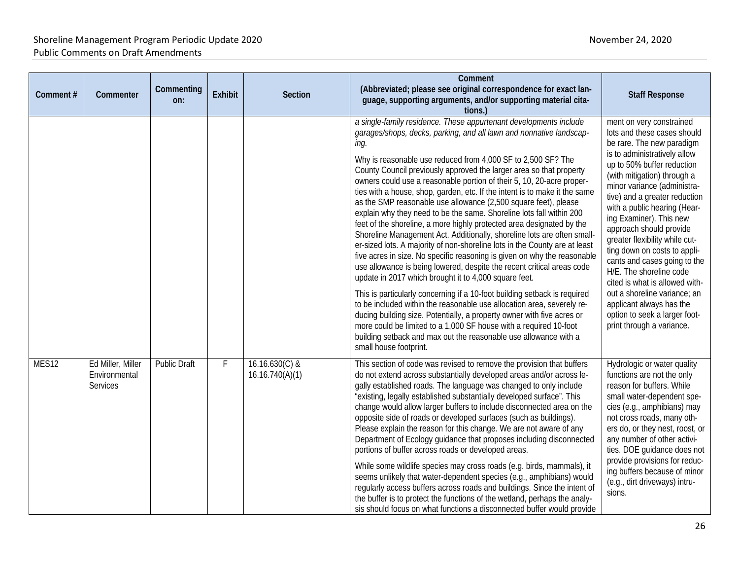| Comment# | Commenter                                             | Commenting<br>on:   | <b>Exhibit</b> | <b>Section</b>                      | Comment<br>(Abbreviated; please see original correspondence for exact lan-<br>guage, supporting arguments, and/or supporting material cita-<br>tions.)                                                                                                                                                                                                                                                                                                                                                                                                                                                                                                                                                                                                                                                                                                                                                                                                                                                                                                                                                                                                                                                                                                                                                                                                                                                                                         | <b>Staff Response</b>                                                                                                                                                                                                                                                                                                                                                                                                                                                                                                                                                                                                            |
|----------|-------------------------------------------------------|---------------------|----------------|-------------------------------------|------------------------------------------------------------------------------------------------------------------------------------------------------------------------------------------------------------------------------------------------------------------------------------------------------------------------------------------------------------------------------------------------------------------------------------------------------------------------------------------------------------------------------------------------------------------------------------------------------------------------------------------------------------------------------------------------------------------------------------------------------------------------------------------------------------------------------------------------------------------------------------------------------------------------------------------------------------------------------------------------------------------------------------------------------------------------------------------------------------------------------------------------------------------------------------------------------------------------------------------------------------------------------------------------------------------------------------------------------------------------------------------------------------------------------------------------|----------------------------------------------------------------------------------------------------------------------------------------------------------------------------------------------------------------------------------------------------------------------------------------------------------------------------------------------------------------------------------------------------------------------------------------------------------------------------------------------------------------------------------------------------------------------------------------------------------------------------------|
|          |                                                       |                     |                |                                     | a single-family residence. These appurtenant developments include<br>garages/shops, decks, parking, and all lawn and nonnative landscap-<br>ing.<br>Why is reasonable use reduced from 4,000 SF to 2,500 SF? The<br>County Council previously approved the larger area so that property<br>owners could use a reasonable portion of their 5, 10, 20-acre proper-<br>ties with a house, shop, garden, etc. If the intent is to make it the same<br>as the SMP reasonable use allowance (2,500 square feet), please<br>explain why they need to be the same. Shoreline lots fall within 200<br>feet of the shoreline, a more highly protected area designated by the<br>Shoreline Management Act. Additionally, shoreline lots are often small-<br>er-sized lots. A majority of non-shoreline lots in the County are at least<br>five acres in size. No specific reasoning is given on why the reasonable<br>use allowance is being lowered, despite the recent critical areas code<br>update in 2017 which brought it to 4,000 square feet.<br>This is particularly concerning if a 10-foot building setback is required<br>to be included within the reasonable use allocation area, severely re-<br>ducing building size. Potentially, a property owner with five acres or<br>more could be limited to a 1,000 SF house with a required 10-foot<br>building setback and max out the reasonable use allowance with a<br>small house footprint. | ment on very constrained<br>lots and these cases should<br>be rare. The new paradigm<br>is to administratively allow<br>up to 50% buffer reduction<br>(with mitigation) through a<br>minor variance (administra-<br>tive) and a greater reduction<br>with a public hearing (Hear-<br>ing Examiner). This new<br>approach should provide<br>greater flexibility while cut-<br>ting down on costs to appli-<br>cants and cases going to the<br>H/E. The shoreline code<br>cited is what is allowed with-<br>out a shoreline variance; an<br>applicant always has the<br>option to seek a larger foot-<br>print through a variance. |
| MES12    | Ed Miller, Miller<br>Environmental<br><b>Services</b> | <b>Public Draft</b> | F              | $16.16.630(C)$ &<br>16.16.740(A)(1) | This section of code was revised to remove the provision that buffers<br>do not extend across substantially developed areas and/or across le-<br>gally established roads. The language was changed to only include<br>"existing, legally established substantially developed surface". This<br>change would allow larger buffers to include disconnected area on the<br>opposite side of roads or developed surfaces (such as buildings).<br>Please explain the reason for this change. We are not aware of any<br>Department of Ecology guidance that proposes including disconnected<br>portions of buffer across roads or developed areas.<br>While some wildlife species may cross roads (e.g. birds, mammals), it<br>seems unlikely that water-dependent species (e.g., amphibians) would<br>regularly access buffers across roads and buildings. Since the intent of<br>the buffer is to protect the functions of the wetland, perhaps the analy-<br>sis should focus on what functions a disconnected buffer would provide                                                                                                                                                                                                                                                                                                                                                                                                              | Hydrologic or water quality<br>functions are not the only<br>reason for buffers. While<br>small water-dependent spe-<br>cies (e.g., amphibians) may<br>not cross roads, many oth-<br>ers do, or they nest, roost, or<br>any number of other activi-<br>ties. DOE guidance does not<br>provide provisions for reduc-<br>ing buffers because of minor<br>(e.g., dirt driveways) intru-<br>sions.                                                                                                                                                                                                                                   |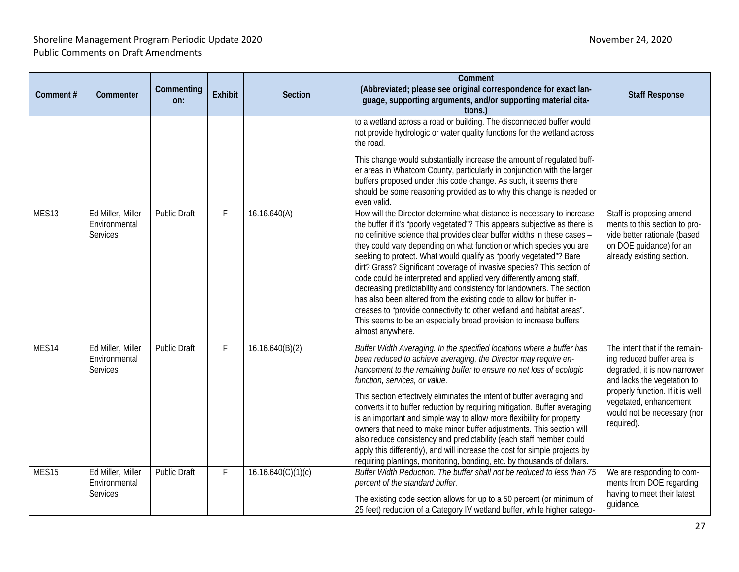| Comment# | Commenter                                      | Commenting<br>on:   | <b>Exhibit</b> | <b>Section</b>     | Comment<br>(Abbreviated; please see original correspondence for exact lan-<br>guage, supporting arguments, and/or supporting material cita-<br>tions.)                                                                                                                                                                                                                                                                                                                                                                                                                                                                                                                                                                                                                                                                                                            | <b>Staff Response</b>                                                                                                                                                                                                                  |
|----------|------------------------------------------------|---------------------|----------------|--------------------|-------------------------------------------------------------------------------------------------------------------------------------------------------------------------------------------------------------------------------------------------------------------------------------------------------------------------------------------------------------------------------------------------------------------------------------------------------------------------------------------------------------------------------------------------------------------------------------------------------------------------------------------------------------------------------------------------------------------------------------------------------------------------------------------------------------------------------------------------------------------|----------------------------------------------------------------------------------------------------------------------------------------------------------------------------------------------------------------------------------------|
|          |                                                |                     |                |                    | to a wetland across a road or building. The disconnected buffer would<br>not provide hydrologic or water quality functions for the wetland across<br>the road.<br>This change would substantially increase the amount of regulated buff-<br>er areas in Whatcom County, particularly in conjunction with the larger<br>buffers proposed under this code change. As such, it seems there<br>should be some reasoning provided as to why this change is needed or                                                                                                                                                                                                                                                                                                                                                                                                   |                                                                                                                                                                                                                                        |
| MES13    | Ed Miller, Miller<br>Environmental<br>Services | <b>Public Draft</b> | F              | 16.16.640(A)       | even valid.<br>How will the Director determine what distance is necessary to increase<br>the buffer if it's "poorly vegetated"? This appears subjective as there is<br>no definitive science that provides clear buffer widths in these cases -<br>they could vary depending on what function or which species you are<br>seeking to protect. What would qualify as "poorly vegetated"? Bare<br>dirt? Grass? Significant coverage of invasive species? This section of<br>code could be interpreted and applied very differently among staff,<br>decreasing predictability and consistency for landowners. The section<br>has also been altered from the existing code to allow for buffer in-<br>creases to "provide connectivity to other wetland and habitat areas".<br>This seems to be an especially broad provision to increase buffers<br>almost anywhere. | Staff is proposing amend-<br>ments to this section to pro-<br>vide better rationale (based<br>on DOE guidance) for an<br>already existing section.                                                                                     |
| MES14    | Ed Miller, Miller<br>Environmental<br>Services | <b>Public Draft</b> | F              | 16.16.640(B)(2)    | Buffer Width Averaging. In the specified locations where a buffer has<br>been reduced to achieve averaging, the Director may require en-<br>hancement to the remaining buffer to ensure no net loss of ecologic<br>function, services, or value.<br>This section effectively eliminates the intent of buffer averaging and<br>converts it to buffer reduction by requiring mitigation. Buffer averaging<br>is an important and simple way to allow more flexibility for property<br>owners that need to make minor buffer adjustments. This section will<br>also reduce consistency and predictability (each staff member could<br>apply this differently), and will increase the cost for simple projects by<br>requiring plantings, monitoring, bonding, etc. by thousands of dollars.                                                                          | The intent that if the remain-<br>ing reduced buffer area is<br>degraded, it is now narrower<br>and lacks the vegetation to<br>properly function. If it is well<br>vegetated, enhancement<br>would not be necessary (nor<br>required). |
| MES15    | Ed Miller, Miller<br>Environmental<br>Services | <b>Public Draft</b> | F              | 16.16.640(C)(1)(c) | Buffer Width Reduction. The buffer shall not be reduced to less than 75<br>percent of the standard buffer.<br>The existing code section allows for up to a 50 percent (or minimum of<br>25 feet) reduction of a Category IV wetland buffer, while higher catego-                                                                                                                                                                                                                                                                                                                                                                                                                                                                                                                                                                                                  | We are responding to com-<br>ments from DOE regarding<br>having to meet their latest<br>guidance.                                                                                                                                      |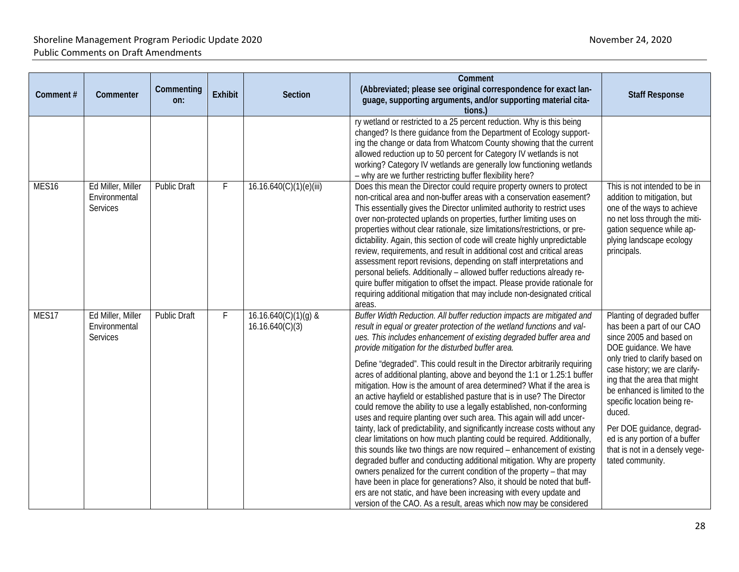| Comment#          | Commenter                                             | Commenting<br>on:   | <b>Exhibit</b> | <b>Section</b>                            | Comment<br>(Abbreviated; please see original correspondence for exact lan-<br>guage, supporting arguments, and/or supporting material cita-<br>tions.)                                                                                                                                                                                                                                                                                                                                                                                                                                                                                                                                                                                                                                                                                                                                                                                                                                                                                                                                                                                                                                                                                                                                                                                                    | <b>Staff Response</b>                                                                                                                                                                                                                                                                                                                                                                                          |
|-------------------|-------------------------------------------------------|---------------------|----------------|-------------------------------------------|-----------------------------------------------------------------------------------------------------------------------------------------------------------------------------------------------------------------------------------------------------------------------------------------------------------------------------------------------------------------------------------------------------------------------------------------------------------------------------------------------------------------------------------------------------------------------------------------------------------------------------------------------------------------------------------------------------------------------------------------------------------------------------------------------------------------------------------------------------------------------------------------------------------------------------------------------------------------------------------------------------------------------------------------------------------------------------------------------------------------------------------------------------------------------------------------------------------------------------------------------------------------------------------------------------------------------------------------------------------|----------------------------------------------------------------------------------------------------------------------------------------------------------------------------------------------------------------------------------------------------------------------------------------------------------------------------------------------------------------------------------------------------------------|
|                   |                                                       |                     |                |                                           | ry wetland or restricted to a 25 percent reduction. Why is this being<br>changed? Is there guidance from the Department of Ecology support-<br>ing the change or data from Whatcom County showing that the current<br>allowed reduction up to 50 percent for Category IV wetlands is not<br>working? Category IV wetlands are generally low functioning wetlands<br>- why are we further restricting buffer flexibility here?                                                                                                                                                                                                                                                                                                                                                                                                                                                                                                                                                                                                                                                                                                                                                                                                                                                                                                                             |                                                                                                                                                                                                                                                                                                                                                                                                                |
| MES <sub>16</sub> | Ed Miller, Miller<br>Environmental<br>Services        | <b>Public Draft</b> | F              | 16.16.640(C)(1)(e)(iii)                   | Does this mean the Director could require property owners to protect<br>non-critical area and non-buffer areas with a conservation easement?<br>This essentially gives the Director unlimited authority to restrict uses<br>over non-protected uplands on properties, further limiting uses on<br>properties without clear rationale, size limitations/restrictions, or pre-<br>dictability. Again, this section of code will create highly unpredictable<br>review, requirements, and result in additional cost and critical areas<br>assessment report revisions, depending on staff interpretations and<br>personal beliefs. Additionally - allowed buffer reductions already re-<br>quire buffer mitigation to offset the impact. Please provide rationale for<br>requiring additional mitigation that may include non-designated critical<br>areas.                                                                                                                                                                                                                                                                                                                                                                                                                                                                                                  | This is not intended to be in<br>addition to mitigation, but<br>one of the ways to achieve<br>no net loss through the miti-<br>gation sequence while ap-<br>plying landscape ecology<br>principals.                                                                                                                                                                                                            |
| MES17             | Ed Miller, Miller<br>Environmental<br><b>Services</b> | Public Draft        | F              | $16.16.640(C)(1)(g)$ &<br>16.16.640(C)(3) | Buffer Width Reduction. All buffer reduction impacts are mitigated and<br>result in equal or greater protection of the wetland functions and val-<br>ues. This includes enhancement of existing degraded buffer area and<br>provide mitigation for the disturbed buffer area.<br>Define "degraded". This could result in the Director arbitrarily requiring<br>acres of additional planting, above and beyond the 1:1 or 1.25:1 buffer<br>mitigation. How is the amount of area determined? What if the area is<br>an active hayfield or established pasture that is in use? The Director<br>could remove the ability to use a legally established, non-conforming<br>uses and require planting over such area. This again will add uncer-<br>tainty, lack of predictability, and significantly increase costs without any<br>clear limitations on how much planting could be required. Additionally,<br>this sounds like two things are now required - enhancement of existing<br>degraded buffer and conducting additional mitigation. Why are property<br>owners penalized for the current condition of the property - that may<br>have been in place for generations? Also, it should be noted that buff-<br>ers are not static, and have been increasing with every update and<br>version of the CAO. As a result, areas which now may be considered | Planting of degraded buffer<br>has been a part of our CAO<br>since 2005 and based on<br>DOE guidance. We have<br>only tried to clarify based on<br>case history; we are clarify-<br>ing that the area that might<br>be enhanced is limited to the<br>specific location being re-<br>duced.<br>Per DOE guidance, degrad-<br>ed is any portion of a buffer<br>that is not in a densely vege-<br>tated community. |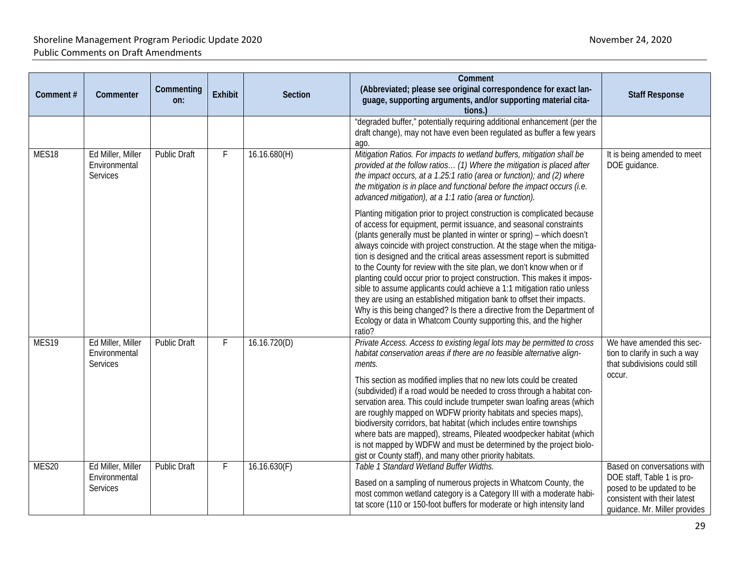| Comment#          | Commenter                                      | Commenting<br>on:   | Exhibit | Section      | Comment<br>(Abbreviated; please see original correspondence for exact lan-<br>guage, supporting arguments, and/or supporting material cita-<br>tions.)                                                                                                                                                                                                                                                                                                                                                                                                                                                                                                                                                                                                               | <b>Staff Response</b>                                                                                                                                   |
|-------------------|------------------------------------------------|---------------------|---------|--------------|----------------------------------------------------------------------------------------------------------------------------------------------------------------------------------------------------------------------------------------------------------------------------------------------------------------------------------------------------------------------------------------------------------------------------------------------------------------------------------------------------------------------------------------------------------------------------------------------------------------------------------------------------------------------------------------------------------------------------------------------------------------------|---------------------------------------------------------------------------------------------------------------------------------------------------------|
|                   |                                                |                     |         |              | "degraded buffer," potentially requiring additional enhancement (per the<br>draft change), may not have even been regulated as buffer a few years<br>ago.                                                                                                                                                                                                                                                                                                                                                                                                                                                                                                                                                                                                            |                                                                                                                                                         |
| MES <sub>18</sub> | Ed Miller, Miller<br>Environmental<br>Services | <b>Public Draft</b> | F       | 16.16.680(H) | Mitigation Ratios. For impacts to wetland buffers, mitigation shall be<br>provided at the follow ratios (1) Where the mitigation is placed after<br>the impact occurs, at a 1.25:1 ratio (area or function); and (2) where<br>the mitigation is in place and functional before the impact occurs (i.e.<br>advanced mitigation), at a 1:1 ratio (area or function).<br>Planting mitigation prior to project construction is complicated because                                                                                                                                                                                                                                                                                                                       | It is being amended to meet<br>DOE guidance.                                                                                                            |
|                   |                                                |                     |         |              | of access for equipment, permit issuance, and seasonal constraints<br>(plants generally must be planted in winter or spring) - which doesn't<br>always coincide with project construction. At the stage when the mitiga-<br>tion is designed and the critical areas assessment report is submitted<br>to the County for review with the site plan, we don't know when or if<br>planting could occur prior to project construction. This makes it impos-<br>sible to assume applicants could achieve a 1:1 mitigation ratio unless<br>they are using an established mitigation bank to offset their impacts.<br>Why is this being changed? Is there a directive from the Department of<br>Ecology or data in Whatcom County supporting this, and the higher<br>ratio? |                                                                                                                                                         |
| MES19             | Ed Miller, Miller<br>Environmental<br>Services | <b>Public Draft</b> | F       | 16.16.720(D) | Private Access. Access to existing legal lots may be permitted to cross<br>habitat conservation areas if there are no feasible alternative align-<br>ments.<br>This section as modified implies that no new lots could be created<br>(subdivided) if a road would be needed to cross through a habitat con-<br>servation area. This could include trumpeter swan loafing areas (which<br>are roughly mapped on WDFW priority habitats and species maps),<br>biodiversity corridors, bat habitat (which includes entire townships<br>where bats are mapped), streams, Pileated woodpecker habitat (which<br>is not mapped by WDFW and must be determined by the project biolo-<br>gist or County staff), and many other priority habitats.                            | We have amended this sec-<br>tion to clarify in such a way<br>that subdivisions could still<br>occur.                                                   |
| MES20             | Ed Miller, Miller<br>Environmental<br>Services | <b>Public Draft</b> | F       | 16.16.630(F) | Table 1 Standard Wetland Buffer Widths.<br>Based on a sampling of numerous projects in Whatcom County, the<br>most common wetland category is a Category III with a moderate habi-<br>tat score (110 or 150-foot buffers for moderate or high intensity land                                                                                                                                                                                                                                                                                                                                                                                                                                                                                                         | Based on conversations with<br>DOE staff, Table 1 is pro-<br>posed to be updated to be<br>consistent with their latest<br>quidance. Mr. Miller provides |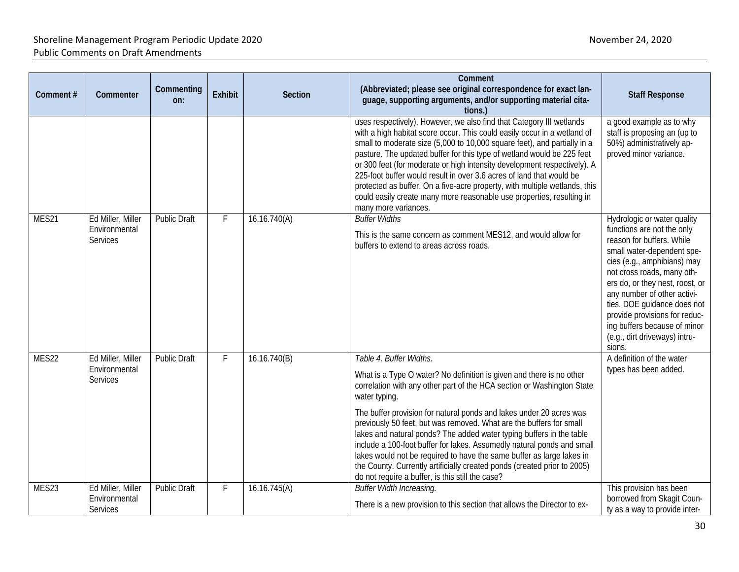| Comment# | Commenter                                             | Commenting<br>on:   | Exhibit        | <b>Section</b> | Comment<br>(Abbreviated; please see original correspondence for exact lan-<br>guage, supporting arguments, and/or supporting material cita-<br>tions.)                                                                                                                                                                                                                                                                                                                                                                                                                                                                                                                                              | <b>Staff Response</b>                                                                                                                                                                                                                                                                                                                                                                          |
|----------|-------------------------------------------------------|---------------------|----------------|----------------|-----------------------------------------------------------------------------------------------------------------------------------------------------------------------------------------------------------------------------------------------------------------------------------------------------------------------------------------------------------------------------------------------------------------------------------------------------------------------------------------------------------------------------------------------------------------------------------------------------------------------------------------------------------------------------------------------------|------------------------------------------------------------------------------------------------------------------------------------------------------------------------------------------------------------------------------------------------------------------------------------------------------------------------------------------------------------------------------------------------|
|          |                                                       |                     |                |                | uses respectively). However, we also find that Category III wetlands<br>with a high habitat score occur. This could easily occur in a wetland of<br>small to moderate size (5,000 to 10,000 square feet), and partially in a<br>pasture. The updated buffer for this type of wetland would be 225 feet<br>or 300 feet (for moderate or high intensity development respectively). A<br>225-foot buffer would result in over 3.6 acres of land that would be<br>protected as buffer. On a five-acre property, with multiple wetlands, this<br>could easily create many more reasonable use properties, resulting in<br>many more variances.                                                           | a good example as to why<br>staff is proposing an (up to<br>50%) administratively ap-<br>proved minor variance.                                                                                                                                                                                                                                                                                |
| MES21    | Ed Miller, Miller<br>Environmental<br><b>Services</b> | <b>Public Draft</b> | $\overline{F}$ | 16.16.740(A)   | <b>Buffer Widths</b><br>This is the same concern as comment MES12, and would allow for<br>buffers to extend to areas across roads.                                                                                                                                                                                                                                                                                                                                                                                                                                                                                                                                                                  | Hydrologic or water quality<br>functions are not the only<br>reason for buffers. While<br>small water-dependent spe-<br>cies (e.g., amphibians) may<br>not cross roads, many oth-<br>ers do, or they nest, roost, or<br>any number of other activi-<br>ties. DOE guidance does not<br>provide provisions for reduc-<br>ing buffers because of minor<br>(e.g., dirt driveways) intru-<br>sions. |
| MES22    | Ed Miller, Miller<br>Environmental<br><b>Services</b> | <b>Public Draft</b> | F              | 16.16.740(B)   | Table 4. Buffer Widths.<br>What is a Type O water? No definition is given and there is no other<br>correlation with any other part of the HCA section or Washington State<br>water typing.<br>The buffer provision for natural ponds and lakes under 20 acres was<br>previously 50 feet, but was removed. What are the buffers for small<br>lakes and natural ponds? The added water typing buffers in the table<br>include a 100-foot buffer for lakes. Assumedly natural ponds and small<br>lakes would not be required to have the same buffer as large lakes in<br>the County. Currently artificially created ponds (created prior to 2005)<br>do not require a buffer, is this still the case? | A definition of the water<br>types has been added.                                                                                                                                                                                                                                                                                                                                             |
| MES23    | Ed Miller, Miller<br>Environmental<br>Services        | <b>Public Draft</b> | F              | 16.16.745(A)   | <b>Buffer Width Increasing.</b><br>There is a new provision to this section that allows the Director to ex-                                                                                                                                                                                                                                                                                                                                                                                                                                                                                                                                                                                         | This provision has been<br>borrowed from Skagit Coun-<br>ty as a way to provide inter-                                                                                                                                                                                                                                                                                                         |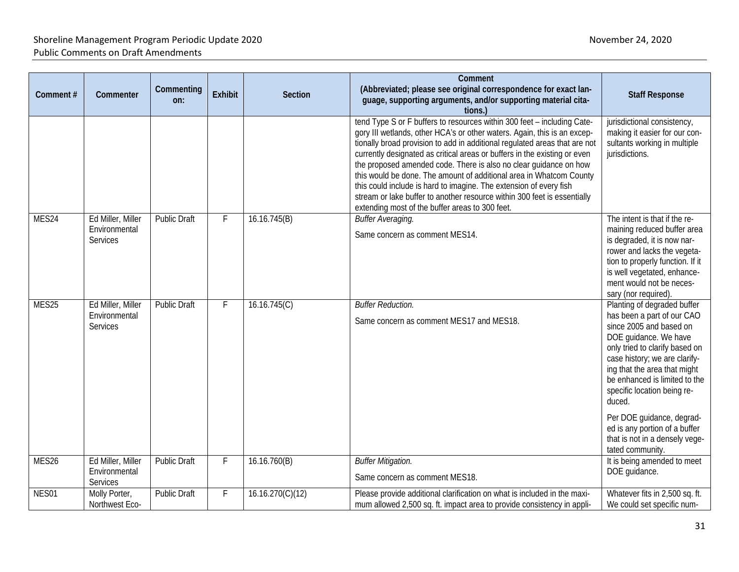| Comment# | Commenter                                      | Commenting<br>on:   | <b>Exhibit</b> | <b>Section</b>   | Comment<br>(Abbreviated; please see original correspondence for exact lan-<br>guage, supporting arguments, and/or supporting material cita-<br>tions.)                                                                                                                                                                                                                                                                                                                                                                                                                                                                                                          | <b>Staff Response</b>                                                                                                                                                                                                                                                                                                                                                                                          |
|----------|------------------------------------------------|---------------------|----------------|------------------|-----------------------------------------------------------------------------------------------------------------------------------------------------------------------------------------------------------------------------------------------------------------------------------------------------------------------------------------------------------------------------------------------------------------------------------------------------------------------------------------------------------------------------------------------------------------------------------------------------------------------------------------------------------------|----------------------------------------------------------------------------------------------------------------------------------------------------------------------------------------------------------------------------------------------------------------------------------------------------------------------------------------------------------------------------------------------------------------|
|          |                                                |                     |                |                  | tend Type S or F buffers to resources within 300 feet - including Cate-<br>gory III wetlands, other HCA's or other waters. Again, this is an excep-<br>tionally broad provision to add in additional regulated areas that are not<br>currently designated as critical areas or buffers in the existing or even<br>the proposed amended code. There is also no clear guidance on how<br>this would be done. The amount of additional area in Whatcom County<br>this could include is hard to imagine. The extension of every fish<br>stream or lake buffer to another resource within 300 feet is essentially<br>extending most of the buffer areas to 300 feet. | jurisdictional consistency,<br>making it easier for our con-<br>sultants working in multiple<br>jurisdictions.                                                                                                                                                                                                                                                                                                 |
| MES24    | Ed Miller, Miller<br>Environmental<br>Services | <b>Public Draft</b> | F              | 16.16.745(B)     | <b>Buffer Averaging.</b><br>Same concern as comment MES14.                                                                                                                                                                                                                                                                                                                                                                                                                                                                                                                                                                                                      | The intent is that if the re-<br>maining reduced buffer area<br>is degraded, it is now nar-<br>rower and lacks the vegeta-<br>tion to properly function. If it<br>is well vegetated, enhance-<br>ment would not be neces-<br>sary (nor required).                                                                                                                                                              |
| MES25    | Ed Miller, Miller<br>Environmental<br>Services | <b>Public Draft</b> | F              | 16.16.745(C)     | <b>Buffer Reduction.</b><br>Same concern as comment MES17 and MES18.                                                                                                                                                                                                                                                                                                                                                                                                                                                                                                                                                                                            | Planting of degraded buffer<br>has been a part of our CAO<br>since 2005 and based on<br>DOE guidance. We have<br>only tried to clarify based on<br>case history; we are clarify-<br>ing that the area that might<br>be enhanced is limited to the<br>specific location being re-<br>duced.<br>Per DOE guidance, degrad-<br>ed is any portion of a buffer<br>that is not in a densely vege-<br>tated community. |
| MES26    | Ed Miller, Miller<br>Environmental<br>Services | <b>Public Draft</b> | F              | 16.16.760(B)     | <b>Buffer Mitigation.</b><br>Same concern as comment MES18.                                                                                                                                                                                                                                                                                                                                                                                                                                                                                                                                                                                                     | It is being amended to meet<br>DOE guidance.                                                                                                                                                                                                                                                                                                                                                                   |
| NES01    | Molly Porter,<br>Northwest Eco-                | <b>Public Draft</b> | F              | 16.16.270(C)(12) | Please provide additional clarification on what is included in the maxi-<br>mum allowed 2,500 sq. ft. impact area to provide consistency in appli-                                                                                                                                                                                                                                                                                                                                                                                                                                                                                                              | Whatever fits in 2,500 sq. ft.<br>We could set specific num-                                                                                                                                                                                                                                                                                                                                                   |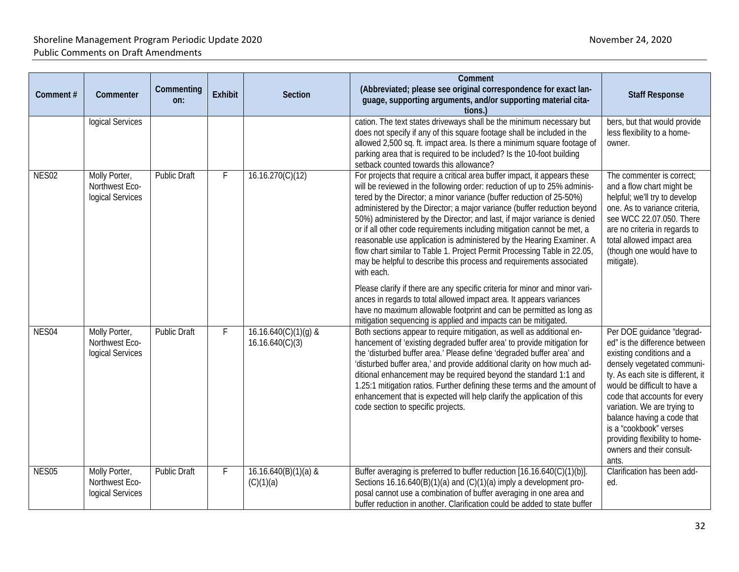| Comment#          | Commenter                                           | Commenting<br>on:   | <b>Exhibit</b> | <b>Section</b>                            | Comment<br>(Abbreviated; please see original correspondence for exact lan-<br>guage, supporting arguments, and/or supporting material cita-<br>tions.                                                                                                                                                                                                                                                                                                                                                                                                                                                                                                                                                                                                                                                                                                                                                                                                                                                    | <b>Staff Response</b>                                                                                                                                                                                                                                                                                                                                                                     |
|-------------------|-----------------------------------------------------|---------------------|----------------|-------------------------------------------|----------------------------------------------------------------------------------------------------------------------------------------------------------------------------------------------------------------------------------------------------------------------------------------------------------------------------------------------------------------------------------------------------------------------------------------------------------------------------------------------------------------------------------------------------------------------------------------------------------------------------------------------------------------------------------------------------------------------------------------------------------------------------------------------------------------------------------------------------------------------------------------------------------------------------------------------------------------------------------------------------------|-------------------------------------------------------------------------------------------------------------------------------------------------------------------------------------------------------------------------------------------------------------------------------------------------------------------------------------------------------------------------------------------|
|                   | logical Services                                    |                     |                |                                           | cation. The text states driveways shall be the minimum necessary but<br>does not specify if any of this square footage shall be included in the<br>allowed 2,500 sq. ft. impact area. Is there a minimum square footage of<br>parking area that is required to be included? Is the 10-foot building<br>setback counted towards this allowance?                                                                                                                                                                                                                                                                                                                                                                                                                                                                                                                                                                                                                                                           | bers, but that would provide<br>less flexibility to a home-<br>owner.                                                                                                                                                                                                                                                                                                                     |
| NES <sub>02</sub> | Molly Porter,<br>Northwest Eco-<br>logical Services | Public Draft        | F              | 16.16.270(C)(12)                          | For projects that require a critical area buffer impact, it appears these<br>will be reviewed in the following order: reduction of up to 25% adminis-<br>tered by the Director; a minor variance (buffer reduction of 25-50%)<br>administered by the Director; a major variance (buffer reduction beyond<br>50%) administered by the Director; and last, if major variance is denied<br>or if all other code requirements including mitigation cannot be met, a<br>reasonable use application is administered by the Hearing Examiner. A<br>flow chart similar to Table 1. Project Permit Processing Table in 22.05,<br>may be helpful to describe this process and requirements associated<br>with each.<br>Please clarify if there are any specific criteria for minor and minor vari-<br>ances in regards to total allowed impact area. It appears variances<br>have no maximum allowable footprint and can be permitted as long as<br>mitigation sequencing is applied and impacts can be mitigated. | The commenter is correct;<br>and a flow chart might be<br>helpful; we'll try to develop<br>one. As to variance criteria,<br>see WCC 22.07.050. There<br>are no criteria in regards to<br>total allowed impact area<br>(though one would have to<br>mitigate).                                                                                                                             |
| NES04             | Molly Porter,<br>Northwest Eco-<br>logical Services | <b>Public Draft</b> | F              | $16.16.640(C)(1)(g)$ &<br>16.16.640(C)(3) | Both sections appear to require mitigation, as well as additional en-<br>hancement of 'existing degraded buffer area' to provide mitigation for<br>the 'disturbed buffer area.' Please define 'degraded buffer area' and<br>'disturbed buffer area,' and provide additional clarity on how much ad-<br>ditional enhancement may be required beyond the standard 1:1 and<br>1.25:1 mitigation ratios. Further defining these terms and the amount of<br>enhancement that is expected will help clarify the application of this<br>code section to specific projects.                                                                                                                                                                                                                                                                                                                                                                                                                                      | Per DOE guidance "degrad-<br>ed" is the difference between<br>existing conditions and a<br>densely vegetated communi-<br>ty. As each site is different, it<br>would be difficult to have a<br>code that accounts for every<br>variation. We are trying to<br>balance having a code that<br>is a "cookbook" verses<br>providing flexibility to home-<br>owners and their consult-<br>ants. |
| NES <sub>05</sub> | Molly Porter,<br>Northwest Eco-<br>logical Services | <b>Public Draft</b> | F              | $16.16.640(B)(1)(a)$ &<br>(C)(1)(a)       | Buffer averaging is preferred to buffer reduction [16.16.640(C)(1)(b)].<br>Sections 16.16.640(B)(1)(a) and (C)(1)(a) imply a development pro-<br>posal cannot use a combination of buffer averaging in one area and<br>buffer reduction in another. Clarification could be added to state buffer                                                                                                                                                                                                                                                                                                                                                                                                                                                                                                                                                                                                                                                                                                         | Clarification has been add-<br>ed.                                                                                                                                                                                                                                                                                                                                                        |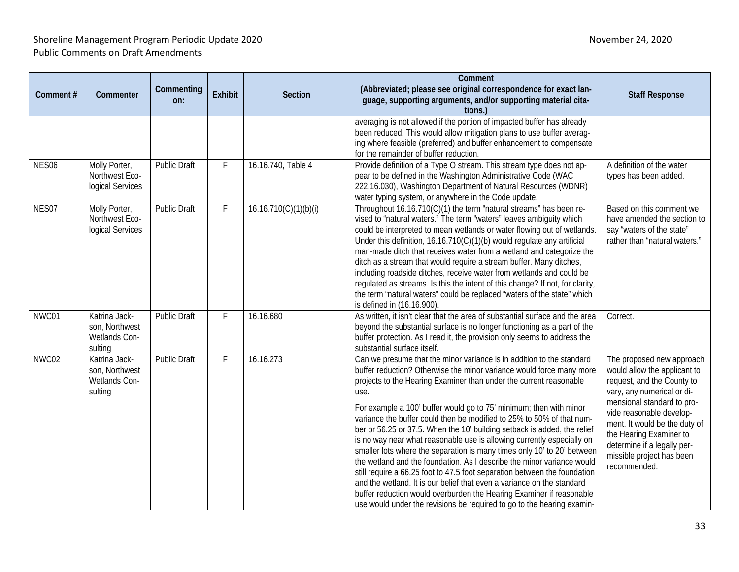| Comment#          | Commenter                                                   | Commenting<br>on:   | Exhibit | Section               | Comment<br>(Abbreviated; please see original correspondence for exact lan-<br>guage, supporting arguments, and/or supporting material cita-<br>tions.)                                                                                                                                                                                                                                                                                                                                                                                                                                                                                                                                                                                                                                                                                                                                                                                                                                         | <b>Staff Response</b>                                                                                                                                                                                                                                                                                                   |
|-------------------|-------------------------------------------------------------|---------------------|---------|-----------------------|------------------------------------------------------------------------------------------------------------------------------------------------------------------------------------------------------------------------------------------------------------------------------------------------------------------------------------------------------------------------------------------------------------------------------------------------------------------------------------------------------------------------------------------------------------------------------------------------------------------------------------------------------------------------------------------------------------------------------------------------------------------------------------------------------------------------------------------------------------------------------------------------------------------------------------------------------------------------------------------------|-------------------------------------------------------------------------------------------------------------------------------------------------------------------------------------------------------------------------------------------------------------------------------------------------------------------------|
|                   |                                                             |                     |         |                       | averaging is not allowed if the portion of impacted buffer has already<br>been reduced. This would allow mitigation plans to use buffer averag-<br>ing where feasible (preferred) and buffer enhancement to compensate<br>for the remainder of buffer reduction.                                                                                                                                                                                                                                                                                                                                                                                                                                                                                                                                                                                                                                                                                                                               |                                                                                                                                                                                                                                                                                                                         |
| NES <sub>06</sub> | Molly Porter,<br>Northwest Eco-<br>logical Services         | <b>Public Draft</b> |         | 16.16.740, Table 4    | Provide definition of a Type O stream. This stream type does not ap-<br>pear to be defined in the Washington Administrative Code (WAC<br>222.16.030), Washington Department of Natural Resources (WDNR)<br>water typing system, or anywhere in the Code update.                                                                                                                                                                                                                                                                                                                                                                                                                                                                                                                                                                                                                                                                                                                                | A definition of the water<br>types has been added.                                                                                                                                                                                                                                                                      |
| NES07             | Molly Porter,<br>Northwest Eco-<br>logical Services         | <b>Public Draft</b> | F       | 16.16.710(C)(1)(b)(i) | Throughout 16.16.710(C)(1) the term "natural streams" has been re-<br>vised to "natural waters." The term "waters" leaves ambiguity which<br>could be interpreted to mean wetlands or water flowing out of wetlands.<br>Under this definition, 16.16.710(C)(1)(b) would regulate any artificial<br>man-made ditch that receives water from a wetland and categorize the<br>ditch as a stream that would require a stream buffer. Many ditches,<br>including roadside ditches, receive water from wetlands and could be<br>regulated as streams. Is this the intent of this change? If not, for clarity,<br>the term "natural waters" could be replaced "waters of the state" which<br>is defined in (16.16.900).                                                                                                                                                                                                                                                                               | Based on this comment we<br>have amended the section to<br>say "waters of the state"<br>rather than "natural waters."                                                                                                                                                                                                   |
| NWC01             | Katrina Jack-<br>son, Northwest<br>Wetlands Con-<br>sulting | <b>Public Draft</b> | F       | 16.16.680             | As written, it isn't clear that the area of substantial surface and the area<br>beyond the substantial surface is no longer functioning as a part of the<br>buffer protection. As I read it, the provision only seems to address the<br>substantial surface itself.                                                                                                                                                                                                                                                                                                                                                                                                                                                                                                                                                                                                                                                                                                                            | Correct.                                                                                                                                                                                                                                                                                                                |
| NWC02             | Katrina Jack-<br>son, Northwest<br>Wetlands Con-<br>sulting | <b>Public Draft</b> | F       | 16.16.273             | Can we presume that the minor variance is in addition to the standard<br>buffer reduction? Otherwise the minor variance would force many more<br>projects to the Hearing Examiner than under the current reasonable<br>use.<br>For example a 100' buffer would go to 75' minimum; then with minor<br>variance the buffer could then be modified to 25% to 50% of that num-<br>ber or 56.25 or 37.5. When the 10' building setback is added, the relief<br>is no way near what reasonable use is allowing currently especially on<br>smaller lots where the separation is many times only 10' to 20' between<br>the wetland and the foundation. As I describe the minor variance would<br>still require a 66.25 foot to 47.5 foot separation between the foundation<br>and the wetland. It is our belief that even a variance on the standard<br>buffer reduction would overburden the Hearing Examiner if reasonable<br>use would under the revisions be required to go to the hearing examin- | The proposed new approach<br>would allow the applicant to<br>request, and the County to<br>vary, any numerical or di-<br>mensional standard to pro-<br>vide reasonable develop-<br>ment. It would be the duty of<br>the Hearing Examiner to<br>determine if a legally per-<br>missible project has been<br>recommended. |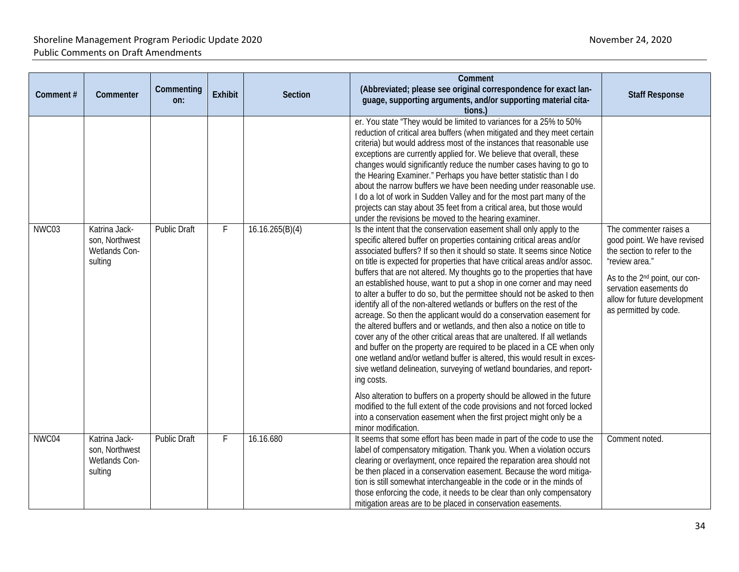| Comment# | Commenter                                                   | Commenting<br>on:   | <b>Exhibit</b> | <b>Section</b>  | Comment<br>(Abbreviated; please see original correspondence for exact lan-<br>guage, supporting arguments, and/or supporting material cita-<br>tions.)                                                                                                                                                                                                                                                                                                                                                                                                                                                                                                                                                                                                                                                                                                                                                                                                                                                                                                                                                                                                                                                                                                                         | <b>Staff Response</b>                                                                                                                                                                                        |
|----------|-------------------------------------------------------------|---------------------|----------------|-----------------|--------------------------------------------------------------------------------------------------------------------------------------------------------------------------------------------------------------------------------------------------------------------------------------------------------------------------------------------------------------------------------------------------------------------------------------------------------------------------------------------------------------------------------------------------------------------------------------------------------------------------------------------------------------------------------------------------------------------------------------------------------------------------------------------------------------------------------------------------------------------------------------------------------------------------------------------------------------------------------------------------------------------------------------------------------------------------------------------------------------------------------------------------------------------------------------------------------------------------------------------------------------------------------|--------------------------------------------------------------------------------------------------------------------------------------------------------------------------------------------------------------|
| NWC03    | Katrina Jack-                                               | <b>Public Draft</b> |                | 16.16.265(B)(4) | er. You state "They would be limited to variances for a 25% to 50%<br>reduction of critical area buffers (when mitigated and they meet certain<br>criteria) but would address most of the instances that reasonable use<br>exceptions are currently applied for. We believe that overall, these<br>changes would significantly reduce the number cases having to go to<br>the Hearing Examiner." Perhaps you have better statistic than I do<br>about the narrow buffers we have been needing under reasonable use.<br>I do a lot of work in Sudden Valley and for the most part many of the<br>projects can stay about 35 feet from a critical area, but those would<br>under the revisions be moved to the hearing examiner.<br>Is the intent that the conservation easement shall only apply to the                                                                                                                                                                                                                                                                                                                                                                                                                                                                         | The commenter raises a                                                                                                                                                                                       |
|          | son, Northwest<br>Wetlands Con-<br>sulting                  |                     |                |                 | specific altered buffer on properties containing critical areas and/or<br>associated buffers? If so then it should so state. It seems since Notice<br>on title is expected for properties that have critical areas and/or assoc.<br>buffers that are not altered. My thoughts go to the properties that have<br>an established house, want to put a shop in one corner and may need<br>to alter a buffer to do so, but the permittee should not be asked to then<br>identify all of the non-altered wetlands or buffers on the rest of the<br>acreage. So then the applicant would do a conservation easement for<br>the altered buffers and or wetlands, and then also a notice on title to<br>cover any of the other critical areas that are unaltered. If all wetlands<br>and buffer on the property are required to be placed in a CE when only<br>one wetland and/or wetland buffer is altered, this would result in exces-<br>sive wetland delineation, surveying of wetland boundaries, and report-<br>ing costs.<br>Also alteration to buffers on a property should be allowed in the future<br>modified to the full extent of the code provisions and not forced locked<br>into a conservation easement when the first project might only be a<br>minor modification. | good point. We have revised<br>the section to refer to the<br>"review area."<br>As to the 2 <sup>nd</sup> point, our con-<br>servation easements do<br>allow for future development<br>as permitted by code. |
| NWC04    | Katrina Jack-<br>son, Northwest<br>Wetlands Con-<br>sulting | <b>Public Draft</b> |                | 16.16.680       | It seems that some effort has been made in part of the code to use the<br>label of compensatory mitigation. Thank you. When a violation occurs<br>clearing or overlayment, once repaired the reparation area should not<br>be then placed in a conservation easement. Because the word mitiga-<br>tion is still somewhat interchangeable in the code or in the minds of<br>those enforcing the code, it needs to be clear than only compensatory<br>mitigation areas are to be placed in conservation easements.                                                                                                                                                                                                                                                                                                                                                                                                                                                                                                                                                                                                                                                                                                                                                               | Comment noted.                                                                                                                                                                                               |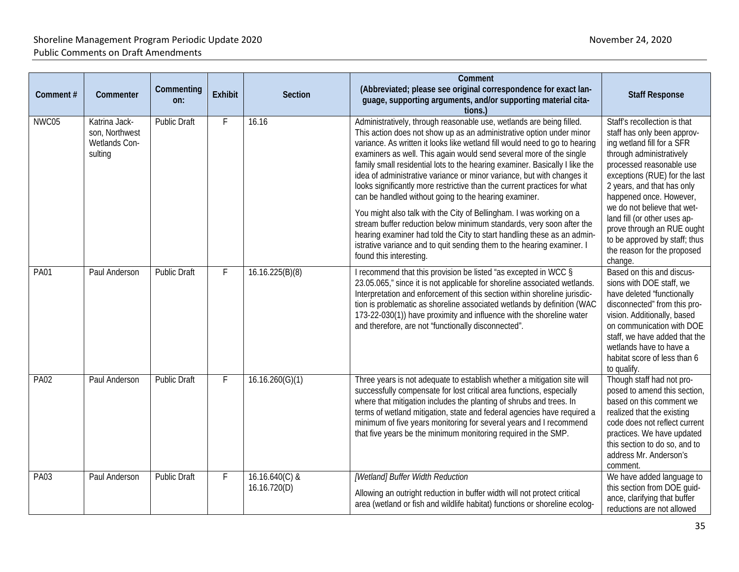| Comment#    | Commenter                                                   | Commenting<br>on:   | <b>Exhibit</b> | <b>Section</b>                   | Comment<br>(Abbreviated; please see original correspondence for exact lan-<br>guage, supporting arguments, and/or supporting material cita-<br>tions.)                                                                                                                                                                                                                                                                                                                                                                                                                                                                                                                                                                                                                                                                                                                                                                          | <b>Staff Response</b>                                                                                                                                                                                                                                                                                                                                                                                               |
|-------------|-------------------------------------------------------------|---------------------|----------------|----------------------------------|---------------------------------------------------------------------------------------------------------------------------------------------------------------------------------------------------------------------------------------------------------------------------------------------------------------------------------------------------------------------------------------------------------------------------------------------------------------------------------------------------------------------------------------------------------------------------------------------------------------------------------------------------------------------------------------------------------------------------------------------------------------------------------------------------------------------------------------------------------------------------------------------------------------------------------|---------------------------------------------------------------------------------------------------------------------------------------------------------------------------------------------------------------------------------------------------------------------------------------------------------------------------------------------------------------------------------------------------------------------|
| NWC05       | Katrina Jack-<br>son, Northwest<br>Wetlands Con-<br>sulting | <b>Public Draft</b> | F              | 16.16                            | Administratively, through reasonable use, wetlands are being filled.<br>This action does not show up as an administrative option under minor<br>variance. As written it looks like wetland fill would need to go to hearing<br>examiners as well. This again would send several more of the single<br>family small residential lots to the hearing examiner. Basically I like the<br>idea of administrative variance or minor variance, but with changes it<br>looks significantly more restrictive than the current practices for what<br>can be handled without going to the hearing examiner.<br>You might also talk with the City of Bellingham. I was working on a<br>stream buffer reduction below minimum standards, very soon after the<br>hearing examiner had told the City to start handling these as an admin-<br>istrative variance and to quit sending them to the hearing examiner. I<br>found this interesting. | Staff's recollection is that<br>staff has only been approv-<br>ing wetland fill for a SFR<br>through administratively<br>processed reasonable use<br>exceptions (RUE) for the last<br>2 years, and that has only<br>happened once. However,<br>we do not believe that wet-<br>land fill (or other uses ap-<br>prove through an RUE ought<br>to be approved by staff; thus<br>the reason for the proposed<br>change. |
| <b>PA01</b> | Paul Anderson                                               | Public Draft        | F              | 16.16.225(B)(8)                  | I recommend that this provision be listed "as excepted in WCC §<br>23.05.065," since it is not applicable for shoreline associated wetlands.<br>Interpretation and enforcement of this section within shoreline jurisdic-<br>tion is problematic as shoreline associated wetlands by definition (WAC<br>173-22-030(1)) have proximity and influence with the shoreline water<br>and therefore, are not "functionally disconnected".                                                                                                                                                                                                                                                                                                                                                                                                                                                                                             | Based on this and discus-<br>sions with DOE staff, we<br>have deleted "functionally<br>disconnected" from this pro-<br>vision. Additionally, based<br>on communication with DOE<br>staff, we have added that the<br>wetlands have to have a<br>habitat score of less than 6<br>to qualify.                                                                                                                          |
| <b>PA02</b> | Paul Anderson                                               | <b>Public Draft</b> | F              | 16.16.260(G)(1)                  | Three years is not adequate to establish whether a mitigation site will<br>successfully compensate for lost critical area functions, especially<br>where that mitigation includes the planting of shrubs and trees. In<br>terms of wetland mitigation, state and federal agencies have required a<br>minimum of five years monitoring for several years and I recommend<br>that five years be the minimum monitoring required in the SMP.                                                                                                                                                                                                                                                                                                                                                                                                                                                                                       | Though staff had not pro-<br>posed to amend this section,<br>based on this comment we<br>realized that the existing<br>code does not reflect current<br>practices. We have updated<br>this section to do so, and to<br>address Mr. Anderson's<br>comment.                                                                                                                                                           |
| <b>PA03</b> | Paul Anderson                                               | <b>Public Draft</b> | F              | $16.16.640(C)$ &<br>16.16.720(D) | [Wetland] Buffer Width Reduction<br>Allowing an outright reduction in buffer width will not protect critical<br>area (wetland or fish and wildlife habitat) functions or shoreline ecolog-                                                                                                                                                                                                                                                                                                                                                                                                                                                                                                                                                                                                                                                                                                                                      | We have added language to<br>this section from DOE guid-<br>ance, clarifying that buffer<br>reductions are not allowed                                                                                                                                                                                                                                                                                              |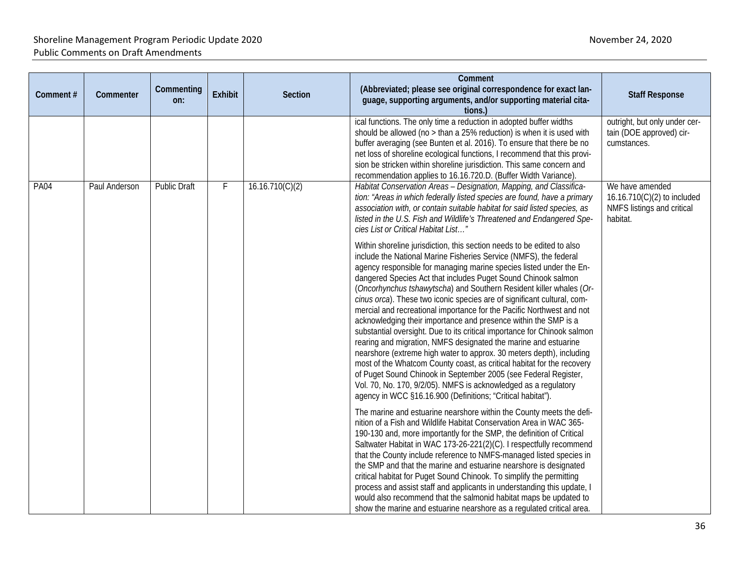| Comment#    | Commenter     | Commenting<br>on:   | <b>Exhibit</b> | <b>Section</b>  | Comment<br>(Abbreviated; please see original correspondence for exact lan-<br>guage, supporting arguments, and/or supporting material cita-<br>tions.)                                                                                                                                                                                                                                                                                                                                                                                                                                                                                                                                                                                                                                                                                                                                                                                                                                                                                                                                  | <b>Staff Response</b>                                                                    |
|-------------|---------------|---------------------|----------------|-----------------|-----------------------------------------------------------------------------------------------------------------------------------------------------------------------------------------------------------------------------------------------------------------------------------------------------------------------------------------------------------------------------------------------------------------------------------------------------------------------------------------------------------------------------------------------------------------------------------------------------------------------------------------------------------------------------------------------------------------------------------------------------------------------------------------------------------------------------------------------------------------------------------------------------------------------------------------------------------------------------------------------------------------------------------------------------------------------------------------|------------------------------------------------------------------------------------------|
|             |               |                     |                |                 | ical functions. The only time a reduction in adopted buffer widths<br>should be allowed (no > than a 25% reduction) is when it is used with<br>buffer averaging (see Bunten et al. 2016). To ensure that there be no<br>net loss of shoreline ecological functions, I recommend that this provi-<br>sion be stricken within shoreline jurisdiction. This same concern and<br>recommendation applies to 16.16.720.D. (Buffer Width Variance).                                                                                                                                                                                                                                                                                                                                                                                                                                                                                                                                                                                                                                            | outright, but only under cer-<br>tain (DOE approved) cir-<br>cumstances.                 |
| <b>PA04</b> | Paul Anderson | <b>Public Draft</b> | F              | 16.16.710(C)(2) | Habitat Conservation Areas - Designation, Mapping, and Classifica-<br>tion: "Areas in which federally listed species are found, have a primary<br>association with, or contain suitable habitat for said listed species, as<br>listed in the U.S. Fish and Wildlife's Threatened and Endangered Spe-<br>cies List or Critical Habitat List"                                                                                                                                                                                                                                                                                                                                                                                                                                                                                                                                                                                                                                                                                                                                             | We have amended<br>16.16.710(C)(2) to included<br>NMFS listings and critical<br>habitat. |
|             |               |                     |                |                 | Within shoreline jurisdiction, this section needs to be edited to also<br>include the National Marine Fisheries Service (NMFS), the federal<br>agency responsible for managing marine species listed under the En-<br>dangered Species Act that includes Puget Sound Chinook salmon<br>(Oncorhynchus tshawytscha) and Southern Resident killer whales (Or-<br>cinus orca). These two iconic species are of significant cultural, com-<br>mercial and recreational importance for the Pacific Northwest and not<br>acknowledging their importance and presence within the SMP is a<br>substantial oversight. Due to its critical importance for Chinook salmon<br>rearing and migration, NMFS designated the marine and estuarine<br>nearshore (extreme high water to approx. 30 meters depth), including<br>most of the Whatcom County coast, as critical habitat for the recovery<br>of Puget Sound Chinook in September 2005 (see Federal Register,<br>Vol. 70, No. 170, 9/2/05). NMFS is acknowledged as a regulatory<br>agency in WCC §16.16.900 (Definitions; "Critical habitat"). |                                                                                          |
|             |               |                     |                |                 | The marine and estuarine nearshore within the County meets the defi-<br>nition of a Fish and Wildlife Habitat Conservation Area in WAC 365-<br>190-130 and, more importantly for the SMP, the definition of Critical<br>Saltwater Habitat in WAC 173-26-221(2)(C). I respectfully recommend<br>that the County include reference to NMFS-managed listed species in<br>the SMP and that the marine and estuarine nearshore is designated<br>critical habitat for Puget Sound Chinook. To simplify the permitting<br>process and assist staff and applicants in understanding this update, I<br>would also recommend that the salmonid habitat maps be updated to<br>show the marine and estuarine nearshore as a regulated critical area.                                                                                                                                                                                                                                                                                                                                                |                                                                                          |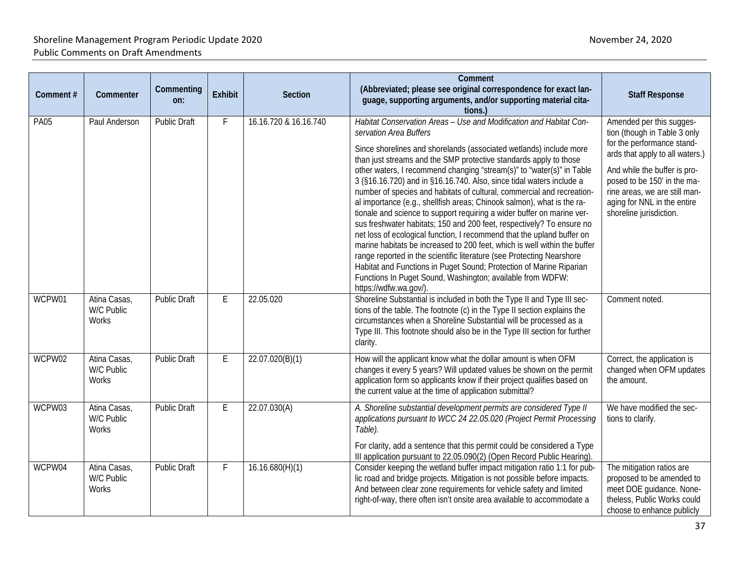| Comment#    | Commenter                           | Commenting<br>on:   | Exhibit | Section               | Comment<br>(Abbreviated; please see original correspondence for exact lan-<br>guage, supporting arguments, and/or supporting material cita-<br>tions.)                                                                                                                                                                                                                                                                                                                                                                                                                                                                                                                                                                                                                                                                                                                                                                                                                                                                                                                                         | <b>Staff Response</b>                                                                                                                                                                                                                                                               |
|-------------|-------------------------------------|---------------------|---------|-----------------------|------------------------------------------------------------------------------------------------------------------------------------------------------------------------------------------------------------------------------------------------------------------------------------------------------------------------------------------------------------------------------------------------------------------------------------------------------------------------------------------------------------------------------------------------------------------------------------------------------------------------------------------------------------------------------------------------------------------------------------------------------------------------------------------------------------------------------------------------------------------------------------------------------------------------------------------------------------------------------------------------------------------------------------------------------------------------------------------------|-------------------------------------------------------------------------------------------------------------------------------------------------------------------------------------------------------------------------------------------------------------------------------------|
| <b>PA05</b> | Paul Anderson                       | <b>Public Draft</b> | F       | 16.16.720 & 16.16.740 | Habitat Conservation Areas - Use and Modification and Habitat Con-<br>servation Area Buffers<br>Since shorelines and shorelands (associated wetlands) include more<br>than just streams and the SMP protective standards apply to those<br>other waters, I recommend changing "stream(s)" to "water(s)" in Table<br>3 (§16.16.720) and in §16.16.740. Also, since tidal waters include a<br>number of species and habitats of cultural, commercial and recreation-<br>al importance (e.g., shellfish areas; Chinook salmon), what is the ra-<br>tionale and science to support requiring a wider buffer on marine ver-<br>sus freshwater habitats; 150 and 200 feet, respectively? To ensure no<br>net loss of ecological function, I recommend that the upland buffer on<br>marine habitats be increased to 200 feet, which is well within the buffer<br>range reported in the scientific literature (see Protecting Nearshore<br>Habitat and Functions in Puget Sound; Protection of Marine Riparian<br>Functions In Puget Sound, Washington; available from WDFW:<br>https://wdfw.wa.gov/). | Amended per this sugges-<br>tion (though in Table 3 only<br>for the performance stand-<br>ards that apply to all waters.)<br>And while the buffer is pro-<br>posed to be 150' in the ma-<br>rine areas, we are still man-<br>aging for NNL in the entire<br>shoreline jurisdiction. |
| WCPW01      | Atina Casas,<br>W/C Public<br>Works | <b>Public Draft</b> | Ε       | 22.05.020             | Shoreline Substantial is included in both the Type II and Type III sec-<br>tions of the table. The footnote (c) in the Type II section explains the<br>circumstances when a Shoreline Substantial will be processed as a<br>Type III. This footnote should also be in the Type III section for further<br>clarity.                                                                                                                                                                                                                                                                                                                                                                                                                                                                                                                                                                                                                                                                                                                                                                             | Comment noted.                                                                                                                                                                                                                                                                      |
| WCPW02      | Atina Casas,<br>W/C Public<br>Works | <b>Public Draft</b> | E       | 22.07.020(B)(1)       | How will the applicant know what the dollar amount is when OFM<br>changes it every 5 years? Will updated values be shown on the permit<br>application form so applicants know if their project qualifies based on<br>the current value at the time of application submittal?                                                                                                                                                                                                                                                                                                                                                                                                                                                                                                                                                                                                                                                                                                                                                                                                                   | Correct, the application is<br>changed when OFM updates<br>the amount.                                                                                                                                                                                                              |
| WCPW03      | Atina Casas,<br>W/C Public<br>Works | <b>Public Draft</b> | E       | 22.07.030(A)          | A. Shoreline substantial development permits are considered Type II<br>applications pursuant to WCC 24 22.05.020 (Project Permit Processing<br>Table).<br>For clarity, add a sentence that this permit could be considered a Type<br>III application pursuant to 22.05.090(2) (Open Record Public Hearing).                                                                                                                                                                                                                                                                                                                                                                                                                                                                                                                                                                                                                                                                                                                                                                                    | We have modified the sec-<br>tions to clarify.                                                                                                                                                                                                                                      |
| WCPW04      | Atina Casas,<br>W/C Public<br>Works | <b>Public Draft</b> | F       | 16.16.680(H)(1)       | Consider keeping the wetland buffer impact mitigation ratio 1:1 for pub-<br>lic road and bridge projects. Mitigation is not possible before impacts.<br>And between clear zone requirements for vehicle safety and limited<br>right-of-way, there often isn't onsite area available to accommodate a                                                                                                                                                                                                                                                                                                                                                                                                                                                                                                                                                                                                                                                                                                                                                                                           | The mitigation ratios are<br>proposed to be amended to<br>meet DOE guidance. None-<br>theless, Public Works could<br>choose to enhance publicly                                                                                                                                     |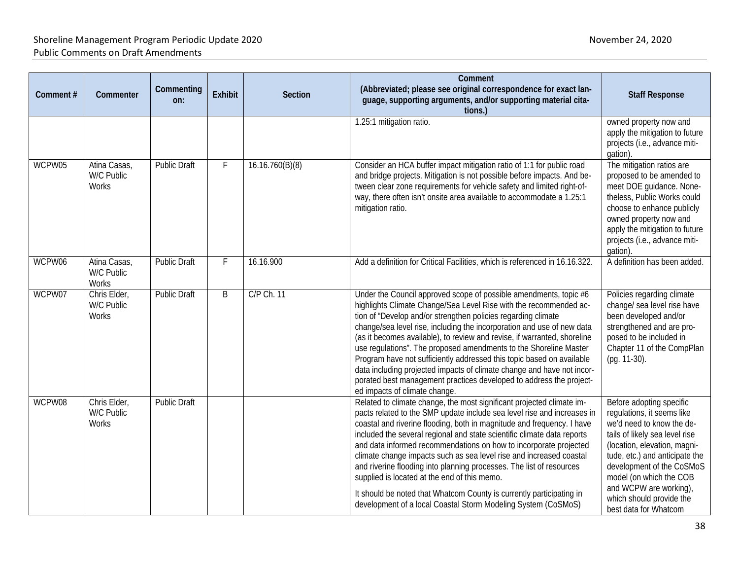| Comment# | Commenter                           | Commenting<br>on:   | <b>Exhibit</b> | Section         | Comment<br>(Abbreviated; please see original correspondence for exact lan-<br>guage, supporting arguments, and/or supporting material cita-<br>tions.)                                                                                                                                                                                                                                                                                                                                                                                                                                                                                                                                                             | <b>Staff Response</b>                                                                                                                                                                                                                                                                                                          |
|----------|-------------------------------------|---------------------|----------------|-----------------|--------------------------------------------------------------------------------------------------------------------------------------------------------------------------------------------------------------------------------------------------------------------------------------------------------------------------------------------------------------------------------------------------------------------------------------------------------------------------------------------------------------------------------------------------------------------------------------------------------------------------------------------------------------------------------------------------------------------|--------------------------------------------------------------------------------------------------------------------------------------------------------------------------------------------------------------------------------------------------------------------------------------------------------------------------------|
|          |                                     |                     |                |                 | 1.25:1 mitigation ratio.                                                                                                                                                                                                                                                                                                                                                                                                                                                                                                                                                                                                                                                                                           | owned property now and<br>apply the mitigation to future<br>projects (i.e., advance miti-<br>gation).                                                                                                                                                                                                                          |
| WCPW05   | Atina Casas,<br>W/C Public<br>Works | <b>Public Draft</b> | F              | 16.16.760(B)(8) | Consider an HCA buffer impact mitigation ratio of 1:1 for public road<br>and bridge projects. Mitigation is not possible before impacts. And be-<br>tween clear zone requirements for vehicle safety and limited right-of-<br>way, there often isn't onsite area available to accommodate a 1.25:1<br>mitigation ratio.                                                                                                                                                                                                                                                                                                                                                                                            | The mitigation ratios are<br>proposed to be amended to<br>meet DOE quidance. None-<br>theless, Public Works could<br>choose to enhance publicly<br>owned property now and<br>apply the mitigation to future<br>projects (i.e., advance miti-<br>gation).                                                                       |
| WCPW06   | Atina Casas,<br>W/C Public<br>Works | <b>Public Draft</b> |                | 16.16.900       | Add a definition for Critical Facilities, which is referenced in 16.16.322.                                                                                                                                                                                                                                                                                                                                                                                                                                                                                                                                                                                                                                        | A definition has been added.                                                                                                                                                                                                                                                                                                   |
| WCPW07   | Chris Elder,<br>W/C Public<br>Works | <b>Public Draft</b> | B              | C/P Ch. 11      | Under the Council approved scope of possible amendments, topic #6<br>highlights Climate Change/Sea Level Rise with the recommended ac-<br>tion of "Develop and/or strengthen policies regarding climate<br>change/sea level rise, including the incorporation and use of new data<br>(as it becomes available), to review and revise, if warranted, shoreline<br>use regulations". The proposed amendments to the Shoreline Master<br>Program have not sufficiently addressed this topic based on available<br>data including projected impacts of climate change and have not incor-<br>porated best management practices developed to address the project-<br>ed impacts of climate change.                      | Policies regarding climate<br>change/ sea level rise have<br>been developed and/or<br>strengthened and are pro-<br>posed to be included in<br>Chapter 11 of the CompPlan<br>(pg. 11-30).                                                                                                                                       |
| WCPW08   | Chris Elder,<br>W/C Public<br>Works | <b>Public Draft</b> |                |                 | Related to climate change, the most significant projected climate im-<br>pacts related to the SMP update include sea level rise and increases in<br>coastal and riverine flooding, both in magnitude and frequency. I have<br>included the several regional and state scientific climate data reports<br>and data informed recommendations on how to incorporate projected<br>climate change impacts such as sea level rise and increased coastal<br>and riverine flooding into planning processes. The list of resources<br>supplied is located at the end of this memo.<br>It should be noted that Whatcom County is currently participating in<br>development of a local Coastal Storm Modeling System (CoSMoS) | Before adopting specific<br>regulations, it seems like<br>we'd need to know the de-<br>tails of likely sea level rise<br>(location, elevation, magni-<br>tude, etc.) and anticipate the<br>development of the CoSMoS<br>model (on which the COB<br>and WCPW are working),<br>which should provide the<br>best data for Whatcom |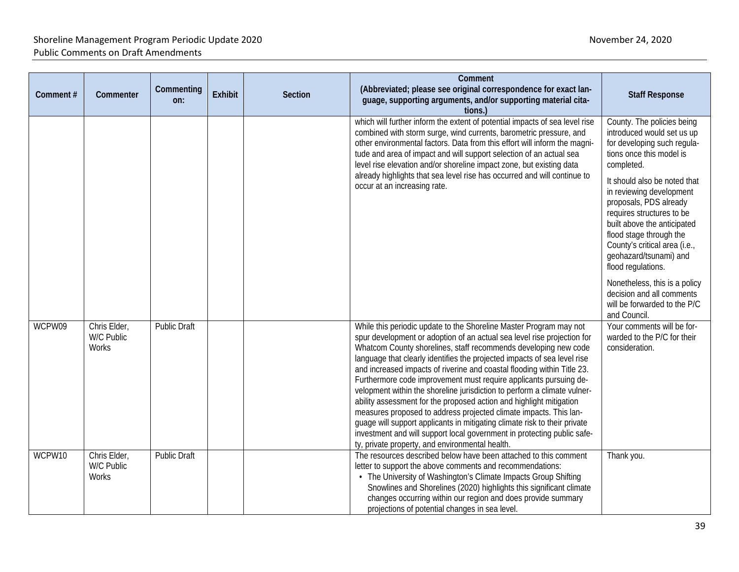| Comment#         | Commenter                                           | Commenting<br>on:                   | <b>Exhibit</b> | <b>Section</b> | Comment<br>(Abbreviated; please see original correspondence for exact lan-<br>guage, supporting arguments, and/or supporting material cita-<br>tions.                                                                                                                                                                                                                                                                                                                                                                                                                                                                                                                                                                                                                                                                                                                                                                                               | <b>Staff Response</b>                                                                                                                                                                                                                                                                                                                                                                                                                                                                                         |
|------------------|-----------------------------------------------------|-------------------------------------|----------------|----------------|-----------------------------------------------------------------------------------------------------------------------------------------------------------------------------------------------------------------------------------------------------------------------------------------------------------------------------------------------------------------------------------------------------------------------------------------------------------------------------------------------------------------------------------------------------------------------------------------------------------------------------------------------------------------------------------------------------------------------------------------------------------------------------------------------------------------------------------------------------------------------------------------------------------------------------------------------------|---------------------------------------------------------------------------------------------------------------------------------------------------------------------------------------------------------------------------------------------------------------------------------------------------------------------------------------------------------------------------------------------------------------------------------------------------------------------------------------------------------------|
|                  |                                                     |                                     |                |                | which will further inform the extent of potential impacts of sea level rise<br>combined with storm surge, wind currents, barometric pressure, and<br>other environmental factors. Data from this effort will inform the magni-<br>tude and area of impact and will support selection of an actual sea<br>level rise elevation and/or shoreline impact zone, but existing data<br>already highlights that sea level rise has occurred and will continue to<br>occur at an increasing rate.                                                                                                                                                                                                                                                                                                                                                                                                                                                           | County. The policies being<br>introduced would set us up<br>for developing such regula-<br>tions once this model is<br>completed.<br>It should also be noted that<br>in reviewing development<br>proposals, PDS already<br>requires structures to be<br>built above the anticipated<br>flood stage through the<br>County's critical area (i.e.,<br>geohazard/tsunami) and<br>flood regulations.<br>Nonetheless, this is a policy<br>decision and all comments<br>will be forwarded to the P/C<br>and Council. |
| WCPW09<br>WCPW10 | Chris Elder,<br>W/C Public<br>Works<br>Chris Elder, | Public Draft<br><b>Public Draft</b> |                |                | While this periodic update to the Shoreline Master Program may not<br>spur development or adoption of an actual sea level rise projection for<br>Whatcom County shorelines, staff recommends developing new code<br>language that clearly identifies the projected impacts of sea level rise<br>and increased impacts of riverine and coastal flooding within Title 23.<br>Furthermore code improvement must require applicants pursuing de-<br>velopment within the shoreline jurisdiction to perform a climate vulner-<br>ability assessment for the proposed action and highlight mitigation<br>measures proposed to address projected climate impacts. This lan-<br>guage will support applicants in mitigating climate risk to their private<br>investment and will support local government in protecting public safe-<br>ty, private property, and environmental health.<br>The resources described below have been attached to this comment | Your comments will be for-<br>warded to the P/C for their<br>consideration.<br>Thank you.                                                                                                                                                                                                                                                                                                                                                                                                                     |
|                  | W/C Public<br>Works                                 |                                     |                |                | letter to support the above comments and recommendations:<br>• The University of Washington's Climate Impacts Group Shifting<br>Snowlines and Shorelines (2020) highlights this significant climate<br>changes occurring within our region and does provide summary<br>projections of potential changes in sea level.                                                                                                                                                                                                                                                                                                                                                                                                                                                                                                                                                                                                                               |                                                                                                                                                                                                                                                                                                                                                                                                                                                                                                               |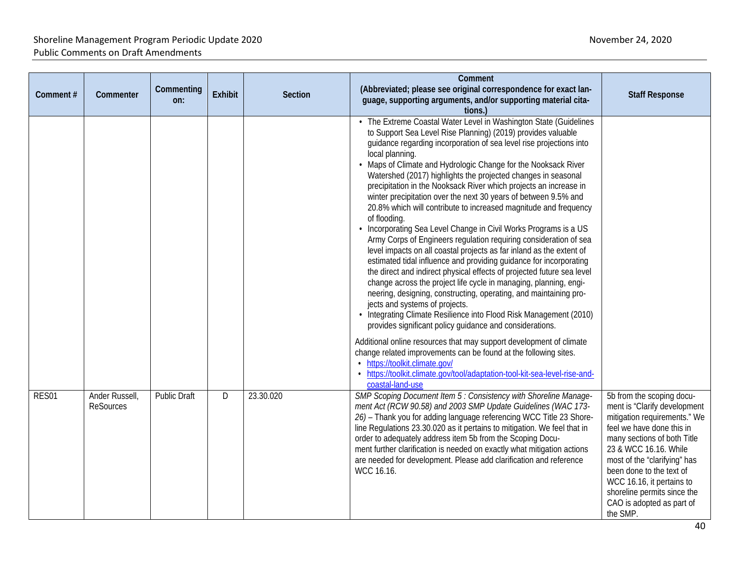| Comment# | Commenter                   | Commenting<br>on:   | <b>Exhibit</b> | <b>Section</b> | Comment<br>(Abbreviated; please see original correspondence for exact lan-<br>guage, supporting arguments, and/or supporting material cita-<br>tions.)                                                                                                                                                                                                                                                                                                                                                                                                                                                                                                                                                                                                                                                                                                                                                                                                                                                                                                                                                                                                                                                                                                                                                                                                                                                                                                                                                                                                 | <b>Staff Response</b>                                                                                                                                                                                                                                                                                                                           |
|----------|-----------------------------|---------------------|----------------|----------------|--------------------------------------------------------------------------------------------------------------------------------------------------------------------------------------------------------------------------------------------------------------------------------------------------------------------------------------------------------------------------------------------------------------------------------------------------------------------------------------------------------------------------------------------------------------------------------------------------------------------------------------------------------------------------------------------------------------------------------------------------------------------------------------------------------------------------------------------------------------------------------------------------------------------------------------------------------------------------------------------------------------------------------------------------------------------------------------------------------------------------------------------------------------------------------------------------------------------------------------------------------------------------------------------------------------------------------------------------------------------------------------------------------------------------------------------------------------------------------------------------------------------------------------------------------|-------------------------------------------------------------------------------------------------------------------------------------------------------------------------------------------------------------------------------------------------------------------------------------------------------------------------------------------------|
|          |                             |                     |                |                | • The Extreme Coastal Water Level in Washington State (Guidelines<br>to Support Sea Level Rise Planning) (2019) provides valuable<br>guidance regarding incorporation of sea level rise projections into<br>local planning.<br>• Maps of Climate and Hydrologic Change for the Nooksack River<br>Watershed (2017) highlights the projected changes in seasonal<br>precipitation in the Nooksack River which projects an increase in<br>winter precipitation over the next 30 years of between 9.5% and<br>20.8% which will contribute to increased magnitude and frequency<br>of flooding.<br>• Incorporating Sea Level Change in Civil Works Programs is a US<br>Army Corps of Engineers regulation requiring consideration of sea<br>level impacts on all coastal projects as far inland as the extent of<br>estimated tidal influence and providing guidance for incorporating<br>the direct and indirect physical effects of projected future sea level<br>change across the project life cycle in managing, planning, engi-<br>neering, designing, constructing, operating, and maintaining pro-<br>jects and systems of projects.<br>Integrating Climate Resilience into Flood Risk Management (2010)<br>provides significant policy guidance and considerations.<br>Additional online resources that may support development of climate<br>change related improvements can be found at the following sites.<br>• https://toolkit.climate.gov/<br>• https://toolkit.climate.gov/tool/adaptation-tool-kit-sea-level-rise-and-<br>coastal-land-use |                                                                                                                                                                                                                                                                                                                                                 |
| RES01    | Ander Russell,<br>ReSources | <b>Public Draft</b> | D              | 23.30.020      | SMP Scoping Document Item 5 : Consistency with Shoreline Manage-<br>ment Act (RCW 90.58) and 2003 SMP Update Guidelines (WAC 173-<br>26) - Thank you for adding language referencing WCC Title 23 Shore-<br>line Regulations 23.30.020 as it pertains to mitigation. We feel that in<br>order to adequately address item 5b from the Scoping Docu-<br>ment further clarification is needed on exactly what mitigation actions<br>are needed for development. Please add clarification and reference<br>WCC 16.16.                                                                                                                                                                                                                                                                                                                                                                                                                                                                                                                                                                                                                                                                                                                                                                                                                                                                                                                                                                                                                                      | 5b from the scoping docu-<br>ment is "Clarify development<br>mitigation requirements." We<br>feel we have done this in<br>many sections of both Title<br>23 & WCC 16.16. While<br>most of the "clarifying" has<br>been done to the text of<br>WCC 16.16, it pertains to<br>shoreline permits since the<br>CAO is adopted as part of<br>the SMP. |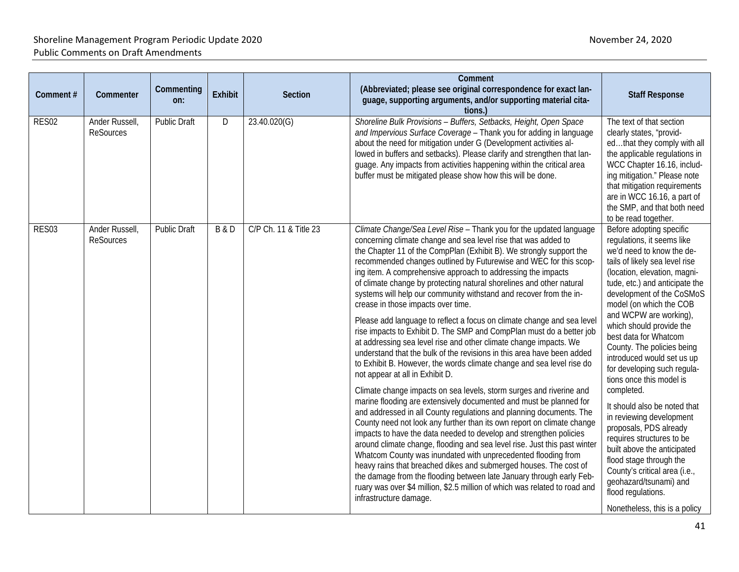| Comment# | Commenter                          | Commenting<br>on:   | <b>Exhibit</b> | <b>Section</b>        | Comment<br>(Abbreviated; please see original correspondence for exact lan-<br>guage, supporting arguments, and/or supporting material cita-<br>tions.)                                                                                                                                                                                                                                                                                                                                                                                                                                                                                                                                                                                                                                                                                                                                                                                                                                                                                                                                                                                                                                                                                                                                                                                                                                                                                                                                                                                                                                                                                                                                                                   | <b>Staff Response</b>                                                                                                                                                                                                                                                                                                                                                                                                                                                                                                                                                                                                                                                                                                                                              |
|----------|------------------------------------|---------------------|----------------|-----------------------|--------------------------------------------------------------------------------------------------------------------------------------------------------------------------------------------------------------------------------------------------------------------------------------------------------------------------------------------------------------------------------------------------------------------------------------------------------------------------------------------------------------------------------------------------------------------------------------------------------------------------------------------------------------------------------------------------------------------------------------------------------------------------------------------------------------------------------------------------------------------------------------------------------------------------------------------------------------------------------------------------------------------------------------------------------------------------------------------------------------------------------------------------------------------------------------------------------------------------------------------------------------------------------------------------------------------------------------------------------------------------------------------------------------------------------------------------------------------------------------------------------------------------------------------------------------------------------------------------------------------------------------------------------------------------------------------------------------------------|--------------------------------------------------------------------------------------------------------------------------------------------------------------------------------------------------------------------------------------------------------------------------------------------------------------------------------------------------------------------------------------------------------------------------------------------------------------------------------------------------------------------------------------------------------------------------------------------------------------------------------------------------------------------------------------------------------------------------------------------------------------------|
| RES02    | Ander Russell,<br><b>ReSources</b> | <b>Public Draft</b> | D              | 23.40.020(G)          | Shoreline Bulk Provisions - Buffers, Setbacks, Height, Open Space<br>and Impervious Surface Coverage - Thank you for adding in language<br>about the need for mitigation under G (Development activities al-<br>lowed in buffers and setbacks). Please clarify and strengthen that lan-<br>guage. Any impacts from activities happening within the critical area<br>buffer must be mitigated please show how this will be done.                                                                                                                                                                                                                                                                                                                                                                                                                                                                                                                                                                                                                                                                                                                                                                                                                                                                                                                                                                                                                                                                                                                                                                                                                                                                                          | The text of that section<br>clearly states, "provid-<br>edthat they comply with all<br>the applicable regulations in<br>WCC Chapter 16.16, includ-<br>ing mitigation." Please note<br>that mitigation requirements<br>are in WCC 16.16, a part of<br>the SMP, and that both need<br>to be read together.                                                                                                                                                                                                                                                                                                                                                                                                                                                           |
| RES03    | Ander Russell,<br><b>ReSources</b> | <b>Public Draft</b> | <b>B&amp;D</b> | C/P Ch. 11 & Title 23 | Climate Change/Sea Level Rise - Thank you for the updated language<br>concerning climate change and sea level rise that was added to<br>the Chapter 11 of the CompPlan (Exhibit B). We strongly support the<br>recommended changes outlined by Futurewise and WEC for this scop-<br>ing item. A comprehensive approach to addressing the impacts<br>of climate change by protecting natural shorelines and other natural<br>systems will help our community withstand and recover from the in-<br>crease in those impacts over time.<br>Please add language to reflect a focus on climate change and sea level<br>rise impacts to Exhibit D. The SMP and CompPlan must do a better job<br>at addressing sea level rise and other climate change impacts. We<br>understand that the bulk of the revisions in this area have been added<br>to Exhibit B. However, the words climate change and sea level rise do<br>not appear at all in Exhibit D.<br>Climate change impacts on sea levels, storm surges and riverine and<br>marine flooding are extensively documented and must be planned for<br>and addressed in all County regulations and planning documents. The<br>County need not look any further than its own report on climate change<br>impacts to have the data needed to develop and strengthen policies<br>around climate change, flooding and sea level rise. Just this past winter<br>Whatcom County was inundated with unprecedented flooding from<br>heavy rains that breached dikes and submerged houses. The cost of<br>the damage from the flooding between late January through early Feb-<br>ruary was over \$4 million, \$2.5 million of which was related to road and<br>infrastructure damage. | Before adopting specific<br>regulations, it seems like<br>we'd need to know the de-<br>tails of likely sea level rise<br>(location, elevation, magni-<br>tude, etc.) and anticipate the<br>development of the CoSMoS<br>model (on which the COB<br>and WCPW are working),<br>which should provide the<br>best data for Whatcom<br>County. The policies being<br>introduced would set us up<br>for developing such regula-<br>tions once this model is<br>completed.<br>It should also be noted that<br>in reviewing development<br>proposals, PDS already<br>requires structures to be<br>built above the anticipated<br>flood stage through the<br>County's critical area (i.e.,<br>geohazard/tsunami) and<br>flood regulations.<br>Nonetheless, this is a policy |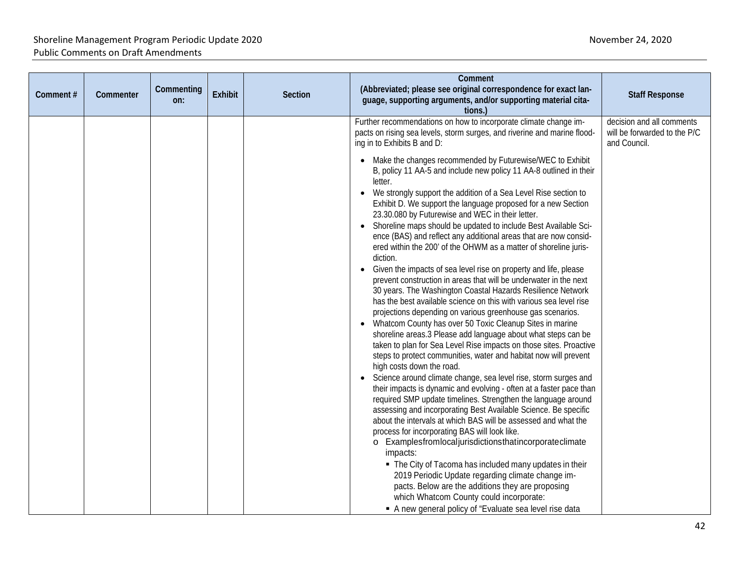| Comment# | Commenter | Commenting<br>on: | <b>Exhibit</b> | <b>Section</b> | Comment<br>(Abbreviated; please see original correspondence for exact lan-<br>guage, supporting arguments, and/or supporting material cita-<br>tions.)                                                                                                                                                                                                                                                                                                                                                                                                                                                                                                                                                                                                                                                                                                                                                                                                                                                                                                                                                                                                                                                                                                                                                                                                                                                                                                                                                                                                                                                                                                                                                                                                                                                                                                                                                                                                                                                                                                                                                                                     | <b>Staff Response</b>                                                     |
|----------|-----------|-------------------|----------------|----------------|--------------------------------------------------------------------------------------------------------------------------------------------------------------------------------------------------------------------------------------------------------------------------------------------------------------------------------------------------------------------------------------------------------------------------------------------------------------------------------------------------------------------------------------------------------------------------------------------------------------------------------------------------------------------------------------------------------------------------------------------------------------------------------------------------------------------------------------------------------------------------------------------------------------------------------------------------------------------------------------------------------------------------------------------------------------------------------------------------------------------------------------------------------------------------------------------------------------------------------------------------------------------------------------------------------------------------------------------------------------------------------------------------------------------------------------------------------------------------------------------------------------------------------------------------------------------------------------------------------------------------------------------------------------------------------------------------------------------------------------------------------------------------------------------------------------------------------------------------------------------------------------------------------------------------------------------------------------------------------------------------------------------------------------------------------------------------------------------------------------------------------------------|---------------------------------------------------------------------------|
|          |           |                   |                |                | Further recommendations on how to incorporate climate change im-<br>pacts on rising sea levels, storm surges, and riverine and marine flood-<br>ing in to Exhibits B and D:<br>Make the changes recommended by Futurewise/WEC to Exhibit<br>B, policy 11 AA-5 and include new policy 11 AA-8 outlined in their<br>letter.<br>We strongly support the addition of a Sea Level Rise section to<br>Exhibit D. We support the language proposed for a new Section<br>23.30.080 by Futurewise and WEC in their letter.<br>Shoreline maps should be updated to include Best Available Sci-<br>ence (BAS) and reflect any additional areas that are now consid-<br>ered within the 200' of the OHWM as a matter of shoreline juris-<br>diction.<br>Given the impacts of sea level rise on property and life, please<br>prevent construction in areas that will be underwater in the next<br>30 years. The Washington Coastal Hazards Resilience Network<br>has the best available science on this with various sea level rise<br>projections depending on various greenhouse gas scenarios.<br>• Whatcom County has over 50 Toxic Cleanup Sites in marine<br>shoreline areas.3 Please add language about what steps can be<br>taken to plan for Sea Level Rise impacts on those sites. Proactive<br>steps to protect communities, water and habitat now will prevent<br>high costs down the road.<br>Science around climate change, sea level rise, storm surges and<br>their impacts is dynamic and evolving - often at a faster pace than<br>required SMP update timelines. Strengthen the language around<br>assessing and incorporating Best Available Science. Be specific<br>about the intervals at which BAS will be assessed and what the<br>process for incorporating BAS will look like.<br>o Examplesfromlocaljurisdictionsthatincorporateclimate<br>impacts:<br>• The City of Tacoma has included many updates in their<br>2019 Periodic Update regarding climate change im-<br>pacts. Below are the additions they are proposing<br>which Whatcom County could incorporate:<br>A new general policy of "Evaluate sea level rise data | decision and all comments<br>will be forwarded to the P/C<br>and Council. |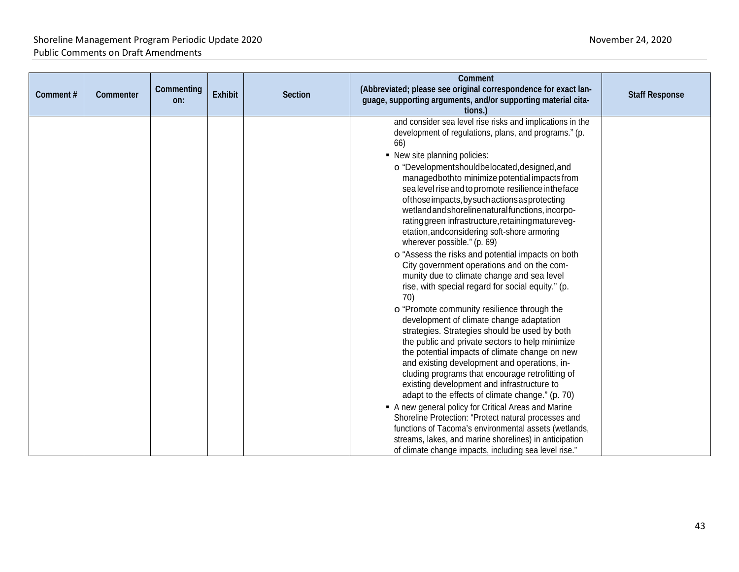| Comment# | Commenter | Commenting<br>on: | Exhibit | <b>Section</b> | Comment<br>(Abbreviated; please see original correspondence for exact lan-<br>guage, supporting arguments, and/or supporting material cita-<br>tions.)                                                                                                                                                                                                                                                                                                                                                                                                                                                                                                                                                                                                                                                                                                                                                                                                                                                                                                                                                                                                                                                                                                                                                                                                                                                                                                                                                                      | <b>Staff Response</b> |
|----------|-----------|-------------------|---------|----------------|-----------------------------------------------------------------------------------------------------------------------------------------------------------------------------------------------------------------------------------------------------------------------------------------------------------------------------------------------------------------------------------------------------------------------------------------------------------------------------------------------------------------------------------------------------------------------------------------------------------------------------------------------------------------------------------------------------------------------------------------------------------------------------------------------------------------------------------------------------------------------------------------------------------------------------------------------------------------------------------------------------------------------------------------------------------------------------------------------------------------------------------------------------------------------------------------------------------------------------------------------------------------------------------------------------------------------------------------------------------------------------------------------------------------------------------------------------------------------------------------------------------------------------|-----------------------|
|          |           |                   |         |                | and consider sea level rise risks and implications in the<br>development of regulations, plans, and programs." (p.<br>66)<br>• New site planning policies:<br>o "Developmentshouldbelocated, designed, and<br>managedbothto minimize potential impacts from<br>sea level rise and to promote resilience in the face<br>of those impacts, by such actions as protecting<br>wetland and shoreline natural functions, incorpo-<br>ratinggreen infrastructure, retaining matureveg-<br>etation, and considering soft-shore armoring<br>wherever possible." (p. 69)<br>o "Assess the risks and potential impacts on both<br>City government operations and on the com-<br>munity due to climate change and sea level<br>rise, with special regard for social equity." (p.<br>70)<br>o "Promote community resilience through the<br>development of climate change adaptation<br>strategies. Strategies should be used by both<br>the public and private sectors to help minimize<br>the potential impacts of climate change on new<br>and existing development and operations, in-<br>cluding programs that encourage retrofitting of<br>existing development and infrastructure to<br>adapt to the effects of climate change." (p. 70)<br>A new general policy for Critical Areas and Marine<br>Shoreline Protection: "Protect natural processes and<br>functions of Tacoma's environmental assets (wetlands,<br>streams, lakes, and marine shorelines) in anticipation<br>of climate change impacts, including sea level rise." |                       |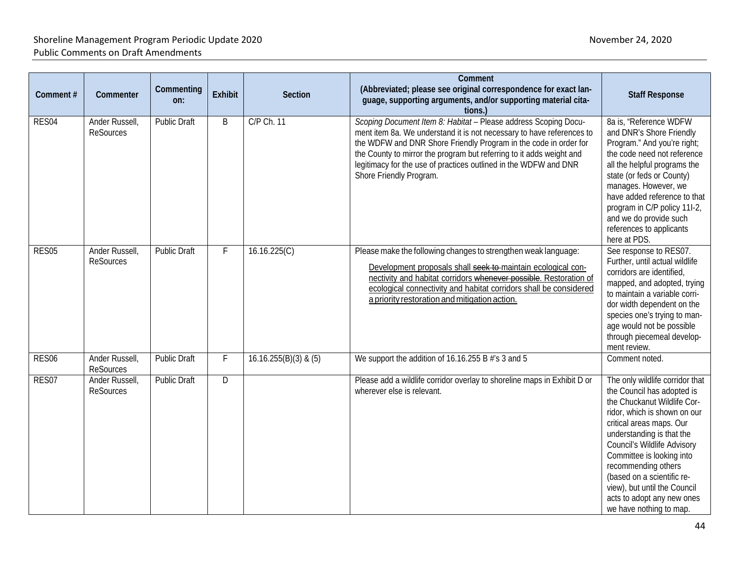| Comment#          | Commenter                          | Commenting<br>on:   | <b>Exhibit</b> | Section                 | Comment<br>(Abbreviated; please see original correspondence for exact lan-<br>guage, supporting arguments, and/or supporting material cita-<br>tions.)                                                                                                                                                                                                                              | <b>Staff Response</b>                                                                                                                                                                                                                                                                                                                                                                           |
|-------------------|------------------------------------|---------------------|----------------|-------------------------|-------------------------------------------------------------------------------------------------------------------------------------------------------------------------------------------------------------------------------------------------------------------------------------------------------------------------------------------------------------------------------------|-------------------------------------------------------------------------------------------------------------------------------------------------------------------------------------------------------------------------------------------------------------------------------------------------------------------------------------------------------------------------------------------------|
| RES04             | Ander Russell,<br><b>ReSources</b> | <b>Public Draft</b> | B              | C/P Ch. 11              | Scoping Document Item 8: Habitat - Please address Scoping Docu-<br>ment item 8a. We understand it is not necessary to have references to<br>the WDFW and DNR Shore Friendly Program in the code in order for<br>the County to mirror the program but referring to it adds weight and<br>legitimacy for the use of practices outlined in the WDFW and DNR<br>Shore Friendly Program. | 8a is, "Reference WDFW<br>and DNR's Shore Friendly<br>Program." And you're right;<br>the code need not reference<br>all the helpful programs the<br>state (or feds or County)<br>manages. However, we<br>have added reference to that<br>program in C/P policy 11l-2,<br>and we do provide such<br>references to applicants<br>here at PDS.                                                     |
| RES05             | Ander Russell,<br><b>ReSources</b> | <b>Public Draft</b> | F              | 16.16.225(C)            | Please make the following changes to strengthen weak language:<br>Development proposals shall seek to maintain ecological con-<br>nectivity and habitat corridors whenever possible. Restoration of<br>ecological connectivity and habitat corridors shall be considered<br>a priority restoration and mitigation action.                                                           | See response to RES07.<br>Further, until actual wildlife<br>corridors are identified,<br>mapped, and adopted, trying<br>to maintain a variable corri-<br>dor width dependent on the<br>species one's trying to man-<br>age would not be possible<br>through piecemeal develop-<br>ment review.                                                                                                  |
| RES <sub>06</sub> | Ander Russell,<br>ReSources        | <b>Public Draft</b> | F              | $16.16.255(B)(3)$ & (5) | We support the addition of 16.16.255 B #'s 3 and 5                                                                                                                                                                                                                                                                                                                                  | Comment noted.                                                                                                                                                                                                                                                                                                                                                                                  |
| RES07             | Ander Russell,<br>ReSources        | <b>Public Draft</b> | D              |                         | Please add a wildlife corridor overlay to shoreline maps in Exhibit D or<br>wherever else is relevant.                                                                                                                                                                                                                                                                              | The only wildlife corridor that<br>the Council has adopted is<br>the Chuckanut Wildlife Cor-<br>ridor, which is shown on our<br>critical areas maps. Our<br>understanding is that the<br>Council's Wildlife Advisory<br>Committee is looking into<br>recommending others<br>(based on a scientific re-<br>view), but until the Council<br>acts to adopt any new ones<br>we have nothing to map. |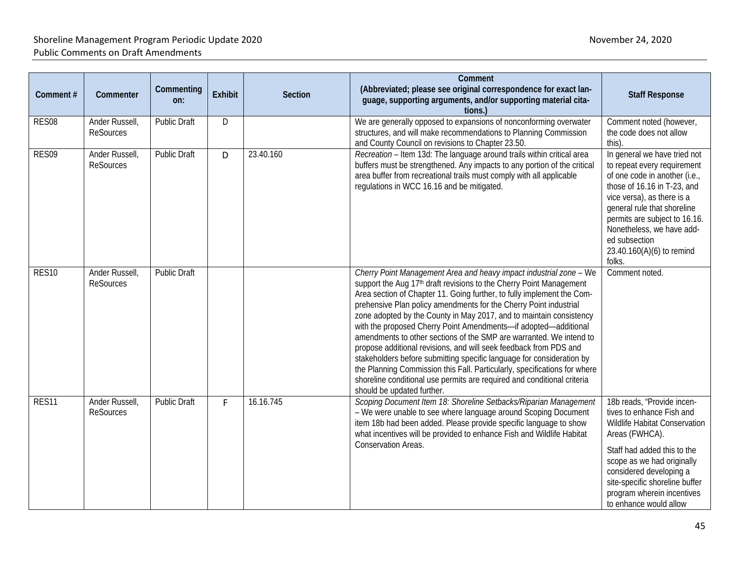| Comment#          | Commenter                          | Commenting<br>on:   | Exhibit | Section   | Comment<br>(Abbreviated; please see original correspondence for exact lan-<br>guage, supporting arguments, and/or supporting material cita-<br>tions.)                                                                                                                                                                                                                                                                                                                                                                                                                                                                                                                                                                                                                                                                                                    | <b>Staff Response</b>                                                                                                                                                                                                                                                                                          |
|-------------------|------------------------------------|---------------------|---------|-----------|-----------------------------------------------------------------------------------------------------------------------------------------------------------------------------------------------------------------------------------------------------------------------------------------------------------------------------------------------------------------------------------------------------------------------------------------------------------------------------------------------------------------------------------------------------------------------------------------------------------------------------------------------------------------------------------------------------------------------------------------------------------------------------------------------------------------------------------------------------------|----------------------------------------------------------------------------------------------------------------------------------------------------------------------------------------------------------------------------------------------------------------------------------------------------------------|
| RES08             | Ander Russell,<br><b>ReSources</b> | <b>Public Draft</b> | D       |           | We are generally opposed to expansions of nonconforming overwater<br>structures, and will make recommendations to Planning Commission<br>and County Council on revisions to Chapter 23.50.                                                                                                                                                                                                                                                                                                                                                                                                                                                                                                                                                                                                                                                                | Comment noted (however,<br>the code does not allow<br>this).                                                                                                                                                                                                                                                   |
| RES09             | Ander Russell,<br><b>ReSources</b> | <b>Public Draft</b> | D       | 23.40.160 | Recreation - Item 13d: The language around trails within critical area<br>buffers must be strengthened. Any impacts to any portion of the critical<br>area buffer from recreational trails must comply with all applicable<br>regulations in WCC 16.16 and be mitigated.                                                                                                                                                                                                                                                                                                                                                                                                                                                                                                                                                                                  | In general we have tried not<br>to repeat every requirement<br>of one code in another (i.e.,<br>those of 16.16 in T-23, and<br>vice versa), as there is a<br>general rule that shoreline<br>permits are subject to 16.16.<br>Nonetheless, we have add-<br>ed subsection<br>23.40.160(A)(6) to remind<br>folks. |
| RES <sub>10</sub> | Ander Russell,<br><b>ReSources</b> | <b>Public Draft</b> |         |           | Cherry Point Management Area and heavy impact industrial zone - We<br>support the Aug 17 <sup>th</sup> draft revisions to the Cherry Point Management<br>Area section of Chapter 11. Going further, to fully implement the Com-<br>prehensive Plan policy amendments for the Cherry Point industrial<br>zone adopted by the County in May 2017, and to maintain consistency<br>with the proposed Cherry Point Amendments-if adopted-additional<br>amendments to other sections of the SMP are warranted. We intend to<br>propose additional revisions, and will seek feedback from PDS and<br>stakeholders before submitting specific language for consideration by<br>the Planning Commission this Fall. Particularly, specifications for where<br>shoreline conditional use permits are required and conditional criteria<br>should be updated further. | Comment noted.                                                                                                                                                                                                                                                                                                 |
| RES11             | Ander Russell,<br><b>ReSources</b> | <b>Public Draft</b> | F       | 16.16.745 | Scoping Document Item 18: Shoreline Setbacks/Riparian Management<br>- We were unable to see where language around Scoping Document<br>item 18b had been added. Please provide specific language to show<br>what incentives will be provided to enhance Fish and Wildlife Habitat<br>Conservation Areas.                                                                                                                                                                                                                                                                                                                                                                                                                                                                                                                                                   | 18b reads, "Provide incen-<br>tives to enhance Fish and<br>Wildlife Habitat Conservation<br>Areas (FWHCA).<br>Staff had added this to the<br>scope as we had originally<br>considered developing a<br>site-specific shoreline buffer<br>program wherein incentives<br>to enhance would allow                   |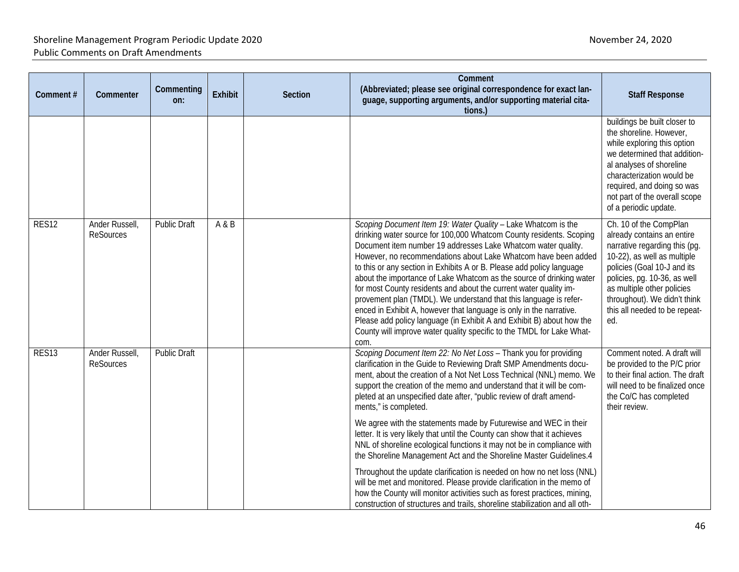| Comment#          | Commenter                          | Commenting<br>on:   | Exhibit | <b>Section</b> | Comment<br>(Abbreviated; please see original correspondence for exact lan-<br>guage, supporting arguments, and/or supporting material cita-<br>tions.)                                                                                                                                                                                                                                                                                                                                                                                                                                                                                                                                                                                                                                              | <b>Staff Response</b>                                                                                                                                                                                                                                                                     |
|-------------------|------------------------------------|---------------------|---------|----------------|-----------------------------------------------------------------------------------------------------------------------------------------------------------------------------------------------------------------------------------------------------------------------------------------------------------------------------------------------------------------------------------------------------------------------------------------------------------------------------------------------------------------------------------------------------------------------------------------------------------------------------------------------------------------------------------------------------------------------------------------------------------------------------------------------------|-------------------------------------------------------------------------------------------------------------------------------------------------------------------------------------------------------------------------------------------------------------------------------------------|
|                   |                                    |                     |         |                |                                                                                                                                                                                                                                                                                                                                                                                                                                                                                                                                                                                                                                                                                                                                                                                                     | buildings be built closer to<br>the shoreline. However,<br>while exploring this option<br>we determined that addition-<br>al analyses of shoreline<br>characterization would be<br>required, and doing so was<br>not part of the overall scope<br>of a periodic update.                   |
| <b>RES12</b>      | Ander Russell,<br><b>ReSources</b> | <b>Public Draft</b> | A & B   |                | Scoping Document Item 19: Water Quality - Lake Whatcom is the<br>drinking water source for 100,000 Whatcom County residents. Scoping<br>Document item number 19 addresses Lake Whatcom water quality.<br>However, no recommendations about Lake Whatcom have been added<br>to this or any section in Exhibits A or B. Please add policy language<br>about the importance of Lake Whatcom as the source of drinking water<br>for most County residents and about the current water quality im-<br>provement plan (TMDL). We understand that this language is refer-<br>enced in Exhibit A, however that language is only in the narrative.<br>Please add policy language (in Exhibit A and Exhibit B) about how the<br>County will improve water quality specific to the TMDL for Lake What-<br>com. | Ch. 10 of the CompPlan<br>already contains an entire<br>narrative regarding this (pg.<br>10-22), as well as multiple<br>policies (Goal 10-J and its<br>policies, pg. 10-36, as well<br>as multiple other policies<br>throughout). We didn't think<br>this all needed to be repeat-<br>ed. |
| RES <sub>13</sub> | Ander Russell,<br><b>ReSources</b> | <b>Public Draft</b> |         |                | Scoping Document Item 22: No Net Loss - Thank you for providing<br>clarification in the Guide to Reviewing Draft SMP Amendments docu-<br>ment, about the creation of a Not Net Loss Technical (NNL) memo. We<br>support the creation of the memo and understand that it will be com-<br>pleted at an unspecified date after, "public review of draft amend-<br>ments," is completed.                                                                                                                                                                                                                                                                                                                                                                                                                | Comment noted. A draft will<br>be provided to the P/C prior<br>to their final action. The draft<br>will need to be finalized once<br>the Co/C has completed<br>their review.                                                                                                              |
|                   |                                    |                     |         |                | We agree with the statements made by Futurewise and WEC in their<br>letter. It is very likely that until the County can show that it achieves<br>NNL of shoreline ecological functions it may not be in compliance with<br>the Shoreline Management Act and the Shoreline Master Guidelines.4                                                                                                                                                                                                                                                                                                                                                                                                                                                                                                       |                                                                                                                                                                                                                                                                                           |
|                   |                                    |                     |         |                | Throughout the update clarification is needed on how no net loss (NNL)<br>will be met and monitored. Please provide clarification in the memo of<br>how the County will monitor activities such as forest practices, mining,<br>construction of structures and trails, shoreline stabilization and all oth-                                                                                                                                                                                                                                                                                                                                                                                                                                                                                         |                                                                                                                                                                                                                                                                                           |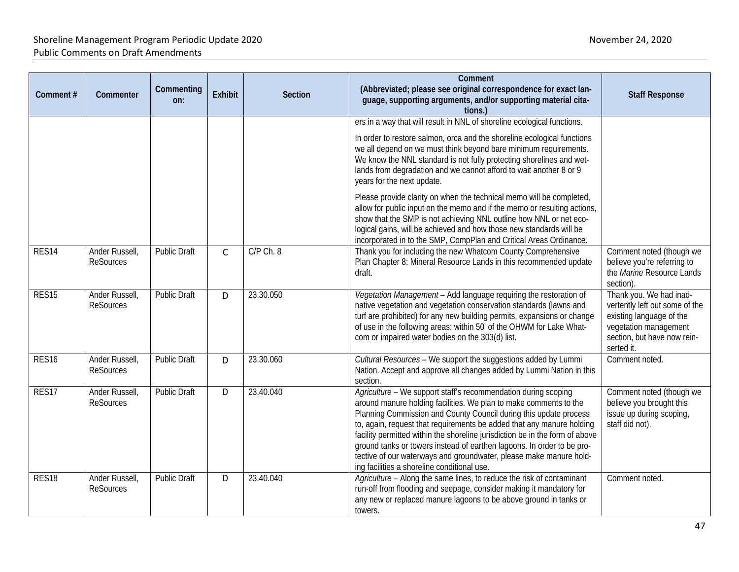| Comment#          | Commenter                          | Commenting<br>on:   | <b>Exhibit</b> | <b>Section</b> | Comment<br>(Abbreviated; please see original correspondence for exact lan-<br>guage, supporting arguments, and/or supporting material cita-<br>tions.)                                                                                                                                                                                                                                                                                                                                                                                                                                                                       | <b>Staff Response</b>                                                                                                                                       |
|-------------------|------------------------------------|---------------------|----------------|----------------|------------------------------------------------------------------------------------------------------------------------------------------------------------------------------------------------------------------------------------------------------------------------------------------------------------------------------------------------------------------------------------------------------------------------------------------------------------------------------------------------------------------------------------------------------------------------------------------------------------------------------|-------------------------------------------------------------------------------------------------------------------------------------------------------------|
|                   |                                    |                     |                |                | ers in a way that will result in NNL of shoreline ecological functions.<br>In order to restore salmon, orca and the shoreline ecological functions<br>we all depend on we must think beyond bare minimum requirements.<br>We know the NNL standard is not fully protecting shorelines and wet-<br>lands from degradation and we cannot afford to wait another 8 or 9<br>years for the next update.<br>Please provide clarity on when the technical memo will be completed,<br>allow for public input on the memo and if the memo or resulting actions,<br>show that the SMP is not achieving NNL outline how NNL or net eco- |                                                                                                                                                             |
| RES14             | Ander Russell,<br><b>ReSources</b> | <b>Public Draft</b> | $\mathsf{C}$   | C/P Ch. 8      | logical gains, will be achieved and how those new standards will be<br>incorporated in to the SMP, CompPlan and Critical Areas Ordinance.<br>Thank you for including the new Whatcom County Comprehensive<br>Plan Chapter 8: Mineral Resource Lands in this recommended update<br>draft.                                                                                                                                                                                                                                                                                                                                     | Comment noted (though we<br>believe you're referring to<br>the Marine Resource Lands<br>section)                                                            |
| RES <sub>15</sub> | Ander Russell,<br><b>ReSources</b> | <b>Public Draft</b> | D              | 23.30.050      | Vegetation Management - Add language requiring the restoration of<br>native vegetation and vegetation conservation standards (lawns and<br>turf are prohibited) for any new building permits, expansions or change<br>of use in the following areas: within 50' of the OHWM for Lake What-<br>com or impaired water bodies on the 303(d) list.                                                                                                                                                                                                                                                                               | Thank you. We had inad-<br>vertently left out some of the<br>existing language of the<br>vegetation management<br>section, but have now rein-<br>serted it. |
| RES <sub>16</sub> | Ander Russell,<br><b>ReSources</b> | <b>Public Draft</b> | D              | 23.30.060      | Cultural Resources - We support the suggestions added by Lummi<br>Nation. Accept and approve all changes added by Lummi Nation in this<br>section.                                                                                                                                                                                                                                                                                                                                                                                                                                                                           | Comment noted.                                                                                                                                              |
| RES17             | Ander Russell,<br><b>ReSources</b> | Public Draft        | D              | 23.40.040      | Agriculture - We support staff's recommendation during scoping<br>around manure holding facilities. We plan to make comments to the<br>Planning Commission and County Council during this update process<br>to, again, request that requirements be added that any manure holding<br>facility permitted within the shoreline jurisdiction be in the form of above<br>ground tanks or towers instead of earthen lagoons. In order to be pro-<br>tective of our waterways and groundwater, please make manure hold-<br>ing facilities a shoreline conditional use.                                                             | Comment noted (though we<br>believe you brought this<br>issue up during scoping,<br>staff did not).                                                         |
| RES <sub>18</sub> | Ander Russell,<br><b>ReSources</b> | <b>Public Draft</b> | D              | 23.40.040      | Agriculture - Along the same lines, to reduce the risk of contaminant<br>run-off from flooding and seepage, consider making it mandatory for<br>any new or replaced manure lagoons to be above ground in tanks or<br>towers.                                                                                                                                                                                                                                                                                                                                                                                                 | Comment noted.                                                                                                                                              |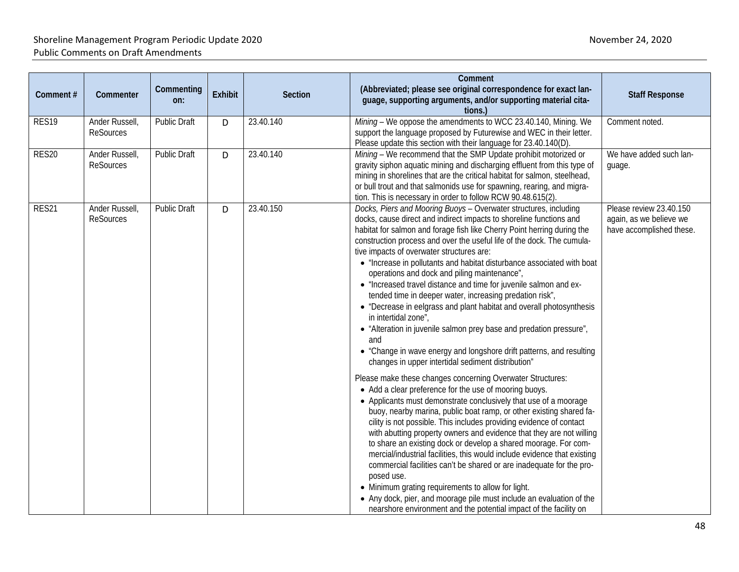| Comment# | Commenter                          | Commenting<br>on:   | <b>Exhibit</b> | <b>Section</b> | Comment<br>(Abbreviated; please see original correspondence for exact lan-<br>guage, supporting arguments, and/or supporting material cita-<br>tions.)                                                                                                                                                                                                                                                                                                                                                                                                                                                                                                                                                                                                                                                                                                                                                                                                                                                                                                                                                                                                                                                                                                                                                                                                                                                                                                                                                                                                                                                                                                                                                                                                                     | <b>Staff Response</b>                                                          |
|----------|------------------------------------|---------------------|----------------|----------------|----------------------------------------------------------------------------------------------------------------------------------------------------------------------------------------------------------------------------------------------------------------------------------------------------------------------------------------------------------------------------------------------------------------------------------------------------------------------------------------------------------------------------------------------------------------------------------------------------------------------------------------------------------------------------------------------------------------------------------------------------------------------------------------------------------------------------------------------------------------------------------------------------------------------------------------------------------------------------------------------------------------------------------------------------------------------------------------------------------------------------------------------------------------------------------------------------------------------------------------------------------------------------------------------------------------------------------------------------------------------------------------------------------------------------------------------------------------------------------------------------------------------------------------------------------------------------------------------------------------------------------------------------------------------------------------------------------------------------------------------------------------------------|--------------------------------------------------------------------------------|
| RES19    | Ander Russell,<br><b>ReSources</b> | <b>Public Draft</b> | D              | 23.40.140      | Mining - We oppose the amendments to WCC 23.40.140, Mining. We<br>support the language proposed by Futurewise and WEC in their letter.<br>Please update this section with their language for 23.40.140(D).                                                                                                                                                                                                                                                                                                                                                                                                                                                                                                                                                                                                                                                                                                                                                                                                                                                                                                                                                                                                                                                                                                                                                                                                                                                                                                                                                                                                                                                                                                                                                                 | Comment noted.                                                                 |
| RES20    | Ander Russell,<br><b>ReSources</b> | <b>Public Draft</b> | D              | 23.40.140      | Mining - We recommend that the SMP Update prohibit motorized or<br>gravity siphon aquatic mining and discharging effluent from this type of<br>mining in shorelines that are the critical habitat for salmon, steelhead,<br>or bull trout and that salmonids use for spawning, rearing, and migra-<br>tion. This is necessary in order to follow RCW 90.48.615(2).                                                                                                                                                                                                                                                                                                                                                                                                                                                                                                                                                                                                                                                                                                                                                                                                                                                                                                                                                                                                                                                                                                                                                                                                                                                                                                                                                                                                         | We have added such lan-<br>guage.                                              |
| RES21    | Ander Russell,<br><b>ReSources</b> | <b>Public Draft</b> | D              | 23.40.150      | Docks, Piers and Mooring Buoys - Overwater structures, including<br>docks, cause direct and indirect impacts to shoreline functions and<br>habitat for salmon and forage fish like Cherry Point herring during the<br>construction process and over the useful life of the dock. The cumula-<br>tive impacts of overwater structures are:<br>• "Increase in pollutants and habitat disturbance associated with boat<br>operations and dock and piling maintenance",<br>• "Increased travel distance and time for juvenile salmon and ex-<br>tended time in deeper water, increasing predation risk",<br>• "Decrease in eelgrass and plant habitat and overall photosynthesis<br>in intertidal zone",<br>• "Alteration in juvenile salmon prey base and predation pressure",<br>and<br>• "Change in wave energy and longshore drift patterns, and resulting<br>changes in upper intertidal sediment distribution"<br>Please make these changes concerning Overwater Structures:<br>• Add a clear preference for the use of mooring buoys.<br>• Applicants must demonstrate conclusively that use of a moorage<br>buoy, nearby marina, public boat ramp, or other existing shared fa-<br>cility is not possible. This includes providing evidence of contact<br>with abutting property owners and evidence that they are not willing<br>to share an existing dock or develop a shared moorage. For com-<br>mercial/industrial facilities, this would include evidence that existing<br>commercial facilities can't be shared or are inadequate for the pro-<br>posed use.<br>• Minimum grating requirements to allow for light.<br>• Any dock, pier, and moorage pile must include an evaluation of the<br>nearshore environment and the potential impact of the facility on | Please review 23.40.150<br>again, as we believe we<br>have accomplished these. |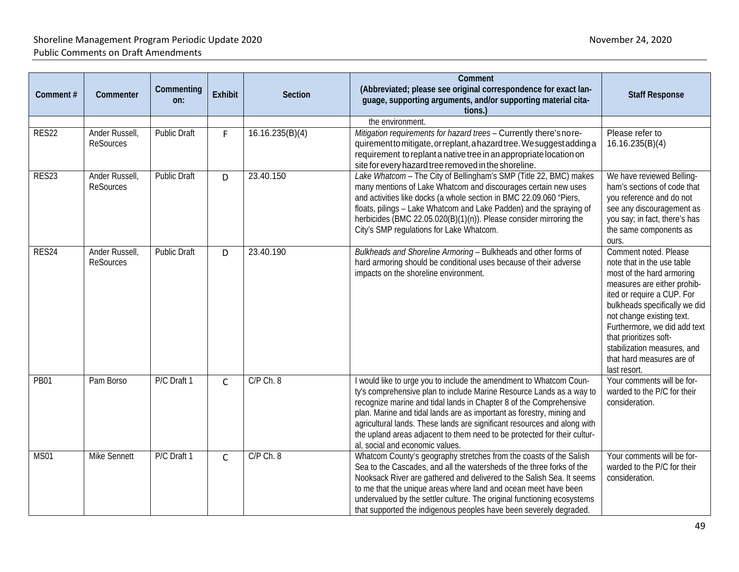| Comment#    | Commenter                          | Commenting<br>on:   | <b>Exhibit</b> | Section         | Comment<br>(Abbreviated; please see original correspondence for exact lan-<br>guage, supporting arguments, and/or supporting material cita-<br>tions.)                                                                                                                                                                                                                                                                                                                               | <b>Staff Response</b>                                                                                                                                                                                                                                                                                                                             |
|-------------|------------------------------------|---------------------|----------------|-----------------|--------------------------------------------------------------------------------------------------------------------------------------------------------------------------------------------------------------------------------------------------------------------------------------------------------------------------------------------------------------------------------------------------------------------------------------------------------------------------------------|---------------------------------------------------------------------------------------------------------------------------------------------------------------------------------------------------------------------------------------------------------------------------------------------------------------------------------------------------|
|             |                                    |                     |                |                 | the environment.                                                                                                                                                                                                                                                                                                                                                                                                                                                                     |                                                                                                                                                                                                                                                                                                                                                   |
| RES22       | Ander Russell,<br><b>ReSources</b> | <b>Public Draft</b> | F.             | 16.16.235(B)(4) | Mitigation requirements for hazard trees - Currently there's no re-<br>quirement to mitigate, or replant, a hazard tree. We suggest adding a<br>requirement to replant a native tree in an appropriate location on<br>site for every hazard tree removed in the shoreline.                                                                                                                                                                                                           | Please refer to<br>16.16.235(B)(4)                                                                                                                                                                                                                                                                                                                |
| RES23       | Ander Russell,<br>ReSources        | <b>Public Draft</b> | D              | 23.40.150       | Lake Whatcom - The City of Bellingham's SMP (Title 22, BMC) makes<br>many mentions of Lake Whatcom and discourages certain new uses<br>and activities like docks (a whole section in BMC 22.09.060 "Piers,<br>floats, pilings - Lake Whatcom and Lake Padden) and the spraying of<br>herbicides (BMC 22.05.020(B)(1)(n)). Please consider mirroring the<br>City's SMP regulations for Lake Whatcom.                                                                                  | We have reviewed Belling-<br>ham's sections of code that<br>you reference and do not<br>see any discouragement as<br>you say; in fact, there's has<br>the same components as<br>ours.                                                                                                                                                             |
| RES24       | Ander Russell,<br><b>ReSources</b> | <b>Public Draft</b> | D              | 23.40.190       | Bulkheads and Shoreline Armoring - Bulkheads and other forms of<br>hard armoring should be conditional uses because of their adverse<br>impacts on the shoreline environment.                                                                                                                                                                                                                                                                                                        | Comment noted. Please<br>note that in the use table<br>most of the hard armoring<br>measures are either prohib-<br>ited or require a CUP. For<br>bulkheads specifically we did<br>not change existing text.<br>Furthermore, we did add text<br>that prioritizes soft-<br>stabilization measures, and<br>that hard measures are of<br>last resort. |
| <b>PB01</b> | Pam Borso                          | P/C Draft 1         | C              | $C/P$ Ch. $8$   | I would like to urge you to include the amendment to Whatcom Coun-<br>ty's comprehensive plan to include Marine Resource Lands as a way to<br>recognize marine and tidal lands in Chapter 8 of the Comprehensive<br>plan. Marine and tidal lands are as important as forestry, mining and<br>agricultural lands. These lands are significant resources and along with<br>the upland areas adjacent to them need to be protected for their cultur-<br>al, social and economic values. | Your comments will be for-<br>warded to the P/C for their<br>consideration.                                                                                                                                                                                                                                                                       |
| <b>MS01</b> | Mike Sennett                       | P/C Draft 1         | $\mathsf{C}$   | $C/P$ Ch. $8$   | Whatcom County's geography stretches from the coasts of the Salish<br>Sea to the Cascades, and all the watersheds of the three forks of the<br>Nooksack River are gathered and delivered to the Salish Sea. It seems<br>to me that the unique areas where land and ocean meet have been<br>undervalued by the settler culture. The original functioning ecosystems<br>that supported the indigenous peoples have been severely degraded.                                             | Your comments will be for-<br>warded to the P/C for their<br>consideration.                                                                                                                                                                                                                                                                       |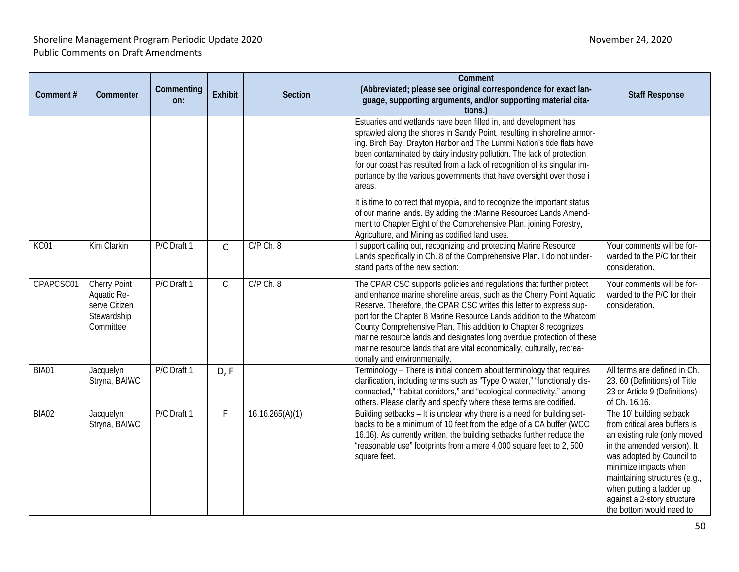| Comment#     | Commenter                                                                       | Commenting<br>on: | <b>Exhibit</b> | <b>Section</b>  | Comment<br>(Abbreviated; please see original correspondence for exact lan-<br>guage, supporting arguments, and/or supporting material cita-<br>tions.)                                                                                                                                                                                                                                                                                                                                                                                                                                                                                                                                                                               | <b>Staff Response</b>                                                                                                                                                                                                                                                                                  |
|--------------|---------------------------------------------------------------------------------|-------------------|----------------|-----------------|--------------------------------------------------------------------------------------------------------------------------------------------------------------------------------------------------------------------------------------------------------------------------------------------------------------------------------------------------------------------------------------------------------------------------------------------------------------------------------------------------------------------------------------------------------------------------------------------------------------------------------------------------------------------------------------------------------------------------------------|--------------------------------------------------------------------------------------------------------------------------------------------------------------------------------------------------------------------------------------------------------------------------------------------------------|
|              |                                                                                 |                   |                |                 | Estuaries and wetlands have been filled in, and development has<br>sprawled along the shores in Sandy Point, resulting in shoreline armor-<br>ing. Birch Bay, Drayton Harbor and The Lummi Nation's tide flats have<br>been contaminated by dairy industry pollution. The lack of protection<br>for our coast has resulted from a lack of recognition of its singular im-<br>portance by the various governments that have oversight over those i<br>areas.<br>It is time to correct that myopia, and to recognize the important status<br>of our marine lands. By adding the :Marine Resources Lands Amend-<br>ment to Chapter Eight of the Comprehensive Plan, joining Forestry,<br>Agriculture, and Mining as codified land uses. |                                                                                                                                                                                                                                                                                                        |
| KC01         | Kim Clarkin                                                                     | P/C Draft 1       | $\mathsf{C}$   | C/P Ch. 8       | I support calling out, recognizing and protecting Marine Resource<br>Lands specifically in Ch. 8 of the Comprehensive Plan. I do not under-<br>stand parts of the new section:                                                                                                                                                                                                                                                                                                                                                                                                                                                                                                                                                       | Your comments will be for-<br>warded to the P/C for their<br>consideration.                                                                                                                                                                                                                            |
| CPAPCSC01    | <b>Cherry Point</b><br>Aquatic Re-<br>serve Citizen<br>Stewardship<br>Committee | P/C Draft 1       | $\mathsf C$    | $C/P$ Ch. 8     | The CPAR CSC supports policies and regulations that further protect<br>and enhance marine shoreline areas, such as the Cherry Point Aquatic<br>Reserve. Therefore, the CPAR CSC writes this letter to express sup-<br>port for the Chapter 8 Marine Resource Lands addition to the Whatcom<br>County Comprehensive Plan. This addition to Chapter 8 recognizes<br>marine resource lands and designates long overdue protection of these<br>marine resource lands that are vital economically, culturally, recrea-<br>tionally and environmentally.                                                                                                                                                                                   | Your comments will be for-<br>warded to the P/C for their<br>consideration.                                                                                                                                                                                                                            |
| <b>BIA01</b> | Jacquelyn<br>Stryna, BAIWC                                                      | P/C Draft 1       | D, F           |                 | Terminology - There is initial concern about terminology that requires<br>clarification, including terms such as "Type O water," "functionally dis-<br>connected," "habitat corridors," and "ecological connectivity," among<br>others. Please clarify and specify where these terms are codified.                                                                                                                                                                                                                                                                                                                                                                                                                                   | All terms are defined in Ch.<br>23. 60 (Definitions) of Title<br>23 or Article 9 (Definitions)<br>of Ch. 16.16.                                                                                                                                                                                        |
| BIA02        | Jacquelyn<br>Stryna, BAIWC                                                      | P/C Draft 1       | F              | 16.16.265(A)(1) | Building setbacks - It is unclear why there is a need for building set-<br>backs to be a minimum of 10 feet from the edge of a CA buffer (WCC<br>16.16). As currently written, the building setbacks further reduce the<br>"reasonable use" footprints from a mere 4,000 square feet to 2,500<br>square feet.                                                                                                                                                                                                                                                                                                                                                                                                                        | The 10' building setback<br>from critical area buffers is<br>an existing rule (only moved<br>in the amended version). It<br>was adopted by Council to<br>minimize impacts when<br>maintaining structures (e.g.,<br>when putting a ladder up<br>against a 2-story structure<br>the bottom would need to |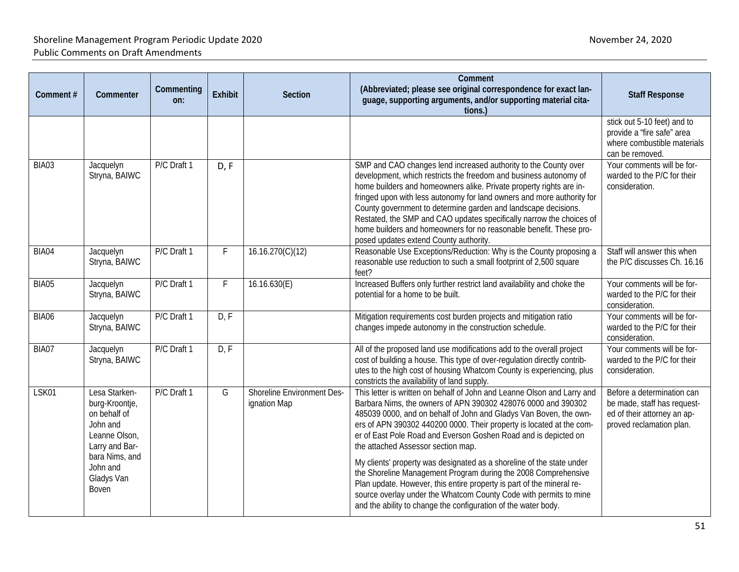| Comment#     | Commenter                                                                                                                                           | Commenting<br>on: | <b>Exhibit</b> | Section                                    | Comment<br>(Abbreviated; please see original correspondence for exact lan-<br>guage, supporting arguments, and/or supporting material cita-<br>tions.                                                                                                                                                                                                                                                                                                                                                                                                                                                                                                                                                                                                     | <b>Staff Response</b>                                                                                                |
|--------------|-----------------------------------------------------------------------------------------------------------------------------------------------------|-------------------|----------------|--------------------------------------------|-----------------------------------------------------------------------------------------------------------------------------------------------------------------------------------------------------------------------------------------------------------------------------------------------------------------------------------------------------------------------------------------------------------------------------------------------------------------------------------------------------------------------------------------------------------------------------------------------------------------------------------------------------------------------------------------------------------------------------------------------------------|----------------------------------------------------------------------------------------------------------------------|
|              |                                                                                                                                                     |                   |                |                                            |                                                                                                                                                                                                                                                                                                                                                                                                                                                                                                                                                                                                                                                                                                                                                           | stick out 5-10 feet) and to<br>provide a "fire safe" area<br>where combustible materials<br>can be removed.          |
| BIA03        | Jacquelyn<br>Stryna, BAIWC                                                                                                                          | P/C Draft 1       | D, F           |                                            | SMP and CAO changes lend increased authority to the County over<br>development, which restricts the freedom and business autonomy of<br>home builders and homeowners alike. Private property rights are in-<br>fringed upon with less autonomy for land owners and more authority for<br>County government to determine garden and landscape decisions.<br>Restated, the SMP and CAO updates specifically narrow the choices of<br>home builders and homeowners for no reasonable benefit. These pro-<br>posed updates extend County authority.                                                                                                                                                                                                           | Your comments will be for-<br>warded to the P/C for their<br>consideration.                                          |
| BIA04        | Jacquelyn<br>Stryna, BAIWC                                                                                                                          | P/C Draft 1       | F              | 16.16.270(C)(12)                           | Reasonable Use Exceptions/Reduction: Why is the County proposing a<br>reasonable use reduction to such a small footprint of 2,500 square<br>feet?                                                                                                                                                                                                                                                                                                                                                                                                                                                                                                                                                                                                         | Staff will answer this when<br>the P/C discusses Ch. 16.16                                                           |
| BIA05        | Jacquelyn<br>Stryna, BAIWC                                                                                                                          | P/C Draft 1       | F              | 16.16.630(E)                               | Increased Buffers only further restrict land availability and choke the<br>potential for a home to be built.                                                                                                                                                                                                                                                                                                                                                                                                                                                                                                                                                                                                                                              | Your comments will be for-<br>warded to the P/C for their<br>consideration.                                          |
| <b>BIA06</b> | Jacquelyn<br>Stryna, BAIWC                                                                                                                          | P/C Draft 1       | D, F           |                                            | Mitigation requirements cost burden projects and mitigation ratio<br>changes impede autonomy in the construction schedule.                                                                                                                                                                                                                                                                                                                                                                                                                                                                                                                                                                                                                                | Your comments will be for-<br>warded to the P/C for their<br>consideration.                                          |
| BIA07        | Jacquelyn<br>Stryna, BAIWC                                                                                                                          | P/C Draft 1       | D, F           |                                            | All of the proposed land use modifications add to the overall project<br>cost of building a house. This type of over-regulation directly contrib-<br>utes to the high cost of housing Whatcom County is experiencing, plus<br>constricts the availability of land supply.                                                                                                                                                                                                                                                                                                                                                                                                                                                                                 | Your comments will be for-<br>warded to the P/C for their<br>consideration.                                          |
| LSK01        | Lesa Starken-<br>burg-Kroontje,<br>on behalf of<br>John and<br>Leanne Olson,<br>Larry and Bar-<br>bara Nims, and<br>John and<br>Gladys Van<br>Boven | P/C Draft 1       | G              | Shoreline Environment Des-<br>ignation Map | This letter is written on behalf of John and Leanne Olson and Larry and<br>Barbara Nims, the owners of APN 390302 428076 0000 and 390302<br>485039 0000, and on behalf of John and Gladys Van Boven, the own-<br>ers of APN 390302 440200 0000. Their property is located at the com-<br>er of East Pole Road and Everson Goshen Road and is depicted on<br>the attached Assessor section map.<br>My clients' property was designated as a shoreline of the state under<br>the Shoreline Management Program during the 2008 Comprehensive<br>Plan update. However, this entire property is part of the mineral re-<br>source overlay under the Whatcom County Code with permits to mine<br>and the ability to change the configuration of the water body. | Before a determination can<br>be made, staff has request-<br>ed of their attorney an ap-<br>proved reclamation plan. |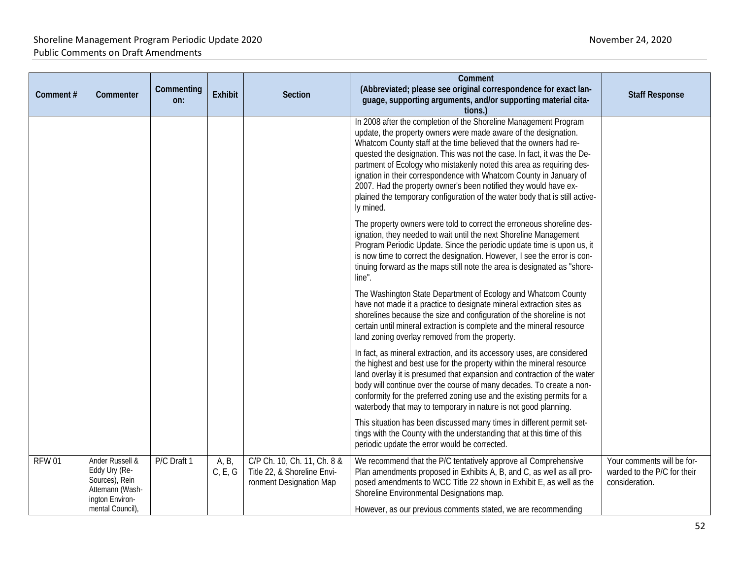| Comment#     | Commenter                                                                                                    | Commenting<br>on: | <b>Exhibit</b>   | <b>Section</b>                                                                        | Comment<br>(Abbreviated; please see original correspondence for exact lan-<br>guage, supporting arguments, and/or supporting material cita-<br>tions.)                                                                                                                                                                                                                                                                                                                                                                                                                                            | <b>Staff Response</b>                                                       |
|--------------|--------------------------------------------------------------------------------------------------------------|-------------------|------------------|---------------------------------------------------------------------------------------|---------------------------------------------------------------------------------------------------------------------------------------------------------------------------------------------------------------------------------------------------------------------------------------------------------------------------------------------------------------------------------------------------------------------------------------------------------------------------------------------------------------------------------------------------------------------------------------------------|-----------------------------------------------------------------------------|
|              |                                                                                                              |                   |                  |                                                                                       | In 2008 after the completion of the Shoreline Management Program<br>update, the property owners were made aware of the designation.<br>Whatcom County staff at the time believed that the owners had re-<br>quested the designation. This was not the case. In fact, it was the De-<br>partment of Ecology who mistakenly noted this area as requiring des-<br>ignation in their correspondence with Whatcom County in January of<br>2007. Had the property owner's been notified they would have ex-<br>plained the temporary configuration of the water body that is still active-<br>ly mined. |                                                                             |
|              |                                                                                                              |                   |                  |                                                                                       | The property owners were told to correct the erroneous shoreline des-<br>ignation, they needed to wait until the next Shoreline Management<br>Program Periodic Update. Since the periodic update time is upon us, it<br>is now time to correct the designation. However, I see the error is con-<br>tinuing forward as the maps still note the area is designated as "shore-<br>line".                                                                                                                                                                                                            |                                                                             |
|              |                                                                                                              |                   |                  |                                                                                       | The Washington State Department of Ecology and Whatcom County<br>have not made it a practice to designate mineral extraction sites as<br>shorelines because the size and configuration of the shoreline is not<br>certain until mineral extraction is complete and the mineral resource<br>land zoning overlay removed from the property.                                                                                                                                                                                                                                                         |                                                                             |
|              |                                                                                                              |                   |                  |                                                                                       | In fact, as mineral extraction, and its accessory uses, are considered<br>the highest and best use for the property within the mineral resource<br>land overlay it is presumed that expansion and contraction of the water<br>body will continue over the course of many decades. To create a non-<br>conformity for the preferred zoning use and the existing permits for a<br>waterbody that may to temporary in nature is not good planning.                                                                                                                                                   |                                                                             |
|              |                                                                                                              |                   |                  |                                                                                       | This situation has been discussed many times in different permit set-<br>tings with the County with the understanding that at this time of this<br>periodic update the error would be corrected.                                                                                                                                                                                                                                                                                                                                                                                                  |                                                                             |
| <b>RFW01</b> | Ander Russell &<br>Eddy Ury (Re-<br>Sources), Rein<br>Attemann (Wash-<br>ington Environ-<br>mental Council), | P/C Draft 1       | A, B,<br>C, E, G | C/P Ch. 10, Ch. 11, Ch. 8 &<br>Title 22, & Shoreline Envi-<br>ronment Designation Map | We recommend that the P/C tentatively approve all Comprehensive<br>Plan amendments proposed in Exhibits A, B, and C, as well as all pro-<br>posed amendments to WCC Title 22 shown in Exhibit E, as well as the<br>Shoreline Environmental Designations map.<br>However, as our previous comments stated, we are recommending                                                                                                                                                                                                                                                                     | Your comments will be for-<br>warded to the P/C for their<br>consideration. |